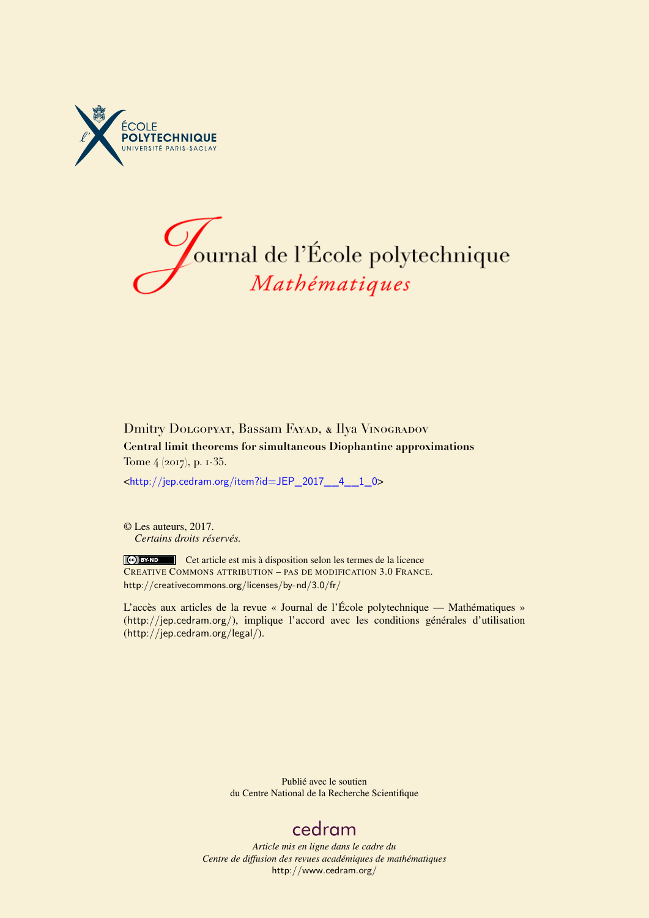



## Dmitry DOLGOPYAT, Bassam FAYAD, & Ilya VINOGRADOV **Central limit theorems for simultaneous Diophantine approximations** Tome 4 (2017), p. 1-35.

<[http://jep.cedram.org/item?id=JEP\\_2017\\_\\_4\\_\\_1\\_0](http://jep.cedram.org/item?id=JEP_2017__4__1_0)>

© Les auteurs, 2017. *Certains droits réservés.*

Cet article est mis à disposition selon les termes de la licence CREATIVE COMMONS ATTRIBUTION – PAS DE MODIFICATION 3.0 FRANCE. <http://creativecommons.org/licenses/by-nd/3.0/fr/>

L'accès aux articles de la revue « Journal de l'École polytechnique — Mathématiques » (<http://jep.cedram.org/>), implique l'accord avec les conditions générales d'utilisation (<http://jep.cedram.org/legal/>).

> Publié avec le soutien du Centre National de la Recherche Scientifique

# [cedram](http://www.cedram.org/)

*Article mis en ligne dans le cadre du Centre de diffusion des revues académiques de mathématiques* <http://www.cedram.org/>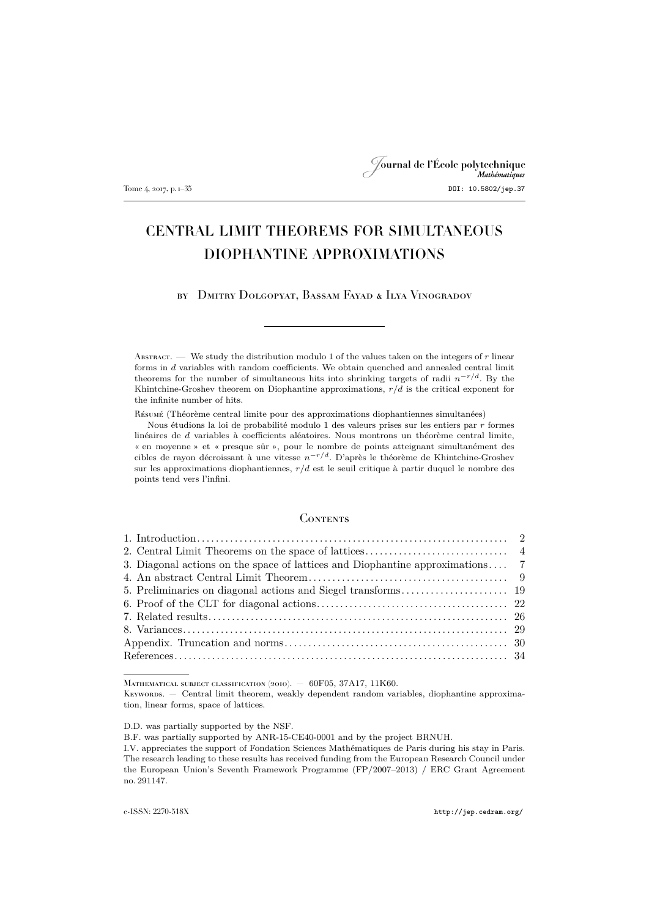# Journal de l'École polytechnique Tome 4, 2017, p. 1–35 DOI: 10.5802/jep.37

## CENTRAL LIMIT THEOREMS FOR SIMULTANEOUS DIOPHANTINE APPROXIMATIONS

by Dmitry Dolgopyat, Bassam Fayad & Ilya Vinogradov

ABSTRACT. — We study the distribution modulo 1 of the values taken on the integers of  $r$  linear forms in d variables with random coefficients. We obtain quenched and annealed central limit theorems for the number of simultaneous hits into shrinking targets of radii  $n^{-r/d}$ . By the Khintchine-Groshev theorem on Diophantine approximations,  $r/d$  is the critical exponent for the infinite number of hits.

Résumé (Théorème central limite pour des approximations diophantiennes simultanées)

Nous étudions la loi de probabilité modulo 1 des valeurs prises sur les entiers par r formes linéaires de d variables à coefficients aléatoires. Nous montrons un théorème central limite, « en moyenne » et « presque sûr », pour le nombre de points atteignant simultanément des cibles de rayon décroissant à une vitesse  $n^{-r/d}$ . D'après le théorème de Khintchine-Groshev sur les approximations diophantiennes,  $r/d$  est le seuil critique à partir duquel le nombre des points tend vers l'infini.

### **CONTENTS**

| 3. Diagonal actions on the space of lattices and Diophantine approximations 7 |  |
|-------------------------------------------------------------------------------|--|
|                                                                               |  |
|                                                                               |  |
|                                                                               |  |
|                                                                               |  |
|                                                                               |  |
|                                                                               |  |
|                                                                               |  |

MATHEMATICAL SUBJECT CLASSIFICATION (2010). - 60F05, 37A17, 11K60.

D.D. was partially supported by the NSF.

KEYWORDS. - Central limit theorem, weakly dependent random variables, diophantine approximation, linear forms, space of lattices.

B.F. was partially supported by ANR-15-CE40-0001 and by the project BRNUH.

I.V. appreciates the support of Fondation Sciences Mathématiques de Paris during his stay in Paris. The research leading to these results has received funding from the European Research Council under the European Union's Seventh Framework Programme (FP/2007–2013) / ERC Grant Agreement no. 291147.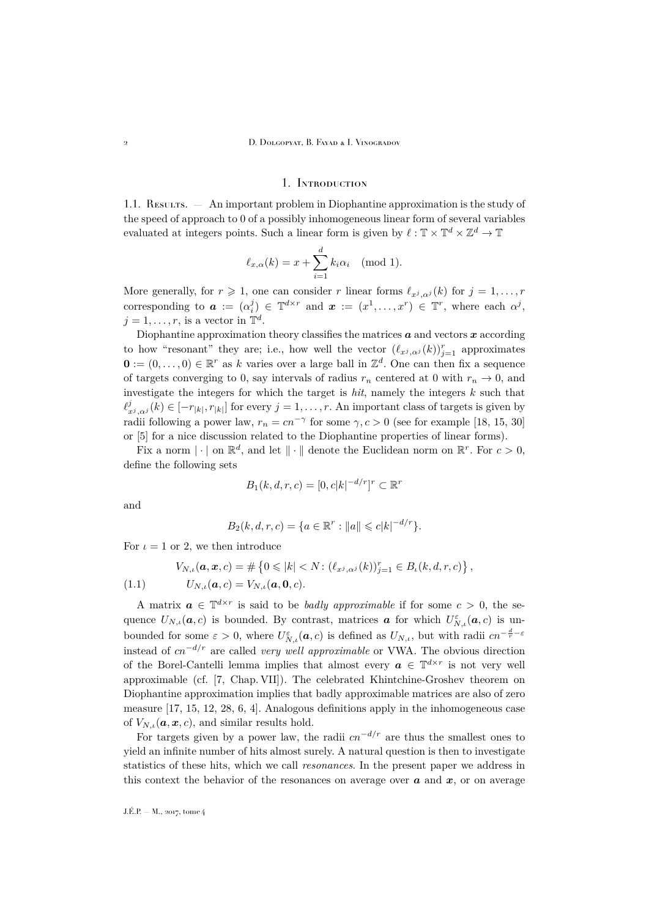#### 1. Introduction

<span id="page-2-0"></span>1.1. Results. — An important problem in Diophantine approximation is the study of the speed of approach to 0 of a possibly inhomogeneous linear form of several variables evaluated at integers points. Such a linear form is given by  $\ell : \mathbb{T} \times \mathbb{T}^d \times \mathbb{Z}^d \to \mathbb{T}$ 

$$
\ell_{x,\alpha}(k) = x + \sum_{i=1}^d k_i \alpha_i \pmod{1}.
$$

More generally, for  $r \geq 1$ , one can consider r linear forms  $\ell_{x^j, \alpha^j}(k)$  for  $j = 1, \ldots, r$ corresponding to  $\boldsymbol{a} := (\alpha_i^j) \in \mathbb{T}^{d \times r}$  and  $\boldsymbol{x} := (x^1, \dots, x^r) \in \mathbb{T}^r$ , where each  $\alpha^j$ ,  $j = 1, \ldots, r$ , is a vector in  $\mathbb{T}^d$ .

Diophantine approximation theory classifies the matrices  $\boldsymbol{a}$  and vectors  $\boldsymbol{x}$  according to how "resonant" they are; i.e., how well the vector  $(\ell_{x^j},\alpha^j(k))_{j=1}^r$  approximates  $\mathbf{0} := (0, \ldots, 0) \in \mathbb{R}^r$  as k varies over a large ball in  $\mathbb{Z}^d$ . One can then fix a sequence of targets converging to 0, say intervals of radius  $r_n$  centered at 0 with  $r_n \to 0$ , and investigate the integers for which the target is *hit*, namely the integers k such that  $\ell^j_{x^j, \alpha^j}(k) \in [-r_{|k|}, r_{|k|}]$  for every  $j = 1, \ldots, r$ . An important class of targets is given by radii following a power law,  $r_n = cn^{-\gamma}$  for some  $\gamma, c > 0$  (see for example [\[18,](#page-35-0) [15,](#page-35-1) [30\]](#page-35-2) or [\[5\]](#page-34-1) for a nice discussion related to the Diophantine properties of linear forms).

Fix a norm  $|\cdot|$  on  $\mathbb{R}^d$ , and let  $\|\cdot\|$  denote the Euclidean norm on  $\mathbb{R}^r$ . For  $c > 0$ , define the following sets

$$
B_1(k, d, r, c) = [0, c|k|^{-d/r}]^r \subset \mathbb{R}^r
$$

and

$$
B_2(k, d, r, c) = \{a \in \mathbb{R}^r : ||a|| \leq c|k|^{-d/r}\}.
$$

For  $\iota = 1$  or 2, we then introduce

<span id="page-2-1"></span>(1.1) 
$$
V_{N,\iota}(\mathbf{a}, \mathbf{x}, c) = \# \left\{ 0 \le |k| < N : (\ell_{x^j, \alpha^j}(k))_{j=1}^r \in B_{\iota}(k, d, r, c) \right\},
$$

$$
U_{N,\iota}(\mathbf{a}, c) = V_{N,\iota}(\mathbf{a}, \mathbf{0}, c).
$$

A matrix  $a \in \mathbb{T}^{d \times r}$  is said to be *badly approximable* if for some  $c > 0$ , the sequence  $U_{N,\iota}(\boldsymbol{a},c)$  is bounded. By contrast, matrices  $\boldsymbol{a}$  for which  $U_{N,\iota}^{\varepsilon}(\boldsymbol{a},c)$  is unbounded for some  $\varepsilon > 0$ , where  $U_{N,\iota}^{\varepsilon}(\boldsymbol{a}, c)$  is defined as  $U_{N,\iota}$ , but with radii  $cn^{-\frac{d}{r}-\varepsilon}$ instead of cn<sup>−</sup>d/r are called *very well approximable* or VWA. The obvious direction of the Borel-Cantelli lemma implies that almost every  $a \in \mathbb{T}^{d \times r}$  is not very well approximable (cf. [\[7,](#page-34-2) Chap. VII]). The celebrated Khintchine-Groshev theorem on Diophantine approximation implies that badly approximable matrices are also of zero measure [\[17,](#page-35-3) [15,](#page-35-1) [12,](#page-34-3) [28,](#page-35-4) [6,](#page-34-4) [4\]](#page-34-5). Analogous definitions apply in the inhomogeneous case of  $V_{N,t}(\boldsymbol{a}, \boldsymbol{x}, c)$ , and similar results hold.

For targets given by a power law, the radii  $cn^{-d/r}$  are thus the smallest ones to yield an infinite number of hits almost surely. A natural question is then to investigate statistics of these hits, which we call *resonances*. In the present paper we address in this context the behavior of the resonances on average over  $\boldsymbol{a}$  and  $\boldsymbol{x}$ , or on average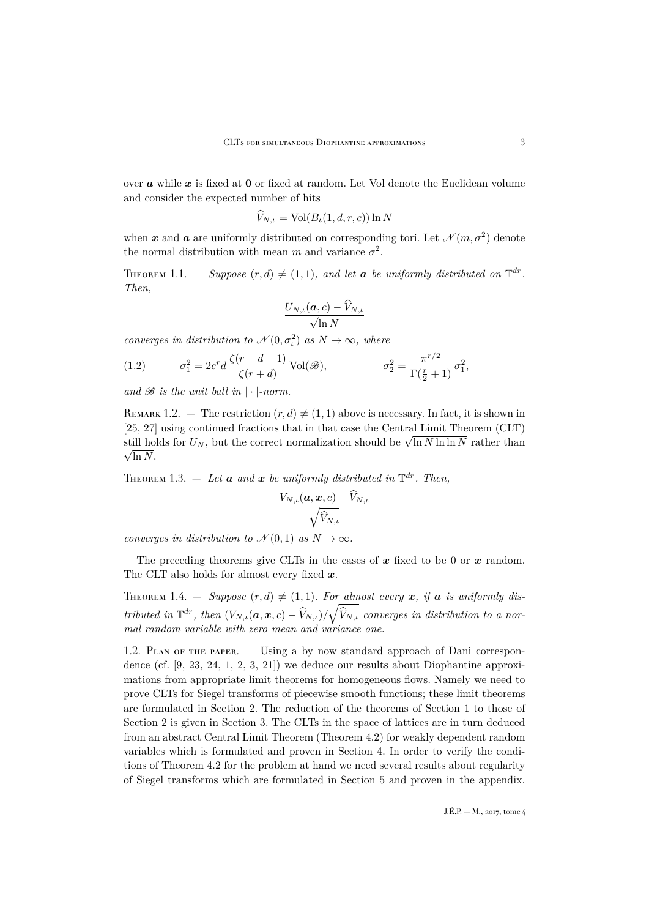over  $\boldsymbol{a}$  while  $\boldsymbol{x}$  is fixed at 0 or fixed at random. Let Vol denote the Euclidean volume and consider the expected number of hits

$$
\widehat{V}_{N,\iota} = \text{Vol}(B_{\iota}(1,d,r,c)) \ln N
$$

when  $\bm{x}$  and  $\bm{a}$  are uniformly distributed on corresponding tori. Let  $\mathcal{N}(m, \sigma^2)$  denote the normal distribution with mean m and variance  $\sigma^2$ .

<span id="page-3-1"></span>THEOREM 1.1.  $-$  Suppose  $(r, d) \neq (1, 1)$ , and let **a** be uniformly distributed on  $\mathbb{T}^{dr}$ . *Then,*

$$
\frac{U_{N,\iota}(\boldsymbol{a},c)-\widehat{V}_{N,\iota}}{\sqrt{\ln N}}
$$

*converges in distribution to*  $\mathcal{N}(0, \sigma_i^2)$  *as*  $N \to \infty$ *, where* 

<span id="page-3-0"></span>(1.2) 
$$
\sigma_1^2 = 2c^r d \frac{\zeta(r+d-1)}{\zeta(r+d)} \text{Vol}(\mathscr{B}), \qquad \sigma_2^2 = \frac{\pi^{r/2}}{\Gamma(\frac{r}{2}+1)} \sigma_1^2,
$$

and  $\mathscr B$  is the unit ball in  $|\cdot|$ -norm.

REMARK 1.2. — The restriction  $(r, d) \neq (1, 1)$  above is necessary. In fact, it is shown in [\[25,](#page-35-5) [27\]](#page-35-6) using continued fractions that in that case the Central Limit Theorem (CLT)  $\sum_{k=1}^{\infty}$  as the continued fractions that in that case the Central Ellint Theorem (CET)<br>still holds for  $U_N$ , but the correct normalization should be  $\sqrt{\ln N \ln \ln N}$  rather than  $\sqrt{\ln N}$ .

<span id="page-3-2"></span>THEOREM 1.3.  $-$  *Let*  $\boldsymbol{a}$  *and*  $\boldsymbol{x}$  *be uniformly distributed in*  $\mathbb{T}^{dr}$ *. Then,* 

$$
\frac{V_{N,\iota}(\boldsymbol{a},\boldsymbol{x},c)-\hat{V}_{N,\iota}}{\sqrt{\hat{V}_{N,\iota}}}
$$

*converges in distribution to*  $\mathcal{N}(0, 1)$  *as*  $N \to \infty$ *.* 

The preceding theorems give CLTs in the cases of  $x$  fixed to be 0 or  $x$  random. The CLT also holds for almost every fixed  $x$ .

<span id="page-3-3"></span>THEOREM 1.4. – Suppose  $(r, d) \neq (1, 1)$ *. For almost every* x, if a is uniformly dis*tributed in*  $\mathbb{T}^{dr}$ , *then*  $(V_{N,\iota}(\boldsymbol{a}, \boldsymbol{x}, c) - \widehat{V}_{N,\iota})/\sqrt{\widehat{V}_{N,\iota}}$  *converges in distribution to a normal random variable with zero mean and variance one.*

1.2. Plan of the paper. — Using a by now standard approach of Dani correspondence (cf. [\[9,](#page-34-6) [23,](#page-35-7) [24,](#page-35-8) [1,](#page-34-7) [2,](#page-34-8) [3,](#page-34-9) [21\]](#page-35-9)) we deduce our results about Diophantine approximations from appropriate limit theorems for homogeneous flows. Namely we need to prove CLTs for Siegel transforms of piecewise smooth functions; these limit theorems are formulated in Section [2.](#page-4-0) The reduction of the theorems of Section [1](#page-2-0) to those of Section [2](#page-4-0) is given in Section [3.](#page-7-0) The CLTs in the space of lattices are in turn deduced from an abstract Central Limit Theorem (Theorem [4.2\)](#page-11-0) for weakly dependent random variables which is formulated and proven in Section [4.](#page-9-0) In order to verify the conditions of Theorem [4.2](#page-11-0) for the problem at hand we need several results about regularity of Siegel transforms which are formulated in Section [5](#page-19-0) and proven in the appendix.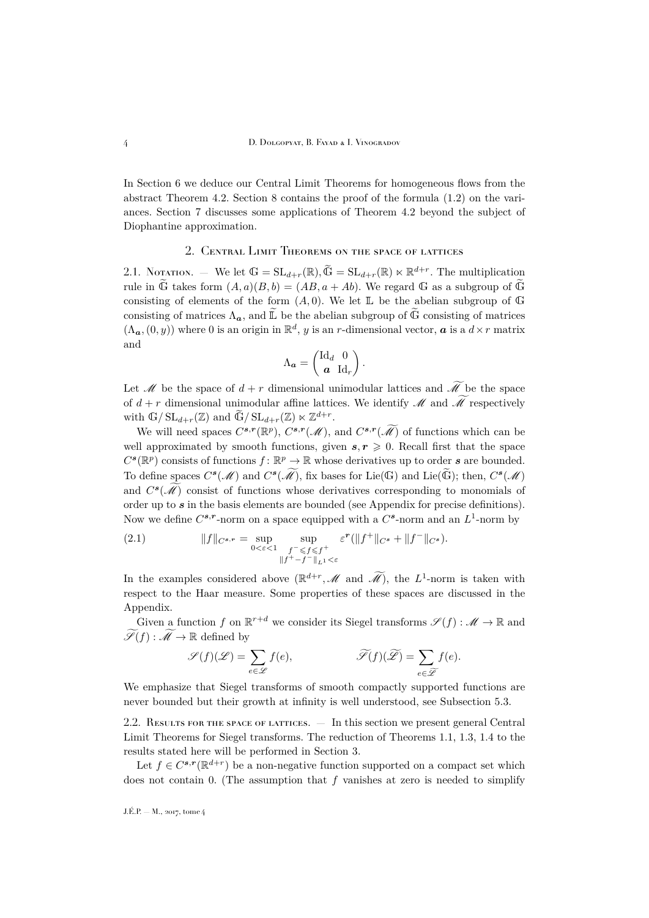In Section [6](#page-22-0) we deduce our Central Limit Theorems for homogeneous flows from the abstract Theorem [4.2.](#page-11-0) Section [8](#page-29-0) contains the proof of the formula [\(1.2\)](#page-3-0) on the variances. Section [7](#page-26-0) discusses some applications of Theorem [4.2](#page-11-0) beyond the subject of Diophantine approximation.

### 2. Central Limit Theorems on the space of lattices

<span id="page-4-1"></span><span id="page-4-0"></span>2.1. Notation. — We let  $\mathbb{G} = SL_{d+r}(\mathbb{R}), \widetilde{\mathbb{G}} = SL_{d+r}(\mathbb{R}) \ltimes \mathbb{R}^{d+r}$ . The multiplication rule in  $\widetilde{G}$  takes form  $(A, a)(B, b) = (AB, a + Ab)$ . We regard G as a subgroup of  $\widetilde{G}$ consisting of elements of the form  $(A, 0)$ . We let  $\mathbb L$  be the abelian subgroup of  $\mathbb G$ consisting of matrices  $\Lambda_{a}$ , and  $\widetilde{\mathbb{L}}$  be the abelian subgroup of  $\widetilde{\mathbb{G}}$  consisting of matrices  $(\Lambda_{\boldsymbol{a}},(0,y))$  where 0 is an origin in  $\mathbb{R}^d$ , y is an r-dimensional vector,  $\boldsymbol{a}$  is a  $d \times r$  matrix and

$$
\Lambda_{\boldsymbol{a}} = \begin{pmatrix} \mathrm{Id}_d & 0 \\ \boldsymbol{a} & \mathrm{Id}_r \end{pmatrix}.
$$

Let M be the space of  $d + r$  dimensional unimodular lattices and  $\widetilde{\mathcal{M}}$  be the space of  $d + r$  dimensional unimodular affine lattices. We identify M and  $\widetilde{\mathcal{M}}$  respectively with  $\mathbb{G}/\operatorname{SL}_{d+r}(\mathbb{Z})$  and  $\widetilde{\mathbb{G}}/\operatorname{SL}_{d+r}(\mathbb{Z}) \ltimes \mathbb{Z}^{d+r}$ .

We will need spaces  $C^{s,r}(\mathbb{R}^p)$ ,  $C^{s,r}(\mathcal{M})$ , and  $C^{s,r}(\mathcal{M})$  of functions which can be well approximated by smooth functions, given  $s, r \geq 0$ . Recall first that the space  $C^{s}(\mathbb{R}^{p})$  consists of functions  $f: \mathbb{R}^{p} \to \mathbb{R}$  whose derivatives up to order s are bounded. To define spaces  $C^s(\mathcal{M})$  and  $C^s(\tilde{\mathcal{M}})$ , fix bases for Lie(G) and Lie( $\tilde{\mathbb{G}}$ ); then,  $C^s(\mathcal{M})$ and  $C^{s}(\mathcal{M})$  consist of functions whose derivatives corresponding to monomials of order up to  $s$  in the basis elements are bounded (see Appendix for precise definitions). Now we define  $C^{s,r}$ -norm on a space equipped with a  $C^s$ -norm and an  $L^1$ -norm by

<span id="page-4-2"></span>(2.1) 
$$
||f||_{C^{s,r}} = \sup_{0 < \varepsilon < 1} \sup_{\substack{f^- \leqslant f \leqslant f^+ \\ ||f^+ - f^-||_{L^1} < \varepsilon}} \varepsilon^r (||f^+||_{C^s} + ||f^-||_{C^s}).
$$

In the examples considered above  $(\mathbb{R}^{d+r}, \mathcal{M} \text{ and } \widetilde{\mathcal{M}})$ , the  $L^1$ -norm is taken with respect to the Haar measure. Some properties of these spaces are discussed in the Appendix.

Given a function f on  $\mathbb{R}^{r+d}$  we consider its Siegel transforms  $\mathscr{S}(f) : \mathscr{M} \to \mathbb{R}$  and  $\widetilde{\mathscr{S}}(f) : \widetilde{\mathscr{M}} \to \mathbb{R}$  defined by

$$
\mathscr{S}(f)(\mathscr{L})=\sum_{e\in \mathscr{L}}f(e),\qquad \qquad \widetilde{\mathscr{S}}(f)(\widetilde{\mathscr{L}})=\sum_{e\in \widetilde{\mathscr{L}}}f(e).
$$

We emphasize that Siegel transforms of smooth compactly supported functions are never bounded but their growth at infinity is well understood, see Subsection [5.3.](#page-21-0)

2.2. RESULTS FOR THE SPACE OF LATTICES. — In this section we present general Central Limit Theorems for Siegel transforms. The reduction of Theorems [1.1,](#page-3-1) [1.3,](#page-3-2) [1.4](#page-3-3) to the results stated here will be performed in Section [3.](#page-7-0)

Let  $f \in C^{s,r}(\mathbb{R}^{d+r})$  be a non-negative function supported on a compact set which does not contain 0. (The assumption that  $f$  vanishes at zero is needed to simplify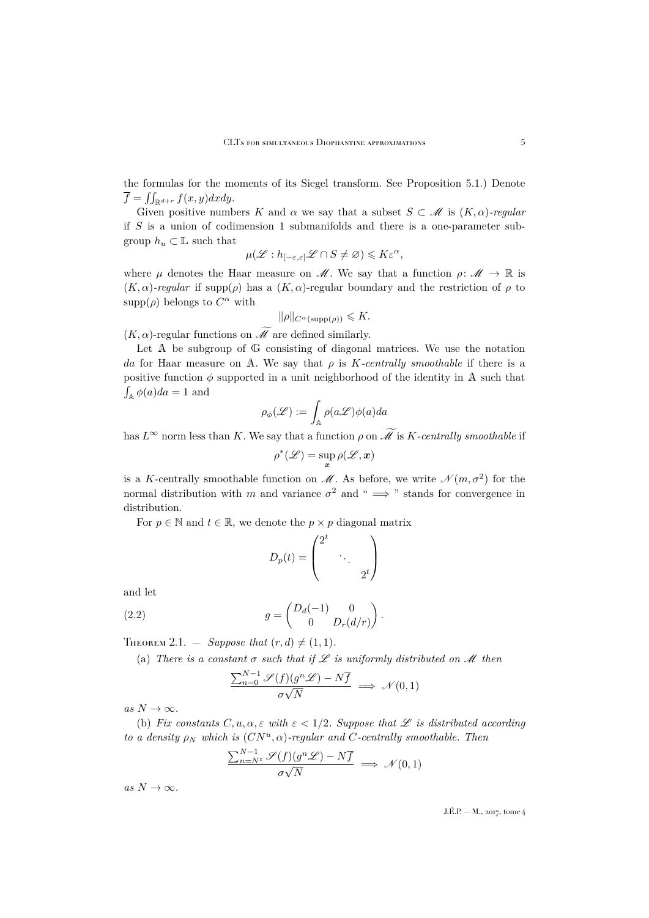the formulas for the moments of its Siegel transform. See Proposition [5.1.](#page-19-1)) Denote  $\overline{f} = \iint_{\mathbb{R}^{d+r}} f(x, y) dx dy.$ 

Given positive numbers K and  $\alpha$  we say that a subset  $S \subset \mathcal{M}$  is  $(K, \alpha)$ -regular if S is a union of codimension 1 submanifolds and there is a one-parameter subgroup  $h_u\subset \mathbb{L}$  such that

$$
\mu(\mathscr{L}: h_{[-\varepsilon,\varepsilon]}\mathscr{L}\cap S\neq\varnothing)\leqslant K\varepsilon^{\alpha},
$$

where  $\mu$  denotes the Haar measure on  $\mathcal{M}$ . We say that a function  $\rho \colon \mathcal{M} \to \mathbb{R}$  is  $(K, \alpha)$ -regular if supp $(\rho)$  has a  $(K, \alpha)$ -regular boundary and the restriction of  $\rho$  to supp $(\rho)$  belongs to  $C^{\alpha}$  with

$$
\|\rho\|_{C^{\alpha}(\text{supp}(\rho))} \leqslant K.
$$

 $(K, \alpha)$ -regular functions on  $\widetilde{\mathcal{M}}$  are defined similarly.

Let A be subgroup of G consisting of diagonal matrices. We use the notation da for Haar measure on A. We say that  $\rho$  is *K*-centrally smoothable if there is a positive function  $\phi$  supported in a unit neighborhood of the identity in A such that  $\int_{\mathbb{A}} \phi(a)da = 1$  and

$$
\rho_\phi(\mathscr{L}):=\int_\mathbb{A}\rho(a\mathscr{L})\phi(a)da
$$

has  $L^{\infty}$  norm less than K. We say that a function  $\rho$  on  $\widetilde{\mathcal{M}}$  is K-centrally smoothable if

$$
\rho^*(\mathscr{L}) = \sup_{\bm{x}} \rho(\mathscr{L},\bm{x})
$$

is a K-centrally smoothable function on  $\mathscr{M}$ . As before, we write  $\mathscr{N}(m, \sigma^2)$  for the normal distribution with m and variance  $\sigma^2$  and "  $\implies$  " stands for convergence in distribution.

For  $p \in \mathbb{N}$  and  $t \in \mathbb{R}$ , we denote the  $p \times p$  diagonal matrix

<span id="page-5-1"></span>
$$
D_p(t) = \begin{pmatrix} 2^t & & \\ & \ddots & \\ & & 2^t \end{pmatrix}
$$

and let

(2.2) 
$$
g = \begin{pmatrix} D_d(-1) & 0 \\ 0 & D_r(d/r) \end{pmatrix}.
$$

<span id="page-5-0"></span>THEOREM 2.1. — *Suppose that*  $(r, d) \neq (1, 1)$ *.* 

(a) *There is a constant*  $\sigma$  *such that if*  $\mathscr L$  *is uniformly distributed on*  $\mathscr M$  *then* 

$$
\frac{\sum_{n=0}^{N-1} \mathcal{S}(f)(g^n \mathcal{L}) - N\overline{f}}{\sigma \sqrt{N}} \implies \mathcal{N}(0, 1)
$$

 $as N \to \infty$ .

(b) *Fix constants*  $C, u, \alpha, \varepsilon$  *with*  $\varepsilon < 1/2$ *. Suppose that*  $\mathscr L$  *is distributed according to a density*  $\rho_N$  *which is*  $(CN^u, \alpha)$ -regular and C-centrally smoothable. Then

$$
\frac{\sum_{n=N^{\varepsilon}}^{N-1} \mathscr{S}(f)(g^n \mathscr{L}) - N\overline{f}}{\sigma \sqrt{N}} \implies \mathscr{N}(0,1)
$$

 $as N \to \infty$ .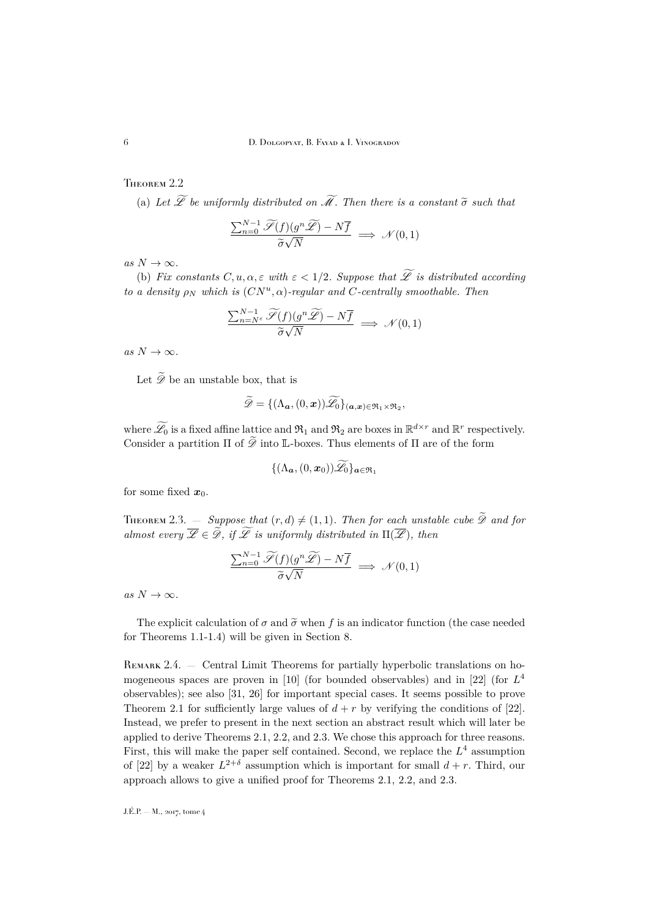6 D. Dolgopyat, B. Fayad & I. Vinogradov

## <span id="page-6-0"></span>THEOREM 2.2

(a) Let  $\widetilde{\mathscr{L}}$  be uniformly distributed on  $\widetilde{\mathscr{M}}$ *. Then there is a constant*  $\widetilde{\sigma}$  *such that* 

$$
\frac{\sum_{n=0}^{N-1} \widetilde{\mathscr{S}}(f)(g^n \widetilde{\mathscr{L}}) - N\overline{f}}{\widetilde{\sigma}\sqrt{N}} \implies \mathscr{N}(0,1)
$$

 $as N \to \infty$ .

(b) *Fix constants*  $C, u, \alpha, \varepsilon$  *with*  $\varepsilon < 1/2$ *. Suppose that*  $\widetilde{\mathscr{L}}$  *is distributed according to a density*  $\rho_N$  *which is*  $(CN^u, \alpha)$ -regular and C-centrally smoothable. Then

$$
\frac{\sum_{n=N^{\varepsilon}}^{N-1} \widetilde{\mathscr{S}}(f)(g^n \widetilde{\mathscr{L}}) - N\overline{f}}{\widetilde{\sigma}\sqrt{N}} \implies \mathscr{N}(0,1)
$$

 $as N \to \infty$ *.* 

Let  $\widetilde{\mathscr{D}}$  be an unstable box, that is

$$
\mathscr{D} = \{(\Lambda_{\boldsymbol{a}},(0,\boldsymbol{x}))\mathscr{L}_0\}_{(\boldsymbol{a},\boldsymbol{x})\in\mathfrak{R}_1\times\mathfrak{R}_2},
$$

where  $\widetilde{\mathscr{L}}_0$  is a fixed affine lattice and  $\mathfrak{R}_1$  and  $\mathfrak{R}_2$  are boxes in  $\mathbb{R}^{d\times r}$  and  $\mathbb{R}^r$  respectively. Consider a partition  $\Pi$  of  $\widetilde{\mathscr{D}}$  into L-boxes. Thus elements of  $\Pi$  are of the form

$$
\{(\Lambda_{\boldsymbol{a}},(0,\boldsymbol{x}_0))\mathscr{L}_0\}_{\boldsymbol{a}\in\mathfrak{R}_1}
$$

for some fixed  $x_0$ .

<span id="page-6-1"></span>**THEOREM** 2.3.  $-$  *Suppose that*  $(r, d) \neq (1, 1)$ *. Then for each unstable cube*  $\widetilde{\mathscr{D}}$  *and for almost every*  $\overline{\mathscr{L}} \in \widetilde{\mathscr{D}}$ *, if*  $\widetilde{\mathscr{L}}$  *is uniformly distributed in*  $\Pi(\overline{\mathscr{L}})$ *, then* 

$$
\frac{\sum_{n=0}^{N-1} \widetilde{\mathscr{S}}(f)(g^n \widetilde{\mathscr{L}}) - N\overline{f}}{\widetilde{\sigma}\sqrt{N}} \implies \mathscr{N}(0,1)
$$

 $as N \to \infty$ .

The explicit calculation of  $\sigma$  and  $\tilde{\sigma}$  when f is an indicator function (the case needed for Theorems [1.1-](#page-3-1)[1.4\)](#page-3-3) will be given in Section [8.](#page-29-0)

REMARK 2.4. — Central Limit Theorems for partially hyperbolic translations on ho-mogeneous spaces are proven in [\[10\]](#page-34-10) (for bounded observables) and in [\[22\]](#page-35-10) (for  $L^4$ observables); see also [\[31,](#page-35-11) [26\]](#page-35-12) for important special cases. It seems possible to prove Theorem [2.1](#page-5-0) for sufficiently large values of  $d + r$  by verifying the conditions of [\[22\]](#page-35-10). Instead, we prefer to present in the next section an abstract result which will later be applied to derive Theorems [2.1,](#page-5-0) [2.2,](#page-6-0) and [2.3.](#page-6-1) We chose this approach for three reasons. First, this will make the paper self contained. Second, we replace the  $L^4$  assumption of [\[22\]](#page-35-10) by a weaker  $L^{2+\delta}$  assumption which is important for small  $d+r$ . Third, our approach allows to give a unified proof for Theorems [2.1,](#page-5-0) [2.2,](#page-6-0) and [2.3.](#page-6-1)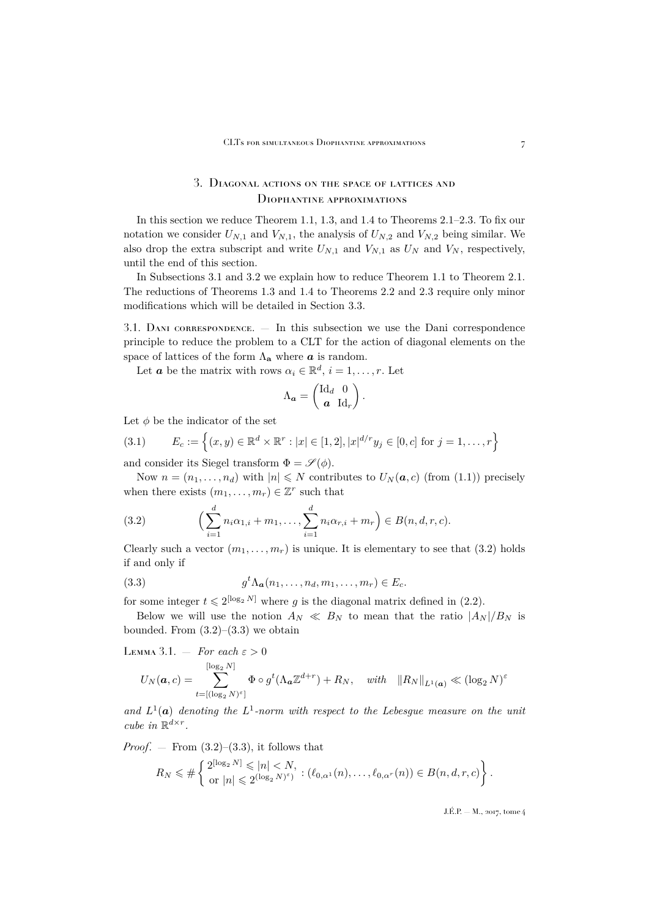## 3. Diagonal actions on the space of lattices and Diophantine approximations

<span id="page-7-0"></span>In this section we reduce Theorem [1.1,](#page-3-1) [1.3,](#page-3-2) and [1.4](#page-3-3) to Theorems [2.1](#page-5-0)[–2.3.](#page-6-1) To fix our notation we consider  $U_{N,1}$  and  $V_{N,1}$ , the analysis of  $U_{N,2}$  and  $V_{N,2}$  being similar. We also drop the extra subscript and write  $U_{N,1}$  and  $V_{N,1}$  as  $U_N$  and  $V_N$ , respectively, until the end of this section.

In Subsections [3.1](#page-7-1) and [3.2](#page-8-0) we explain how to reduce Theorem [1.1](#page-3-1) to Theorem [2.1.](#page-5-0) The reductions of Theorems [1.3](#page-3-2) and [1.4](#page-3-3) to Theorems [2.2](#page-6-0) and [2.3](#page-6-1) require only minor modifications which will be detailed in Section [3.3.](#page-9-1)

<span id="page-7-1"></span>3.1. Dani correspondence. — In this subsection we use the Dani correspondence principle to reduce the problem to a CLT for the action of diagonal elements on the space of lattices of the form  $\Lambda_{\mathbf{a}}$  where  $\boldsymbol{a}$  is random.

Let **a** be the matrix with rows  $\alpha_i \in \mathbb{R}^d$ ,  $i = 1, \ldots, r$ . Let

$$
\Lambda_{\boldsymbol{a}} = \begin{pmatrix} \mathrm{Id}_d & 0 \\ \boldsymbol{a} & \mathrm{Id}_r \end{pmatrix}.
$$

Let  $\phi$  be the indicator of the set

<span id="page-7-5"></span>(3.1) 
$$
E_c := \left\{ (x, y) \in \mathbb{R}^d \times \mathbb{R}^r : |x| \in [1, 2], |x|^{d/r} y_j \in [0, c] \text{ for } j = 1, ..., r \right\}
$$

and consider its Siegel transform  $\Phi = \mathscr{S}(\phi)$ .

Now  $n = (n_1, \ldots, n_d)$  with  $|n| \leq N$  contributes to  $U_N(a, c)$  (from [\(1.1\)](#page-2-1)) precisely when there exists  $(m_1, \ldots, m_r) \in \mathbb{Z}^r$  such that

<span id="page-7-2"></span>(3.2) 
$$
\left(\sum_{i=1}^{d} n_i \alpha_{1,i} + m_1, \ldots, \sum_{i=1}^{d} n_i \alpha_{r,i} + m_r\right) \in B(n, d, r, c).
$$

Clearly such a vector  $(m_1, \ldots, m_r)$  is unique. It is elementary to see that [\(3.2\)](#page-7-2) holds if and only if

<span id="page-7-3"></span>(3.3) 
$$
g^t \Lambda_a(n_1,\ldots,n_d,m_1,\ldots,m_r) \in E_c.
$$

for some integer  $t \leq 2^{[\log_2 N]}$  where g is the diagonal matrix defined in [\(2.2\)](#page-5-1).

Below we will use the notion  $A_N \ll B_N$  to mean that the ratio  $|A_N|/B_N$  is bounded. From  $(3.2)$ – $(3.3)$  we obtain

<span id="page-7-4"></span>LEMMA 3.1. – For each 
$$
\varepsilon > 0
$$
  
\n
$$
U_N(\mathbf{a}, c) = \sum_{t=[(\log_2 N)^{\varepsilon}]}^{\lfloor \log_2 N \rfloor} \Phi \circ g^t(\Lambda_{\mathbf{a}} \mathbb{Z}^{d+r}) + R_N, \quad \text{with} \quad ||R_N||_{L^1(\mathbf{a})} \ll (\log_2 N)^{\varepsilon}
$$

and  $L^1(\mathbf{a})$  denoting the  $L^1$ -norm with respect to the Lebesgue measure on the unit *cube in*  $\mathbb{R}^{d \times r}$ *.* 

*Proof.* — From  $(3.2)$ – $(3.3)$ , it follows that

$$
R_N \leq \#\left\{\n\begin{array}{l}\n2^{\lfloor \log_2 N \rfloor} \leq n < N, \\
\text{or } |n| \leq 2^{\left(\log_2 N \right)^{\varepsilon}}\n\end{array}\n\right\} \cdot (\ell_{0,\alpha^1}(n), \ldots, \ell_{0,\alpha^r}(n)) \in B(n,d,r,c)\n\right\}.
$$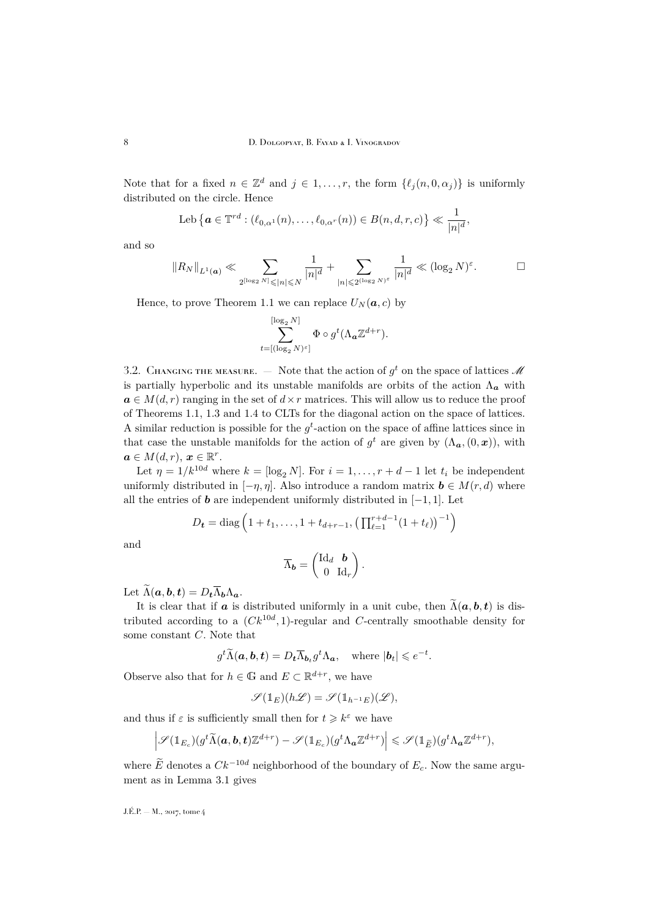Note that for a fixed  $n \in \mathbb{Z}^d$  and  $j \in 1, \ldots, r$ , the form  $\{\ell_j(n, 0, \alpha_j)\}\$ is uniformly distributed on the circle. Hence

Leb 
$$
\{ \boldsymbol{a} \in \mathbb{T}^{rd} : (\ell_{0,\alpha^1}(n), \ldots, \ell_{0,\alpha^r}(n)) \in B(n,d,r,c) \} \ll \frac{1}{|n|^d}
$$

and so

$$
\|R_N\|_{L^1(\mathbf{a})} \ll \sum_{2^{\lceil \log_2 N \rceil} \leqslant |n| \leqslant N} \frac{1}{|n|^d} + \sum_{|n| \leqslant 2^{\lceil \log_2 N \rceil^{\varepsilon}}} \frac{1}{|n|^d} \ll (\log_2 N)^{\varepsilon}.
$$

Hence, to prove Theorem [1.1](#page-3-1) we can replace  $U_N(a, c)$  by

$$
\sum_{t=[(\log_2 N)^{\varepsilon}]}^{[\log_2 N]} \Phi \circ g^t(\Lambda_{\mathbf{a}} \mathbb{Z}^{d+r}).
$$

<span id="page-8-0"></span>3.2. CHANGING THE MEASURE.  $-$  Note that the action of  $g^t$  on the space of lattices  $\mathscr M$ is partially hyperbolic and its unstable manifolds are orbits of the action  $\Lambda_a$  with  $a \in M(d, r)$  ranging in the set of  $d \times r$  matrices. This will allow us to reduce the proof of Theorems [1.1,](#page-3-1) [1.3](#page-3-2) and [1.4](#page-3-3) to CLTs for the diagonal action on the space of lattices. A similar reduction is possible for the  $g<sup>t</sup>$ -action on the space of affine lattices since in that case the unstable manifolds for the action of  $g^t$  are given by  $(\Lambda_{\boldsymbol{a}},(0,\boldsymbol{x}))$ , with  $a \in M(d,r), x \in \mathbb{R}^r$ .

Let  $\eta = 1/k^{10d}$  where  $k = \lfloor \log_2 N \rfloor$ . For  $i = 1, \ldots, r + d - 1$  let  $t_i$  be independent uniformly distributed in  $[-\eta, \eta]$ . Also introduce a random matrix  $\mathbf{b} \in M(r, d)$  where all the entries of **b** are independent uniformly distributed in  $[-1, 1]$ . Let

$$
D_{t} = \text{diag}\left(1 + t_{1}, \ldots, 1 + t_{d+r-1}, \left(\prod_{\ell=1}^{r+d-1} (1 + t_{\ell})\right)^{-1}\right)
$$

and

$$
\overline{\Lambda}_{\boldsymbol{b}} = \begin{pmatrix} \mathrm{Id}_d & \boldsymbol{b} \\ 0 & \mathrm{Id}_r \end{pmatrix}.
$$

Let  $\widetilde{\Lambda}(\boldsymbol{a},\boldsymbol{b},\boldsymbol{t})=D_{\boldsymbol{t}}\overline{\Lambda}_{\boldsymbol{b}}\Lambda_{\boldsymbol{a}}.$ 

It is clear that if  $\boldsymbol{a}$  is distributed uniformly in a unit cube, then  $\widetilde{\Lambda}(\boldsymbol{a},\boldsymbol{b},\boldsymbol{t})$  is distributed according to a  $(Ck^{10d}, 1)$ -regular and C-centrally smoothable density for some constant C. Note that

$$
g^t \widetilde{\Lambda}(\boldsymbol{a}, \boldsymbol{b}, \boldsymbol{t}) = D_t \overline{\Lambda}_{\boldsymbol{b}_t} g^t \Lambda_{\boldsymbol{a}}, \text{ where } |\boldsymbol{b}_t| \leqslant e^{-t}.
$$

Observe also that for  $h \in \mathbb{G}$  and  $E \subset \mathbb{R}^{d+r}$ , we have

$$
\mathscr{S}(\mathbbm{1}_E)(h\mathscr{L})=\mathscr{S}(\mathbbm{1}_{h^{-1}E})(\mathscr{L}),
$$

and thus if  $\varepsilon$  is sufficiently small then for  $t \geq k^{\varepsilon}$  we have

$$
\left|\mathscr{S}(\mathbb{1}_{E_c})(g^t\widetilde{\Lambda}(\boldsymbol{a},\boldsymbol{b},\boldsymbol{t})\mathbb{Z}^{d+r})-\mathscr{S}(\mathbb{1}_{E_c})(g^t\Lambda_{\boldsymbol{a}}\mathbb{Z}^{d+r})\right|\leqslant \mathscr{S}(\mathbb{1}_{\widetilde{E}})(g^t\Lambda_{\boldsymbol{a}}\mathbb{Z}^{d+r}),
$$

where  $\widetilde{E}$  denotes a  $Ck^{-10d}$  neighborhood of the boundary of  $E_c$ . Now the same argument as in Lemma [3.1](#page-7-4) gives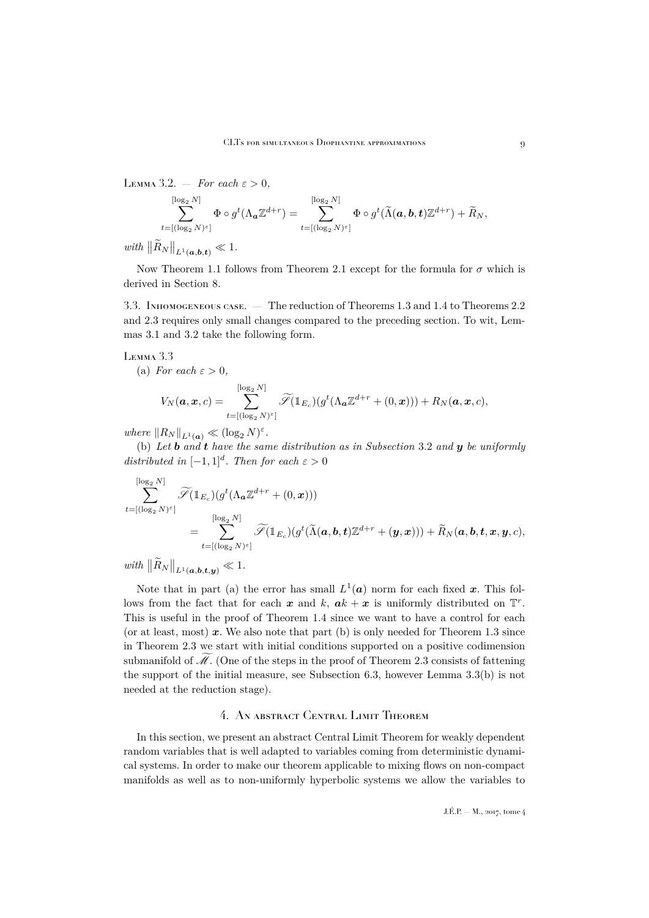<span id="page-9-2"></span>LEMMA 3.2.  $-$  *For each*  $\varepsilon > 0$ *,* 

$$
\sum_{t=[(\log_2 N)^{\varepsilon}]}^{[\log_2 N]} \Phi \circ g^t(\Lambda_{\mathbf{a}} \mathbb{Z}^{d+r}) = \sum_{t=[(\log_2 N)^{\varepsilon}]}^{[\log_2 N]} \Phi \circ g^t(\widetilde{\Lambda}(\mathbf{a}, \mathbf{b}, \mathbf{t}) \mathbb{Z}^{d+r}) + \widetilde{R}_N,
$$

 $with \|\tilde{R}_N\|_{L^1(a,b,t)} \ll 1.$ 

Now Theorem [1.1](#page-3-1) follows from Theorem [2.1](#page-5-0) except for the formula for  $\sigma$  which is derived in Section [8.](#page-29-0)

<span id="page-9-1"></span>3.3. Inhomogeneous case. — The reduction of Theorems [1.3](#page-3-2) and [1.4](#page-3-3) to Theorems [2.2](#page-6-0) and [2.3](#page-6-1) requires only small changes compared to the preceding section. To wit, Lemmas [3.1](#page-7-4) and [3.2](#page-9-2) take the following form.

#### <span id="page-9-3"></span>Lemma 3.3

(a) For each 
$$
\varepsilon > 0
$$
,  
\n
$$
V_N(\mathbf{a}, \mathbf{x}, c) = \sum_{t=[(\log_2 N)^{\varepsilon}]}^{[\log_2 N]} \widetilde{\mathscr{S}}(\mathbb{1}_{E_c})(g^t(\Lambda_{\mathbf{a}}\mathbb{Z}^{d+r} + (0, \mathbf{x}))) + R_N(\mathbf{a}, \mathbf{x}, c),
$$

*where*  $||R_N||_{L^1(\mathbf{a})} \ll (\log_2 N)^{\varepsilon}$ .

(b) Let **b** and **t** have the same distribution as in Subsection [3.2](#page-8-0) and **y** be uniformly *distributed in*  $[-1, 1]^d$ *. Then for each*  $\varepsilon > 0$ 

$$
\sum_{t=[(\log_2 N)^{\varepsilon}]}^{\lfloor \log_2 N \rfloor} \widetilde{\mathscr{S}}(\mathbb{1}_{E_c}) (g^t(\Lambda_{\bm{a}} \mathbb{Z}^{d+r} + (0, \bm{x}))) \\ = \sum_{t=[(\log_2 N)^{\varepsilon}]}^{\lfloor \log_2 N \rfloor} \widetilde{\mathscr{S}}(\mathbb{1}_{E_c}) (g^t(\widetilde{\Lambda}(\bm{a}, \bm{b}, \bm{t}) \mathbb{Z}^{d+r} + (\bm{y}, \bm{x}))) + \widetilde{R}_N(\bm{a}, \bm{b}, \bm{t}, \bm{x}, \bm{y}, c),
$$

 $with \|\tilde{R}_N\|_{L^1(\boldsymbol{a},\boldsymbol{b},\boldsymbol{t},\boldsymbol{y})} \ll 1.$ 

Note that in part (a) the error has small  $L^1(a)$  norm for each fixed x. This follows from the fact that for each x and k,  $ak + x$  is uniformly distributed on  $\mathbb{T}^r$ . This is useful in the proof of Theorem [1.4](#page-3-3) since we want to have a control for each (or at least, most)  $x$ . We also note that part (b) is only needed for Theorem [1.3](#page-3-2) since in Theorem [2.3](#page-6-1) we start with initial conditions supported on a positive codimension submanifold of  $\mathcal{M}$ . (One of the steps in the proof of Theorem [2.3](#page-6-1) consists of fattening the support of the initial measure, see Subsection [6.3,](#page-25-0) however Lemma [3.3\(](#page-9-3)b) is not needed at the reduction stage).

## 4. An abstract Central Limit Theorem

<span id="page-9-0"></span>In this section, we present an abstract Central Limit Theorem for weakly dependent random variables that is well adapted to variables coming from deterministic dynamical systems. In order to make our theorem applicable to mixing flows on non-compact manifolds as well as to non-uniformly hyperbolic systems we allow the variables to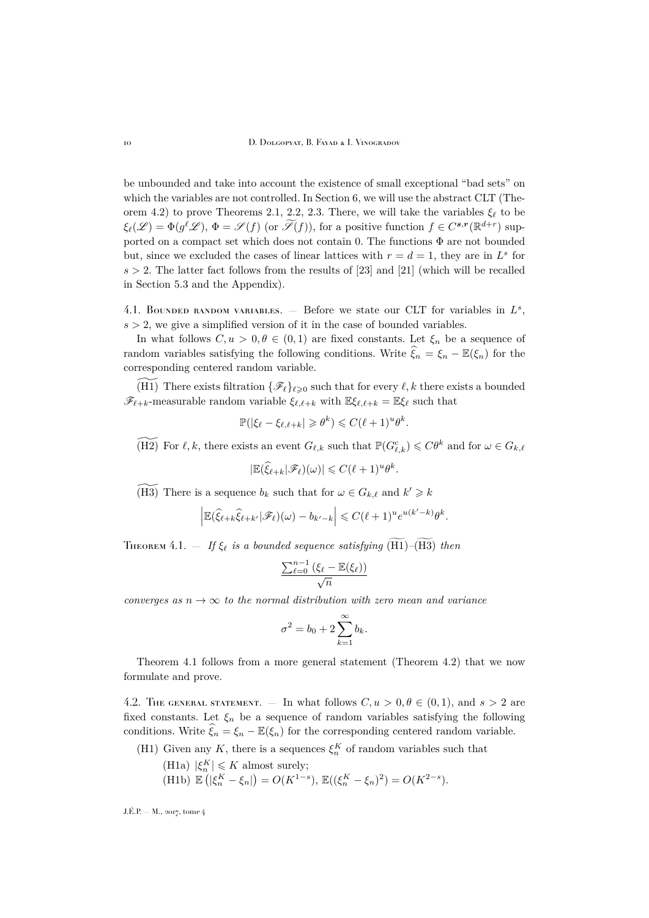be unbounded and take into account the existence of small exceptional "bad sets" on which the variables are not controlled. In Section [6,](#page-22-0) we will use the abstract CLT (The-orem [4.2\)](#page-11-0) to prove Theorems [2.1,](#page-5-0) [2.2,](#page-6-0) [2.3.](#page-6-1) There, we will take the variables  $\xi_{\ell}$  to be  $\xi_{\ell}(\mathscr{L}) = \Phi(g^{\ell}\mathscr{L}), \Phi = \mathscr{S}(f)$  (or  $\widetilde{\mathscr{S}}(f)$ ), for a positive function  $f \in C^{s,r}(\mathbb{R}^{d+r})$  supported on a compact set which does not contain 0. The functions  $\Phi$  are not bounded but, since we excluded the cases of linear lattices with  $r = d = 1$ , they are in  $L^s$  for  $s > 2$ . The latter fact follows from the results of [\[23\]](#page-35-7) and [\[21\]](#page-35-9) (which will be recalled in Section [5.3](#page-21-0) and the Appendix).

4.1. BOUNDED RANDOM VARIABLES.  $-$  Before we state our CLT for variables in  $L^s$ ,  $s > 2$ , we give a simplified version of it in the case of bounded variables.

In what follows  $C, u > 0, \theta \in (0, 1)$  are fixed constants. Let  $\xi_n$  be a sequence of random variables satisfying the following conditions. Write  $\widehat{\xi}_n = \xi_n - \mathbb{E}(\xi_n)$  for the corresponding centered random variable.

(H1) There exists filtration  $\{\mathscr{F}_{\ell}\}_{\ell \geqslant 0}$  such that for every  $\ell, k$  there exists a bounded  $\mathscr{F}_{\ell+k}$ -measurable random variable  $\xi_{\ell,\ell+k}$  with  $\mathbb{E}\xi_{\ell,\ell+k} = \mathbb{E}\xi_{\ell}$  such that

$$
\mathbb{P}(|\xi_{\ell} - \xi_{\ell, \ell + k}| \geqslant \theta^k) \leqslant C(\ell + 1)^u \theta^k.
$$

(H2) For  $\ell, k$ , there exists an event  $G_{\ell,k}$  such that  $\mathbb{P}(G_{\ell,k}^c) \leqslant C\theta^k$  and for  $\omega \in G_{k,\ell}$ 

$$
|\mathbb{E}(\widehat{\xi}_{\ell+k}|\mathscr{F}_{\ell})(\omega)| \leqslant C(\ell+1)^u\theta^k.
$$

(H3) There is a sequence  $b_k$  such that for  $\omega \in G_{k,\ell}$  and  $k' \geq k$ 

$$
\left| \mathbb{E} (\widehat{\xi}_{\ell+k} \widehat{\xi}_{\ell+k'} | \mathscr{F}_{\ell})(\omega) - b_{k'-k} \right| \leqslant C (\ell+1)^u e^{u(k'-k)} \theta^k.
$$

<span id="page-10-0"></span>THEOREM 4.1.  $-$  *If*  $\xi_{\ell}$  *is a bounded sequence satisfying*  $(\widetilde{H1})-(\widetilde{H3})$  *then* 

$$
\frac{\sum_{\ell=0}^{n-1} (\xi_{\ell} - \mathbb{E}(\xi_{\ell}))}{\sqrt{n}}
$$

*converges as*  $n \to \infty$  *to the normal distribution with zero mean and variance* 

$$
\sigma^2 = b_0 + 2 \sum_{k=1}^{\infty} b_k.
$$

Theorem [4.1](#page-10-0) follows from a more general statement (Theorem [4.2\)](#page-11-0) that we now formulate and prove.

4.2. THE GENERAL STATEMENT. — In what follows  $C, u > 0, \theta \in (0, 1)$ , and  $s > 2$  are fixed constants. Let  $\xi_n$  be a sequence of random variables satisfying the following conditions. Write  $\xi_n = \xi_n - \mathbb{E}(\xi_n)$  for the corresponding centered random variable.

- (H1) Given any K, there is a sequences  $\xi_n^K$  of random variables such that
	- (H1a)  $|\xi_n^K| \leqslant K$  almost surely; (H1b)  $\mathbb{E}(|\xi_n^K - \xi_n|) = O(K^{1-s}), \mathbb{E}((\xi_n^K - \xi_n)^2) = O(K^{2-s}).$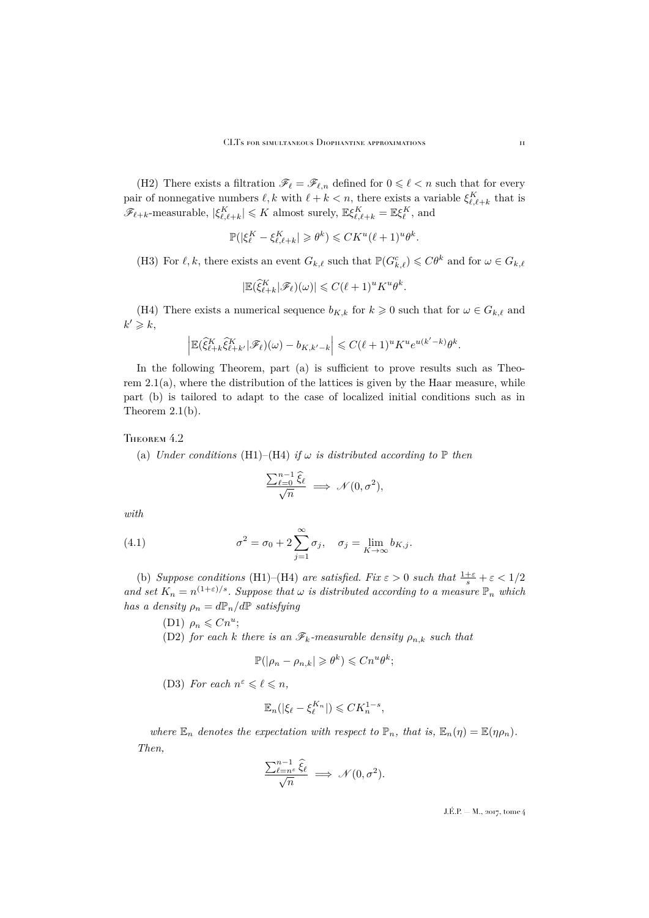(H2) There exists a filtration  $\mathscr{F}_\ell = \mathscr{F}_{\ell,n}$  defined for  $0 \leq \ell \leq n$  such that for every pair of nonnegative numbers  $\ell, k$  with  $\ell + k < n$ , there exists a variable  $\xi_{\ell, \ell + k}^K$  that is  $\mathscr{F}_{\ell+k}$ -measurable,  $|\xi_{\ell,\ell+k}^K| \leqslant K$  almost surely,  $\mathbb{E}\xi_{\ell,\ell+k}^K = \mathbb{E}\xi_{\ell}^K$ , and

$$
\mathbb{P}(|\xi_{\ell}^K - \xi_{\ell,\ell+k}^K| \geqslant \theta^k) \leqslant C K^u (\ell+1)^u \theta^k.
$$

(H3) For  $\ell, k$ , there exists an event  $G_{k,\ell}$  such that  $\mathbb{P}(G_{k,\ell}^c) \leqslant C\theta^k$  and for  $\omega \in G_{k,\ell}$ 

$$
|\mathbb{E}(\widehat{\xi}_{\ell+k}^K|\mathscr{F}_{\ell})(\omega)| \leqslant C(\ell+1)^u K^u \theta^k.
$$

(H4) There exists a numerical sequence  $b_{K,k}$  for  $k \geq 0$  such that for  $\omega \in G_{k,\ell}$  and  $k' \geqslant k$ ,

$$
\left| \mathbb{E} (\widehat{\xi}_{\ell+k}^K \widehat{\xi}_{\ell+k'}^K \vert \mathscr{F}_{\ell})(\omega) - b_{K,k'-k} \right| \leqslant C (\ell+1)^u K^u e^{u(k'-k)} \theta^k.
$$

In the following Theorem, part (a) is sufficient to prove results such as Theorem  $2.1(a)$  $2.1(a)$ , where the distribution of the lattices is given by the Haar measure, while part (b) is tailored to adapt to the case of localized initial conditions such as in Theorem [2.1\(](#page-5-0)b).

#### <span id="page-11-0"></span>THEOREM 4.2

(a) *Under conditions* (H1)–(H4) *if*  $\omega$  *is distributed according to*  $\mathbb P$  *then* 

<span id="page-11-1"></span>
$$
\frac{\sum_{\ell=0}^{n-1} \widehat{\xi}_{\ell}}{\sqrt{n}} \implies \mathcal{N}(0, \sigma^2),
$$

*with*

(4.1) 
$$
\sigma^2 = \sigma_0 + 2 \sum_{j=1}^{\infty} \sigma_j, \quad \sigma_j = \lim_{K \to \infty} b_{K,j}.
$$

(b) *Suppose conditions* (H1)–(H4) *are satisfied. Fix*  $\varepsilon > 0$  *such that*  $\frac{1+\varepsilon}{s} + \varepsilon < 1/2$ and set  $K_n = n^{(1+\varepsilon)/s}$ . Suppose that  $\omega$  is distributed according to a measure  $\mathbb{P}_n$  which *has a density*  $\rho_n = dP_n/dP$  *satisfying* 

(D1)  $\rho_n \leq C n^u;$ 

(D2) *for each* k *there is an*  $\mathscr{F}_k$ -measurable density  $\rho_{n,k}$  such that

$$
\mathbb{P}(|\rho_n - \rho_{n,k}| \geqslant \theta^k) \leqslant Cn^u \theta^k;
$$

(D3) For each  $n^{\varepsilon} \leq \ell \leq n$ ,

$$
\mathbb{E}_n(|\xi_{\ell}-\xi_{\ell}^{K_n}|)\leqslant CK_n^{1-s},
$$

*where*  $\mathbb{E}_n$  *denotes the expectation with respect to*  $\mathbb{P}_n$ *, that is,*  $\mathbb{E}_n(\eta) = \mathbb{E}(\eta \rho_n)$ *. Then,*

$$
\frac{\sum_{\ell=n^{\varepsilon}}^{n-1} \hat{\xi}_{\ell}}{\sqrt{n}} \implies \mathcal{N}(0, \sigma^2).
$$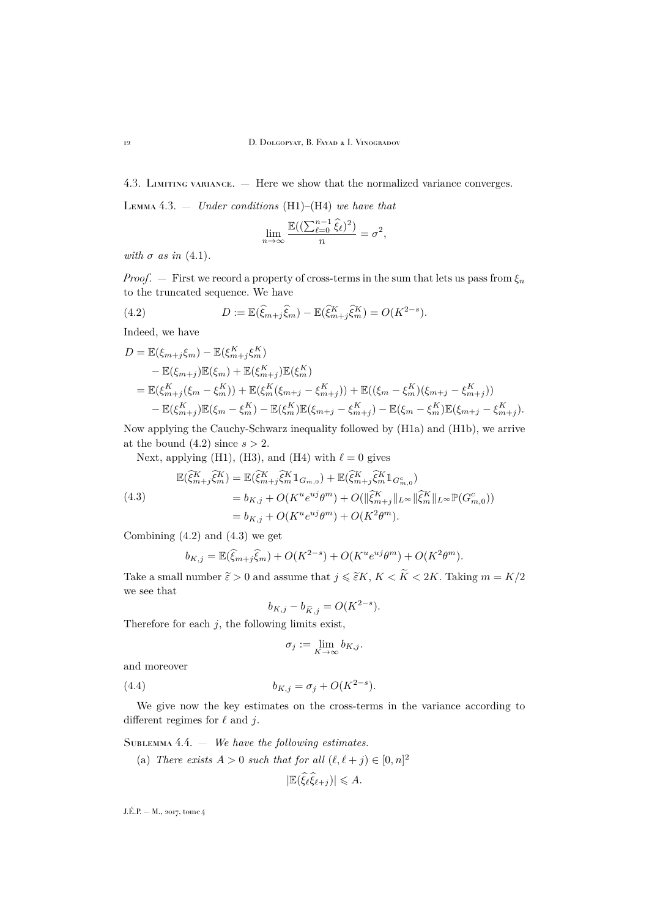4.3. Limiting variance. — Here we show that the normalized variance converges.

<span id="page-12-2"></span>Lemma 4.3. — *Under conditions* (H1)–(H4) *we have that*

$$
\lim_{n \to \infty} \frac{\mathbb{E}((\sum_{\ell=0}^{n-1} \widehat{\xi}_{\ell})^2)}{n} = \sigma^2,
$$

*with*  $\sigma$  *as in* [\(4.1\)](#page-11-1)*.* 

*Proof.* — First we record a property of cross-terms in the sum that lets us pass from  $\xi_n$ to the truncated sequence. We have

<span id="page-12-0"></span>(4.2) 
$$
D := \mathbb{E}(\widehat{\xi}_{m+j}\widehat{\xi}_m) - \mathbb{E}(\widehat{\xi}_{m+j}^K\widehat{\xi}_m^K) = O(K^{2-s}).
$$

Indeed, we have

$$
D = \mathbb{E}(\xi_{m+j}\xi_m) - \mathbb{E}(\xi_{m+j}^K\xi_m^K)
$$
  
\n
$$
- \mathbb{E}(\xi_{m+j})\mathbb{E}(\xi_m) + \mathbb{E}(\xi_{m+j}^K)\mathbb{E}(\xi_m^K)
$$
  
\n
$$
= \mathbb{E}(\xi_{m+j}^K(\xi_m - \xi_m^K)) + \mathbb{E}(\xi_m^K(\xi_{m+j} - \xi_{m+j}^K)) + \mathbb{E}((\xi_m - \xi_m^K)(\xi_{m+j} - \xi_{m+j}^K))
$$
  
\n
$$
- \mathbb{E}(\xi_{m+j}^K)\mathbb{E}(\xi_m - \xi_m^K) - \mathbb{E}(\xi_m^K)\mathbb{E}(\xi_{m+j} - \xi_{m+j}^K) - \mathbb{E}(\xi_m - \xi_m^K)\mathbb{E}(\xi_{m+j} - \xi_{m+j}^K).
$$

Now applying the Cauchy-Schwarz inequality followed by (H1a) and (H1b), we arrive at the bound  $(4.2)$  since  $s > 2$ .

Next, applying (H1), (H3), and (H4) with  $\ell = 0$  gives

<span id="page-12-1"></span>(4.3)  
\n
$$
\mathbb{E}(\hat{\xi}_{m+j}^K \hat{\xi}_m^K) = \mathbb{E}(\hat{\xi}_{m+j}^K \hat{\xi}_m^K 1_{G_{m,0}}) + \mathbb{E}(\hat{\xi}_{m+j}^K \hat{\xi}_m^K 1_{G_{m,0}^c})
$$
\n
$$
= b_{K,j} + O(K^u e^{uj} \theta^m) + O(||\hat{\xi}_{m+j}^K||_{L^\infty} ||\hat{\xi}_m^K||_{L^\infty} \mathbb{P}(G_{m,0}^c))
$$
\n
$$
= b_{K,j} + O(K^u e^{uj} \theta^m) + O(K^2 \theta^m).
$$

Combining  $(4.2)$  and  $(4.3)$  we get

$$
b_{K,j} = \mathbb{E}(\hat{\xi}_{m+j}\hat{\xi}_m) + O(K^{2-s}) + O(K^u e^{uj}\theta^m) + O(K^2\theta^m).
$$

Take a small number  $\widetilde{\varepsilon} > 0$  and assume that  $j \leq \widetilde{\varepsilon}K, K < \widetilde{K} < 2K$ . Taking  $m = K/2$ we see that

$$
b_{K,j} - b_{\widetilde{K},j} = O(K^{2-s}).
$$

Therefore for each  $j$ , the following limits exist,

<span id="page-12-4"></span>
$$
\sigma_j := \lim_{K \to \infty} b_{K,j}.
$$

and moreover

(4.4)  $b_{K,j} = \sigma_j + O(K^{2-s}).$ 

We give now the key estimates on the cross-terms in the variance according to different regimes for  $\ell$  and j.

<span id="page-12-3"></span>Sublemma 4.4. — *We have the following estimates.*

(a) *There exists*  $A > 0$  *such that for all*  $(\ell, \ell + j) \in [0, n]^2$ 

$$
|\mathbb{E}(\widehat{\xi}_{\ell}\widehat{\xi}_{\ell+j})| \leqslant A.
$$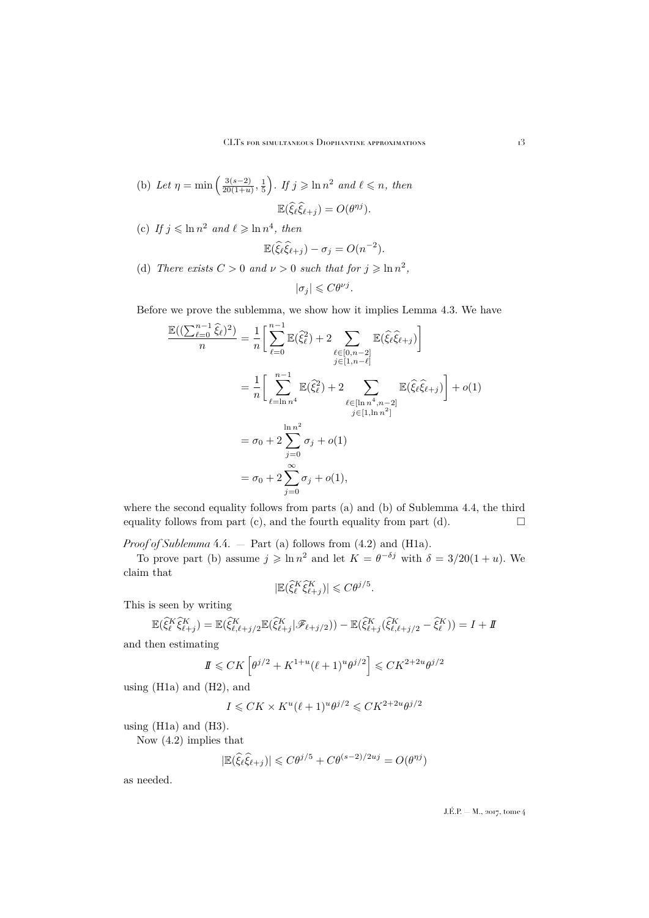- (b) Let  $\eta = \min \left( \frac{3(s-2)}{20(1+y)} \right)$  $\left(\frac{3(s-2)}{20(1+u)},\frac{1}{5}\right)$ *. If*  $j \geqslant \ln n^2$  and  $\ell \leqslant n$ *, then*  $\mathbb{E}(\widehat{\xi}_{\ell}\widehat{\xi}_{\ell+j}) = O(\theta^{\eta j}).$
- (c) If  $j \leq \ln n^2$  and  $\ell \geq \ln n^4$ , then

$$
\mathbb{E}(\widehat{\xi}_{\ell}\widehat{\xi}_{\ell+j}) - \sigma_j = O(n^{-2}).
$$

(d) *There exists*  $C > 0$  *and*  $\nu > 0$  *such that for*  $j \geqslant \ln n^2$ ,

$$
|\sigma_j| \leqslant C\theta^{\nu j}.
$$

Before we prove the sublemma, we show how it implies Lemma [4.3.](#page-12-2) We have

$$
\frac{\mathbb{E}((\sum_{\ell=0}^{n-1} \hat{\xi}_{\ell})^2)}{n} = \frac{1}{n} \left[ \sum_{\ell=0}^{n-1} \mathbb{E}(\hat{\xi}_{\ell}^2) + 2 \sum_{\substack{\ell \in [0, n-2] \\ j \in [1, n-\ell]}} \mathbb{E}(\hat{\xi}_{\ell}^2 \hat{\xi}_{\ell+j}) \right]
$$
  
\n
$$
= \frac{1}{n} \left[ \sum_{\ell=\ln n^4}^{n-1} \mathbb{E}(\hat{\xi}_{\ell}^2) + 2 \sum_{\substack{\ell \in [\ln n^4, n-2] \\ j \in [1, \ln n^2]}} \mathbb{E}(\hat{\xi}_{\ell} \hat{\xi}_{\ell+j}) \right] + o(1)
$$
  
\n
$$
= \sigma_0 + 2 \sum_{j=0}^{\ln n^2} \sigma_j + o(1)
$$
  
\n
$$
= \sigma_0 + 2 \sum_{j=0}^{\infty} \sigma_j + o(1),
$$

where the second equality follows from parts (a) and (b) of Sublemma [4.4,](#page-12-3) the third equality follows from part (c), and the fourth equality from part (d).  $\Box$ 

*Proof of Sublemma* [4.4.](#page-12-3) — Part (a) follows from [\(4.2\)](#page-12-0) and (H1a).

To prove part (b) assume  $j \geqslant \ln n^2$  and let  $K = \theta^{-\delta j}$  with  $\delta = 3/20(1 + u)$ . We claim that

$$
|\mathbb{E}(\widehat{\xi}_{\ell}^K \widehat{\xi}_{\ell+j}^K)| \leqslant C \theta^{j/5}.
$$

This is seen by writing

$$
\mathbb{E}(\widehat{\xi}_{\ell}^{K}\widehat{\xi}_{\ell+j}^{K}) = \mathbb{E}(\widehat{\xi}_{\ell,\ell+j/2}^{K}\mathbb{E}(\widehat{\xi}_{\ell+j}^{K}|\mathscr{F}_{\ell+j/2})) - \mathbb{E}(\widehat{\xi}_{\ell+j}^{K}(\widehat{\xi}_{\ell,\ell+j/2}^{K} - \widehat{\xi}_{\ell}^{K})) = I + I
$$

and then estimating

$$
I\!\!I \leq C K \left[ \theta^{j/2} + K^{1+u} (\ell+1)^u \theta^{j/2} \right] \leq C K^{2+2u} \theta^{j/2}
$$

using (H1a) and (H2), and

$$
I \leqslant CK \times K^u (\ell+1)^u \theta^{j/2} \leqslant C K^{2+2u} \theta^{j/2}
$$

using (H1a) and (H3).

Now [\(4.2\)](#page-12-0) implies that

$$
|\mathbb{E}(\widehat{\xi}_{\ell}\widehat{\xi}_{\ell+j})| \leq C\theta^{j/5} + C\theta^{(s-2)/2uj} = O(\theta^{\eta j})
$$

as needed.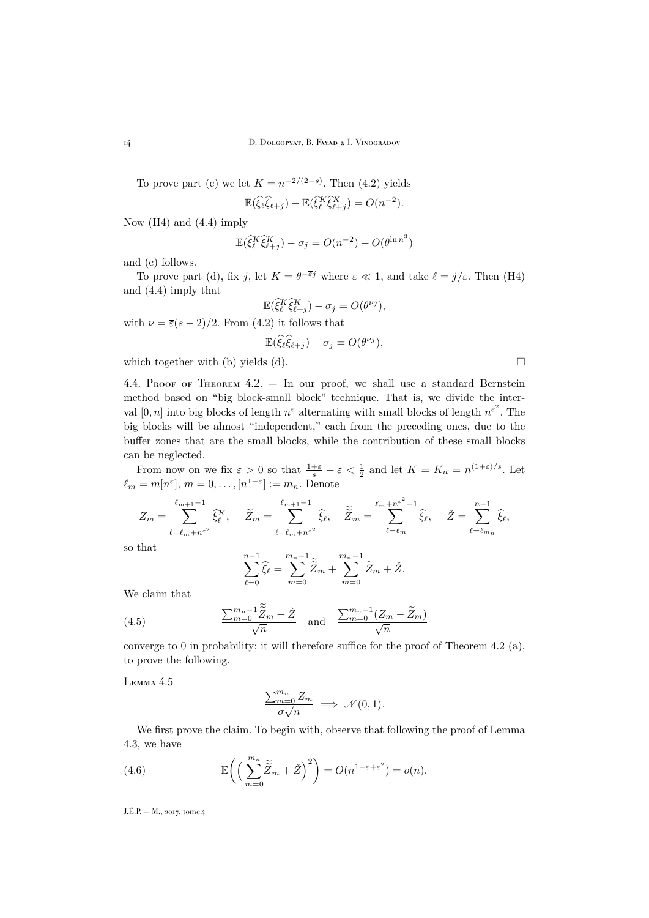To prove part (c) we let  $K = n^{-2/(2-s)}$ . Then [\(4.2\)](#page-12-0) yields  $\mathbb{E}(\widehat{\xi}_{\ell} \widehat{\xi}_{\ell+j}) - \mathbb{E}(\widehat{\xi}_{\ell}^K \widehat{\xi}_{\ell+j}^K) = O(n^{-2}).$ 

Now (H4) and [\(4.4\)](#page-12-4) imply

$$
\mathbb{E}(\widehat{\xi}_{\ell}^K \widehat{\xi}_{\ell+j}^K) - \sigma_j = O(n^{-2}) + O(\theta^{\ln n^3})
$$

and (c) follows.

To prove part (d), fix j, let  $K = \theta^{-\overline{\varepsilon}j}$  where  $\overline{\varepsilon} \ll 1$ , and take  $\ell = j/\overline{\varepsilon}$ . Then (H4) and [\(4.4\)](#page-12-4) imply that

$$
\mathbb{E}(\hat{\xi}_\ell^K \hat{\xi}_{\ell+j}^K) - \sigma_j = O(\theta^{\nu j}),
$$
 with  $\nu = \bar{\varepsilon}(s-2)/2$ . From (4.2) it follows that

$$
\mathbb{E}(\widehat{\xi}_{\ell}\widehat{\xi}_{\ell+j})-\sigma_j=O(\theta^{\nu j}),
$$

which together with (b) yields (d).

4.4. Proof of Theorem [4.2.](#page-11-0) — In our proof, we shall use a standard Bernstein method based on "big block-small block" technique. That is, we divide the interval  $[0, n]$  into big blocks of length  $n^{\varepsilon}$  alternating with small blocks of length  $n^{\varepsilon^2}$ . The big blocks will be almost "independent," each from the preceding ones, due to the buffer zones that are the small blocks, while the contribution of these small blocks can be neglected.

From now on we fix  $\varepsilon > 0$  so that  $\frac{1+\varepsilon}{s} + \varepsilon < \frac{1}{2}$  and let  $K = K_n = n^{(1+\varepsilon)/s}$ . Let  $\ell_m = m[n^{\varepsilon}], m = 0, \ldots, [n^{1-\varepsilon}] := m_n.$  Denote

$$
Z_m = \sum_{\ell=\ell_m+n^{\varepsilon^2}}^{\ell_{m+1}-1} \hat{\xi}_{\ell}^K, \quad \widetilde{Z}_m = \sum_{\ell=\ell_m+n^{\varepsilon^2}}^{\ell_{m+1}-1} \hat{\xi}_{\ell}, \quad \widetilde{\widetilde{Z}}_m = \sum_{\ell=\ell_m}^{\ell_m+n^{\varepsilon^2}-1} \hat{\xi}_{\ell}, \quad \widetilde{Z} = \sum_{\ell=\ell_{m_n}}^{n-1} \hat{\xi}_{\ell},
$$

so that

<span id="page-14-0"></span>
$$
\sum_{\ell=0}^{n-1} \hat{\xi}_{\ell} = \sum_{m=0}^{m_n-1} \tilde{\widetilde{Z}}_m + \sum_{m=0}^{m_n-1} \tilde{Z}_m + \check{Z}.
$$

We claim that

(4.5) 
$$
\frac{\sum_{m=0}^{m_n-1} \tilde{\widetilde{Z}}_m + \check{Z}}{\sqrt{n}} \quad \text{and} \quad \frac{\sum_{m=0}^{m_n-1} (Z_m - \widetilde{Z}_m)}{\sqrt{n}}
$$

converge to 0 in probability; it will therefore suffice for the proof of Theorem [4.2](#page-11-0) (a), to prove the following.

<span id="page-14-1"></span>Lemma 4.5

<span id="page-14-2"></span>
$$
\frac{\sum_{m=0}^{m_n} Z_m}{\sigma \sqrt{n}} \implies \mathcal{N}(0, 1).
$$

We first prove the claim. To begin with, observe that following the proof of Lemma [4.3,](#page-12-2) we have

(4.6) 
$$
\mathbb{E}\bigg(\Big(\sum_{m=0}^{m_n}\widetilde{\widetilde{Z}}_m+\check{Z}\Big)^2\bigg)=O(n^{1-\varepsilon+\varepsilon^2})=o(n).
$$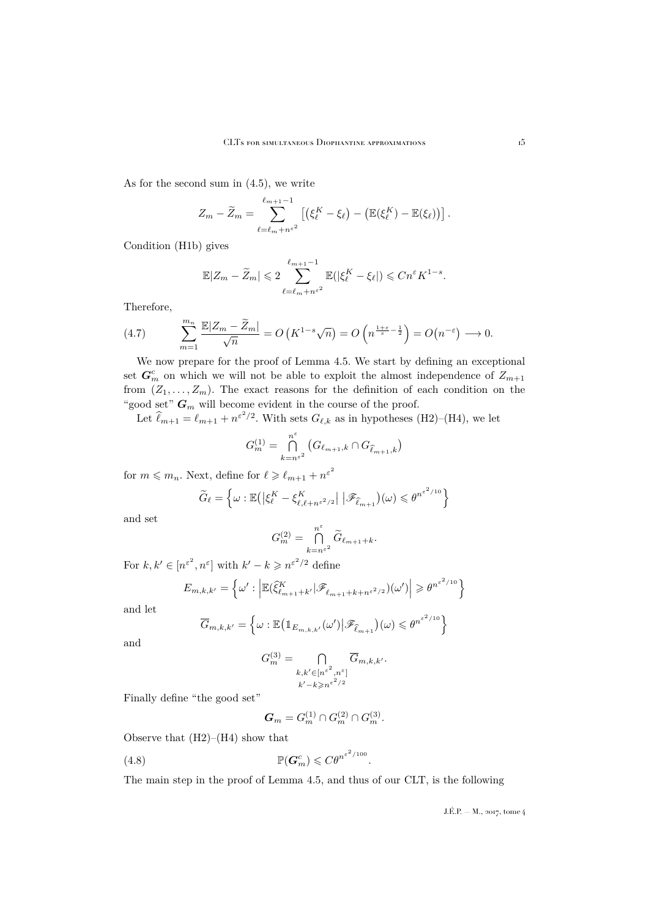As for the second sum in [\(4.5\)](#page-14-0), we write

$$
Z_m - \widetilde{Z}_m = \sum_{\ell=\ell_m+n^{\epsilon^2}}^{\ell_{m+1}-1} \left[ \left( \xi_{\ell}^K - \xi_{\ell} \right) - \left( \mathbb{E}(\xi_{\ell}^K) - \mathbb{E}(\xi_{\ell}) \right) \right].
$$

Condition (H1b) gives

$$
\mathbb{E}|Z_m - \widetilde{Z}_m| \leqslant 2 \sum_{\ell=\ell_m+n^{\varepsilon^2}}^{\ell_{m+1}-1} \mathbb{E}(|\xi_{\ell}^K - \xi_{\ell}|) \leqslant Cn^{\varepsilon} K^{1-s}.
$$

Therefore,

<span id="page-15-1"></span>(4.7) 
$$
\sum_{m=1}^{m_n} \frac{\mathbb{E}|Z_m - \widetilde{Z}_m|}{\sqrt{n}} = O\left(K^{1-s}\sqrt{n}\right) = O\left(n^{\frac{1+\varepsilon}{s}-\frac{1}{2}}\right) = O\left(n^{-\varepsilon}\right) \longrightarrow 0.
$$

We now prepare for the proof of Lemma [4.5.](#page-14-1) We start by defining an exceptional set  $\mathbf{G}_m^c$  on which we will not be able to exploit the almost independence of  $Z_{m+1}$ from  $(Z_1, \ldots, Z_m)$ . The exact reasons for the definition of each condition on the "good set" $\boldsymbol{G}_m$  will become evident in the course of the proof.

Let  $\hat{\ell}_{m+1} = \ell_{m+1} + n^{\varepsilon^2/2}$ . With sets  $G_{\ell,k}$  as in hypotheses (H2)–(H4), we let

$$
G_m^{(1)} = \bigcap_{k=n^{e^2}}^{n^e} \left( G_{\ell_{m+1},k} \cap G_{\widehat{\ell}_{m+1},k} \right)
$$

for  $m \leqslant m_n$ . Next, define for  $\ell \geqslant \ell_{m+1} + n^{\varepsilon^2}$ 

$$
\widetilde{G}_{\ell} = \left\{ \omega : \mathbb{E} \left( \left| \xi_{\ell}^{K} - \xi_{\ell, \ell + n^{\varepsilon^{2}/2}}^{K} \right| \, \left| \mathscr{F}_{\widehat{\ell}_{m+1}} \right) (\omega) \leqslant \theta^{n^{\varepsilon^{2}/10}} \right\}
$$

and set

$$
G_m^{(2)} = \bigcap_{k=n^{\varepsilon^2}}^{n^{\varepsilon}} \widetilde{G}_{\ell_{m+1}+k}.
$$

For  $k, k' \in [n^{\varepsilon^2}, n^{\varepsilon}]$  with  $k' - k \geqslant n^{\varepsilon^2/2}$  define

$$
E_{m,k,k'} = \left\{ \omega' : \left| \mathbb{E}(\widehat{\xi}_{\ell_{m+1}+k'}^K | \mathscr{F}_{\ell_{m+1}+k+n^{\varepsilon^2/2}})(\omega') \right| \geqslant \theta^{n^{\varepsilon^2/10}} \right\}
$$

and let

$$
\overline{G}_{m,k,k'} = \left\{ \omega : \mathbb{E} \left( \mathbb{1}_{E_{m,k,k'}}(\omega') \middle| \mathscr{F}_{\widehat{\ell}_{m+1}} \right) (\omega) \leqslant \theta^{n^{\varepsilon^2/10}} \right\}
$$

and

$$
G_m^{(3)} = \bigcap_{\substack{k,k' \in [n^{\varepsilon^2}, n^{\varepsilon}]}\\k' - k \ge n^{\varepsilon^2/2}} \overline{G}_{m,k,k'}.
$$

Finally define "the good set"

<span id="page-15-0"></span>
$$
G_m = G_m^{(1)} \cap G_m^{(2)} \cap G_m^{(3)}.
$$

Observe that (H2)–(H4) show that

(4.8) P(G<sup>c</sup> <sup>m</sup>) 6 Cθ<sup>n</sup> ε 2/100 .

The main step in the proof of Lemma [4.5,](#page-14-1) and thus of our CLT, is the following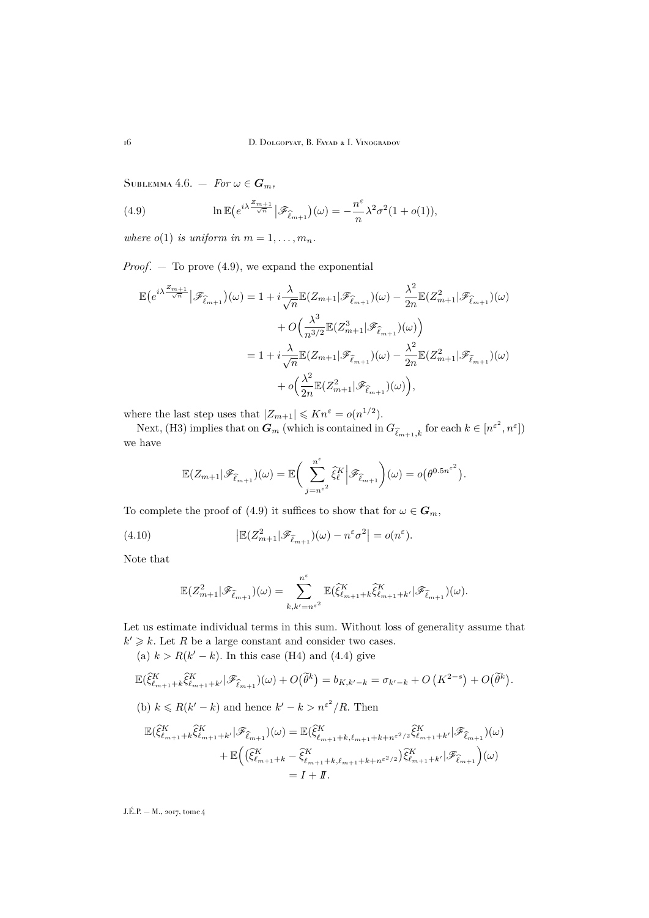<span id="page-16-2"></span>SUBLEMMA 4.6.  $-$  *For*  $\omega \in G_m$ ,

<span id="page-16-0"></span>(4.9) 
$$
\ln \mathbb{E} \big(e^{i\lambda \frac{Z_{m+1}}{\sqrt{n}}}\big|\mathscr{F}_{\widehat{\ell}_{m+1}}\big)(\omega) = -\frac{n^{\varepsilon}}{n}\lambda^2 \sigma^2 (1+o(1)),
$$

*where*  $o(1)$  *is uniform in*  $m = 1, \ldots, m_n$ .

*Proof*. — To prove [\(4.9\)](#page-16-0), we expand the exponential

$$
\mathbb{E}\left(e^{i\lambda \frac{Z_{m+1}}{\sqrt{n}}}\big|\mathscr{F}_{\widehat{\ell}_{m+1}}\right)(\omega) = 1 + i\frac{\lambda}{\sqrt{n}}\mathbb{E}\left(Z_{m+1}|\mathscr{F}_{\widehat{\ell}_{m+1}}\right)(\omega) - \frac{\lambda^2}{2n}\mathbb{E}\left(Z_{m+1}^2|\mathscr{F}_{\widehat{\ell}_{m+1}}\right)(\omega) \n+ O\left(\frac{\lambda^3}{n^{3/2}}\mathbb{E}\left(Z_{m+1}^3|\mathscr{F}_{\widehat{\ell}_{m+1}}\right)(\omega)\right) \n= 1 + i\frac{\lambda}{\sqrt{n}}\mathbb{E}\left(Z_{m+1}|\mathscr{F}_{\widehat{\ell}_{m+1}}\right)(\omega) - \frac{\lambda^2}{2n}\mathbb{E}\left(Z_{m+1}^2|\mathscr{F}_{\widehat{\ell}_{m+1}}\right)(\omega) \n+ o\left(\frac{\lambda^2}{2n}\mathbb{E}\left(Z_{m+1}^2|\mathscr{F}_{\widehat{\ell}_{m+1}}\right)(\omega)\right),
$$

where the last step uses that  $|Z_{m+1}| \leqslant Kn^{\varepsilon} = o(n^{1/2}).$ 

Next, (H3) implies that on  $G_m$  (which is contained in  $G_{\widehat{k}_{m+1},k}$  for each  $k \in [n^{\varepsilon^2}, n^{\varepsilon}]$ ) we have

$$
\mathbb{E}(Z_{m+1}|\mathscr{F}_{\widehat{\ell}_{m+1}})(\omega) = \mathbb{E}\bigg(\sum_{j=n^{\varepsilon}}^{n^{\varepsilon}} \widehat{\xi}_{\ell}^{K} \Big|\mathscr{F}_{\widehat{\ell}_{m+1}}\bigg)(\omega) = o(\theta^{0.5n^{\varepsilon^2}}).
$$

To complete the proof of [\(4.9\)](#page-16-0) it suffices to show that for  $\omega \in G_m$ ,

(4.10) 
$$
\left| \mathbb{E}(Z_{m+1}^2 | \mathscr{F}_{\hat{\ell}_{m+1}})(\omega) - n^{\varepsilon} \sigma^2 \right| = o(n^{\varepsilon}).
$$

Note that

<span id="page-16-1"></span>
$$
\mathbb{E}(Z_{m+1}^2|\mathscr{F}_{\widehat{\ell}_{m+1}})(\omega) = \sum_{k,k'=n^{\varepsilon^2}}^{n^{\varepsilon}} \mathbb{E}(\widehat{\xi}_{\ell_{m+1}+k}^K \widehat{\xi}_{\ell_{m+1}+k'}^K|\mathscr{F}_{\widehat{\ell}_{m+1}})(\omega).
$$

Let us estimate individual terms in this sum. Without loss of generality assume that  $k' \geq k$ . Let R be a large constant and consider two cases.

(a)  $k > R(k'-k)$ . In this case (H4) and [\(4.4\)](#page-12-4) give

$$
\mathbb{E}(\hat{\xi}_{\ell_{m+1}+k}^{K}\hat{\xi}_{\ell_{m+1}+k'}^{K}|\mathscr{F}_{\hat{\ell}_{m+1}})(\omega) + O(\tilde{\theta}^{k}) = b_{K,k'-k} = \sigma_{k'-k} + O\left(K^{2-s}\right) + O(\tilde{\theta}^{k}).
$$
\n(b)  $k \leq R(k'-k)$  and hence  $k'-k > n^{\varepsilon^2}/R$ . Then\n
$$
\mathbb{E}(\hat{\xi}_{\ell_{m+1}+k}^{K}\hat{\xi}_{\ell_{m+1}+k'}^{K}|\mathscr{F}_{\hat{\ell}_{m+1}})(\omega) = \mathbb{E}(\hat{\xi}_{\ell_{m+1}+k,\ell_{m+1}+k+n^{\varepsilon^2/2}}^{K}\hat{\xi}_{\ell_{m+1}+k'}^{K}|\mathscr{F}_{\hat{\ell}_{m+1}})(\omega) + \mathbb{E}\left((\hat{\xi}_{\ell_{m+1}+k}^{K}-\hat{\xi}_{\ell_{m+1}+k,\ell_{m+1}+k+n^{\varepsilon^2/2}}^{K})\hat{\xi}_{\ell_{m+1}+k'}^{K}|\mathscr{F}_{\hat{\ell}_{m+1}}\right)(\omega)
$$

 $= I + I\!\!I.$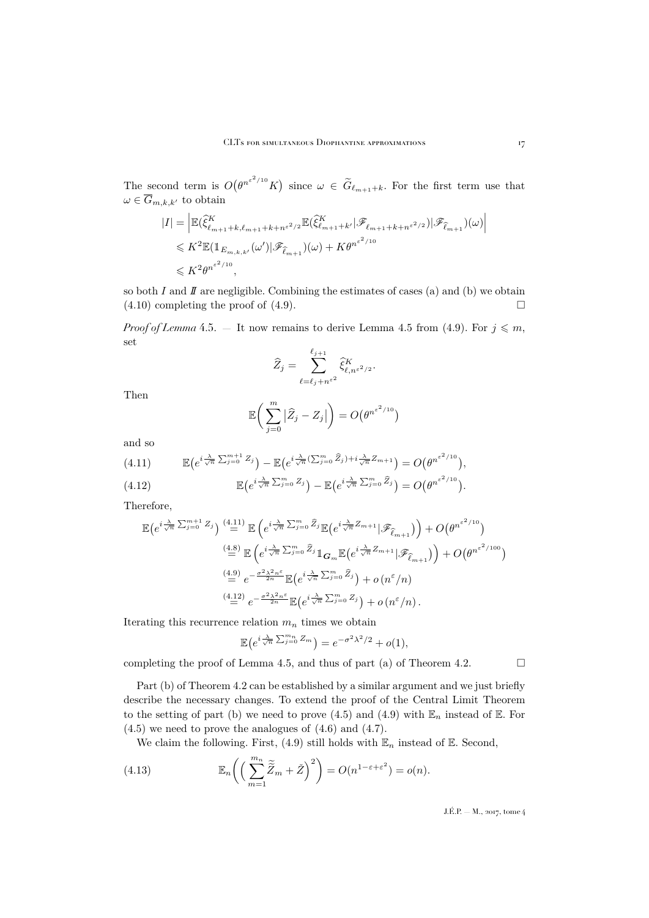The second term is  $O(e^{n^{\varepsilon^2/10}}K)$  since  $\omega \in \widetilde{G}_{\ell_{m+1}+k}$ . For the first term use that  $\omega \in \overline{G}_{m,k,k'}$  to obtain

$$
|I| = \left| \mathbb{E}(\hat{\xi}_{\ell_{m+1}+k,\ell_{m+1}+k+n^{\varepsilon^2/2}}^K \mathbb{E}(\hat{\xi}_{\ell_{m+1}+k'}^K |\mathscr{F}_{\ell_{m+1}+k+n^{\varepsilon^2/2}})|\mathscr{F}_{\hat{\ell}_{m+1}})(\omega) \right|
$$
  

$$
\leq K^2 \mathbb{E}(\mathbb{1}_{E_{m,k,k'}}(\omega')|\mathscr{F}_{\hat{\ell}_{m+1}})(\omega) + K\theta^{n^{\varepsilon^2/10}}
$$
  

$$
\leq K^2 \theta^{n^{\varepsilon^2/10}},
$$

so both  $I$  and  $I\!\!I$  are negligible. Combining the estimates of cases (a) and (b) we obtain  $(4.10)$  completing the proof of  $(4.9)$ .

*Proof of Lemma* [4.5.](#page-14-1) – It now remains to derive Lemma [4.5](#page-14-1) from [\(4.9\)](#page-16-0). For  $j \leq m$ , set

$$
\widehat{Z}_j = \sum_{\ell=\ell_j+n^{\varepsilon^2}}^{\ell_{j+1}} \widehat{\xi}_{\ell,n^{\varepsilon^2/2}}^K.
$$

Then

$$
\mathbb{E}\bigg(\sum_{j=0}^m\big|\widehat{Z}_j-Z_j\big|\bigg)=O\big(\theta^{n^{\varepsilon^2/10}}\big)
$$

and so

<span id="page-17-0"></span>
$$
(4.11) \qquad \mathbb{E}\left(e^{i\frac{\lambda}{\sqrt{n}}\sum_{j=0}^{m+1}Z_j}\right) - \mathbb{E}\left(e^{i\frac{\lambda}{\sqrt{n}}\left(\sum_{j=0}^{m}\widehat{Z}_j\right) + i\frac{\lambda}{\sqrt{n}}Z_{m+1}}\right) = O\left(\theta^{n^{\varepsilon^2/10}}\right),
$$

<span id="page-17-1"></span>(4.12) 
$$
\mathbb{E}\left(e^{i\frac{\lambda}{\sqrt{n}}\sum_{j=0}^{m}Z_j}\right)-\mathbb{E}\left(e^{i\frac{\lambda}{\sqrt{n}}\sum_{j=0}^{m}\hat{Z}_j}\right)=O\left(\theta^{n^{\varepsilon^2/10}}\right).
$$

Therefore,

$$
\mathbb{E}\left(e^{i\frac{\lambda}{\sqrt{n}}\sum_{j=0}^{m+1}Z_j}\right) \stackrel{(4.11)}{=} \mathbb{E}\left(e^{i\frac{\lambda}{\sqrt{n}}\sum_{j=0}^{m}\hat{Z}_j}\mathbb{E}\left(e^{i\frac{\lambda}{\sqrt{n}}Z_{m+1}}|\mathscr{F}_{\hat{\ell}_{m+1}}\right)\right) + O\left(\theta^{n^{\varepsilon^{2}/10}}\right)
$$
\n
$$
\stackrel{(4.8)}{=} \mathbb{E}\left(e^{i\frac{\lambda}{\sqrt{n}}\sum_{j=0}^{m}\hat{Z}_j}\mathbb{1}_{\mathbf{G}_m}\mathbb{E}\left(e^{i\frac{\lambda}{\sqrt{n}}Z_{m+1}}|\mathscr{F}_{\hat{\ell}_{m+1}}\right)\right) + O\left(\theta^{n^{\varepsilon^{2}/100}}\right)
$$
\n
$$
\stackrel{(4.9)}{=} e^{-\frac{\sigma^2\lambda^2n^{\varepsilon}}{2n}}\mathbb{E}\left(e^{i\frac{\lambda}{\sqrt{n}}\sum_{j=0}^{m}\hat{Z}_j}\right) + o\left(n^{\varepsilon}/n\right)
$$
\n
$$
\stackrel{(4.12)}{=} e^{-\frac{\sigma^2\lambda^2n^{\varepsilon}}{2n}}\mathbb{E}\left(e^{i\frac{\lambda}{\sqrt{n}}\sum_{j=0}^{m}\hat{Z}_j}\right) + o\left(n^{\varepsilon}/n\right).
$$

Iterating this recurrence relation  $m_n$  times we obtain

$$
\mathbb{E}\left(e^{i\frac{\lambda}{\sqrt{n}}\sum_{j=0}^{m_n}Z_m}\right)=e^{-\sigma^2\lambda^2/2}+o(1),
$$

completing the proof of Lemma [4.5,](#page-14-1) and thus of part (a) of Theorem [4.2.](#page-11-0)  $\Box$ 

Part (b) of Theorem [4.2](#page-11-0) can be established by a similar argument and we just briefly describe the necessary changes. To extend the proof of the Central Limit Theorem to the setting of part (b) we need to prove [\(4.5\)](#page-14-0) and [\(4.9\)](#page-16-0) with  $\mathbb{E}_n$  instead of  $\mathbb{E}$ . For [\(4.5\)](#page-14-0) we need to prove the analogues of [\(4.6\)](#page-14-2) and [\(4.7\)](#page-15-1).

<span id="page-17-2"></span>We claim the following. First, [\(4.9\)](#page-16-0) still holds with  $\mathbb{E}_n$  instead of  $\mathbb{E}$ . Second,

(4.13) 
$$
\mathbb{E}_n\bigg(\Big(\sum_{m=1}^{m_n}\widetilde{\widetilde{Z}}_m+\check{Z}\Big)^2\bigg)=O(n^{1-\varepsilon+\varepsilon^2})=o(n).
$$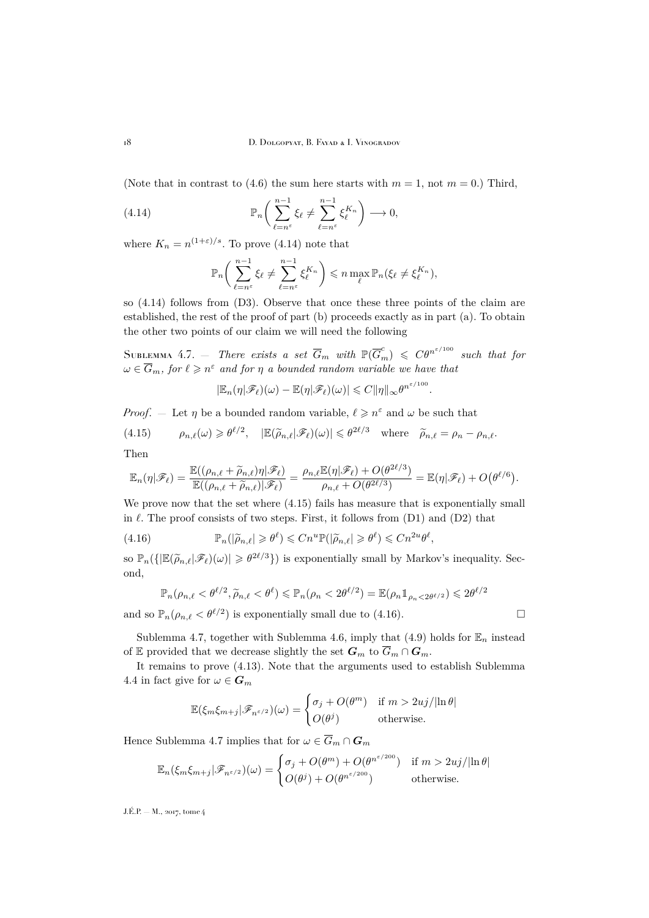(Note that in contrast to [\(4.6\)](#page-14-2) the sum here starts with  $m = 1$ , not  $m = 0$ .) Third,

(4.14) 
$$
\mathbb{P}_n\bigg(\sum_{\ell=n^{\varepsilon}}^{n-1} \xi_{\ell} \neq \sum_{\ell=n^{\varepsilon}}^{n-1} \xi_{\ell}^{K_n}\bigg) \longrightarrow 0,
$$

where  $K_n = n^{(1+\varepsilon)/s}$ . To prove [\(4.14\)](#page-18-0) note that

<span id="page-18-0"></span>
$$
\mathbb{P}_n\bigg(\sum_{\ell=n^{\varepsilon}}^{n-1}\xi_{\ell}\neq \sum_{\ell=n^{\varepsilon}}^{n-1}\xi_{\ell}^{K_n}\bigg) \leqslant n \max_{\ell} \mathbb{P}_n(\xi_{\ell}\neq \xi_{\ell}^{K_n}),
$$

so [\(4.14\)](#page-18-0) follows from (D3). Observe that once these three points of the claim are established, the rest of the proof of part (b) proceeds exactly as in part (a). To obtain the other two points of our claim we will need the following

<span id="page-18-3"></span>SUBLEMMA 4.7.  $-$  *There exists a set*  $\overline{G}_m$  with  $\mathbb{P}(\overline{G}_m^c) \leqslant C \theta^{n^{\varepsilon/100}}$  such that for  $\omega \in \overline{G}_m$ , for  $\ell \geqslant n^{\varepsilon}$  and for  $\eta$  a bounded random variable we have that

$$
|\mathbb{E}_n(\eta|\mathscr{F}_{\ell})(\omega)-\mathbb{E}(\eta|\mathscr{F}_{\ell})(\omega)|\leqslant C\|\eta\|_{\infty}\theta^{n^{\varepsilon/100}}
$$

.

*Proof.* – Let  $\eta$  be a bounded random variable,  $\ell \geq n^{\varepsilon}$  and  $\omega$  be such that

<span id="page-18-1"></span>(4.15) 
$$
\rho_{n,\ell}(\omega) \geq \theta^{\ell/2}, \quad |\mathbb{E}(\widetilde{\rho}_{n,\ell}|\mathscr{F}_{\ell})(\omega)| \leq \theta^{2\ell/3} \quad \text{where} \quad \widetilde{\rho}_{n,\ell} = \rho_n - \rho_{n,\ell}.
$$

Then

$$
\mathbb{E}_n(\eta|\mathscr{F}_{\ell}) = \frac{\mathbb{E}((\rho_{n,\ell} + \widetilde{\rho}_{n,\ell})\eta|\mathscr{F}_{\ell})}{\mathbb{E}((\rho_{n,\ell} + \widetilde{\rho}_{n,\ell})|\mathscr{F}_{\ell})} = \frac{\rho_{n,\ell}\mathbb{E}(\eta|\mathscr{F}_{\ell}) + O(\theta^{2\ell/3})}{\rho_{n,\ell} + O(\theta^{2\ell/3})} = \mathbb{E}(\eta|\mathscr{F}_{\ell}) + O(\theta^{\ell/6}).
$$

We prove now that the set where [\(4.15\)](#page-18-1) fails has measure that is exponentially small in  $\ell$ . The proof consists of two steps. First, it follows from (D1) and (D2) that

(4.16) 
$$
\mathbb{P}_n(|\widetilde{\rho}_{n,\ell}| \geq \theta^{\ell}) \leq Cn^u \mathbb{P}(|\widetilde{\rho}_{n,\ell}| \geq \theta^{\ell}) \leq Cn^{2u}\theta^{\ell},
$$

so  $\mathbb{P}_n(\{|\mathbb{E}(\widetilde{\rho}_{n,\ell}|\mathscr{F}_{\ell})(\omega)| \geq \theta^{2\ell/3}\})$  is exponentially small by Markov's inequality. Second,

<span id="page-18-2"></span>
$$
\mathbb{P}_n(\rho_{n,\ell} < \theta^{\ell/2}, \widetilde{\rho}_{n,\ell} < \theta^{\ell}) \leq \mathbb{P}_n(\rho_n < 2\theta^{\ell/2}) = \mathbb{E}(\rho_n 1_{\rho_n < 2\theta^{\ell/2}}) \leq 2\theta^{\ell/2}
$$

and so  $\mathbb{P}_n(\rho_{n,\ell} < \theta^{\ell/2})$  is exponentially small due to [\(4.16\)](#page-18-2).

Sublemma [4.7,](#page-18-3) together with Sublemma [4.6,](#page-16-2) imply that [\(4.9\)](#page-16-0) holds for  $\mathbb{E}_n$  instead of E provided that we decrease slightly the set  $G_m$  to  $\overline{G}_m \cap G_m$ .

It remains to prove [\(4.13\)](#page-17-2). Note that the arguments used to establish Sublemma [4.4](#page-12-3) in fact give for  $\omega \in \mathbf{G}_m$ 

$$
\mathbb{E}(\xi_m \xi_{m+j}|\mathscr{F}_{n^{\varepsilon/2}})(\omega) = \begin{cases} \sigma_j + O(\theta^m) & \text{if } m > 2uj/|\ln \theta| \\ O(\theta^j) & \text{otherwise.} \end{cases}
$$

Hence Sublemma [4.7](#page-18-3) implies that for  $\omega \in \overline{G}_m \cap \overline{G}_m$ 

$$
\mathbb{E}_n(\xi_m \xi_{m+j}|\mathscr{F}_{n^{\varepsilon/2}})(\omega) = \begin{cases} \sigma_j + O(\theta^m) + O(\theta^{n^{\varepsilon/200}}) & \text{if } m > 2uj/|\ln \theta| \\ O(\theta^j) + O(\theta^{n^{\varepsilon/200}}) & \text{otherwise.} \end{cases}
$$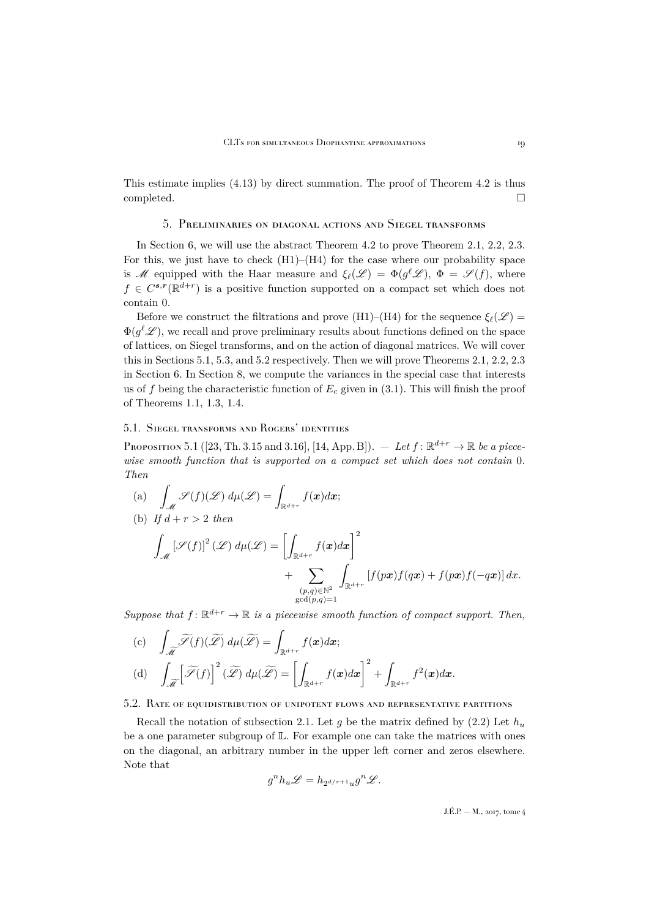This estimate implies [\(4.13\)](#page-17-2) by direct summation. The proof of Theorem [4.2](#page-11-0) is thus completed.

#### 5. Preliminaries on diagonal actions and Siegel transforms

<span id="page-19-0"></span>In Section [6,](#page-22-0) we will use the abstract Theorem [4.2](#page-11-0) to prove Theorem [2.1,](#page-5-0) [2.2,](#page-6-0) [2.3.](#page-6-1) For this, we just have to check  $(H1)$ – $(H4)$  for the case where our probability space is M equipped with the Haar measure and  $\xi_{\ell}(\mathscr{L}) = \Phi(g^{\ell} \mathscr{L}), \Phi = \mathscr{S}(f)$ , where  $f \in C^{s,r}(\mathbb{R}^{d+r})$  is a positive function supported on a compact set which does not contain 0.

Before we construct the filtrations and prove (H1)–(H4) for the sequence  $\xi_{\ell}(\mathscr{L}) =$  $\Phi(g^{\ell}\mathscr{L}),$  we recall and prove preliminary results about functions defined on the space of lattices, on Siegel transforms, and on the action of diagonal matrices. We will cover this in Sections [5.1,](#page-19-2) [5.3,](#page-21-0) and [5.2](#page-19-3) respectively. Then we will prove Theorems [2.1,](#page-5-0) [2.2,](#page-6-0) [2.3](#page-6-1) in Section [6.](#page-22-0) In Section [8,](#page-29-0) we compute the variances in the special case that interests us of f being the characteristic function of  $E_c$  given in [\(3.1\)](#page-7-5). This will finish the proof of Theorems [1.1,](#page-3-1) [1.3,](#page-3-2) [1.4.](#page-3-3)

#### <span id="page-19-2"></span>5.1. Siegel transforms and Rogers' identities

<span id="page-19-1"></span>Proposition 5.1 ([\[23,](#page-35-7) Th. 3.15 and 3.16], [\[14,](#page-34-11) App. B]).  $-$  *Let*  $f: \mathbb{R}^{d+r} \to \mathbb{R}$  *be a piecewise smooth function that is supported on a compact set which does not contain* 0*. Then*

(a) 
$$
\int_{\mathcal{M}} \mathcal{S}(f)(\mathcal{L}) d\mu(\mathcal{L}) = \int_{\mathbb{R}^{d+r}} f(\mathbf{x}) d\mathbf{x};
$$
  
\n(b) If  $d + r > 2$  then  
\n
$$
\int_{\mathcal{M}} [\mathcal{S}(f)]^2 (\mathcal{L}) d\mu(\mathcal{L}) = \left[ \int_{\mathbb{R}^{d+r}} f(\mathbf{x}) d\mathbf{x} \right]^2 + \sum_{\substack{(p,q) \in \mathbb{N}^2 \\ \gcd(p,q)=1}} \int_{\mathbb{R}^{d+r}} [f(p\mathbf{x}) f(q\mathbf{x}) + f(p\mathbf{x}) f(-q\mathbf{x})] dx.
$$

*Suppose that*  $f: \mathbb{R}^{d+r} \to \mathbb{R}$  *is a piecewise smooth function of compact support. Then,* 

(c) 
$$
\int_{\widetilde{\mathcal{M}}} \widetilde{\mathcal{S}}(f)(\widetilde{\mathcal{L}}) d\mu(\widetilde{\mathcal{L}}) = \int_{\mathbb{R}^{d+r}} f(\boldsymbol{x}) d\boldsymbol{x};
$$
  
(d) 
$$
\int_{\widetilde{\mathcal{M}}} \left[ \widetilde{\mathcal{S}}(f) \right]^2 (\widetilde{\mathcal{L}}) d\mu(\widetilde{\mathcal{L}}) = \left[ \int_{\mathbb{R}^{d+r}} f(\boldsymbol{x}) d\boldsymbol{x} \right]^2 + \int_{\mathbb{R}^{d+r}} f^2(\boldsymbol{x}) d\boldsymbol{x}.
$$

<span id="page-19-3"></span>5.2. Rate of equidistribution of unipotent flows and representative partitions

Recall the notation of subsection [2.1.](#page-4-1) Let q be the matrix defined by [\(2.2\)](#page-5-1) Let  $h_u$ be a one parameter subgroup of  $\mathbb{L}$ . For example one can take the matrices with ones on the diagonal, an arbitrary number in the upper left corner and zeros elsewhere. Note that

$$
g^nh_u\mathscr{L}=h_{2^{d/r+1}u}g^n\mathscr{L}.
$$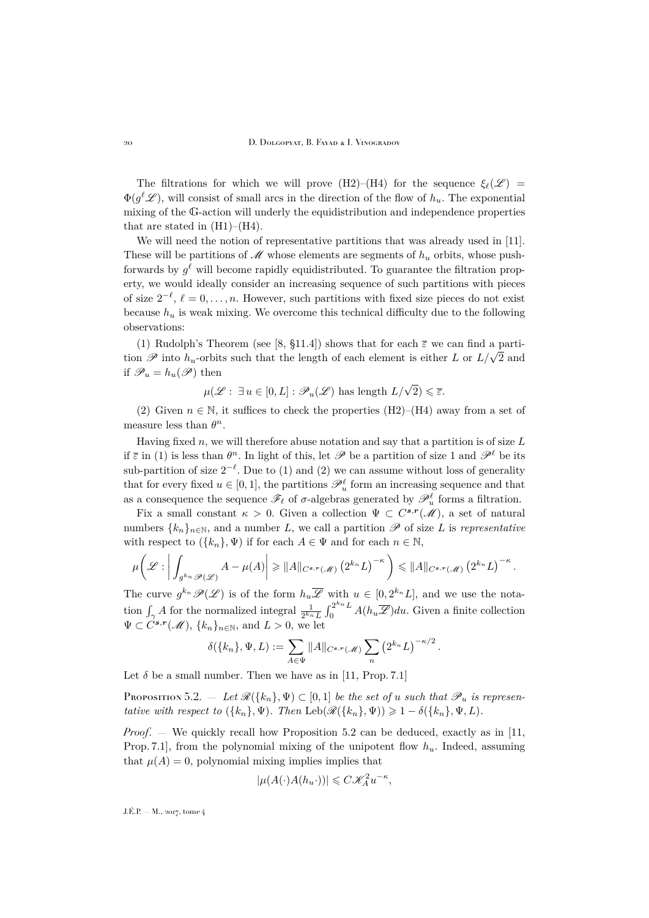20 D. Dolgopyat, B. Fayad & I. Vinogradov

The filtrations for which we will prove (H2)–(H4) for the sequence  $\xi_{\ell}(\mathscr{L})$  =  $\Phi(g^{\ell}\mathscr{L}),$  will consist of small arcs in the direction of the flow of  $h_u$ . The exponential mixing of the G-action will underly the equidistribution and independence properties that are stated in  $(H1)–(H4)$ .

We will need the notion of representative partitions that was already used in [\[11\]](#page-34-12). These will be partitions of  $\mathcal M$  whose elements are segments of  $h_u$  orbits, whose pushforwards by  $g^{\ell}$  will become rapidly equidistributed. To guarantee the filtration property, we would ideally consider an increasing sequence of such partitions with pieces of size  $2^{-\ell}$ ,  $\ell = 0, \ldots, n$ . However, such partitions with fixed size pieces do not exist because  $h_u$  is weak mixing. We overcome this technical difficulty due to the following observations:

(1) Rudolph's Theorem (see [\[8,](#page-34-13) §11.4]) shows that for each  $\bar{\varepsilon}$  we can find a parti-(1) Kudolph s Theorem (see [6, §11.4]) shows that for each  $\varepsilon$  we can find a partition  $\mathscr{P}$  into  $h_u$ -orbits such that the length of each element is either L or  $L/\sqrt{2}$  and if  $\mathscr{P}_u = h_u(\mathscr{P})$  then

 $\mu(\mathscr{L} : \exists u \in [0, L] : \mathscr{P}_u(\mathscr{L})$  has length  $L/\sqrt{2}) \leqslant \overline{\varepsilon}$ .

(2) Given  $n \in \mathbb{N}$ , it suffices to check the properties (H2)–(H4) away from a set of measure less than  $\theta^n$ .

Having fixed  $n$ , we will therefore abuse notation and say that a partition is of size  $L$ if  $\bar{\varepsilon}$  in (1) is less than  $\theta^n$ . In light of this, let  $\mathscr P$  be a partition of size 1 and  $\mathscr P^{\ell}$  be its sub-partition of size  $2^{-\ell}$ . Due to (1) and (2) we can assume without loss of generality that for every fixed  $u \in [0,1]$ , the partitions  $\mathscr{P}_u^{\ell}$  form an increasing sequence and that as a consequence the sequence  $\mathscr{F}_{\ell}$  of  $\sigma$ -algebras generated by  $\mathscr{P}^{\ell}_u$  forms a filtration.

Fix a small constant  $\kappa > 0$ . Given a collection  $\Psi \subset C^{s,r}(\mathcal{M})$ , a set of natural numbers  $\{k_n\}_{n\in\mathbb{N}}$ , and a number L, we call a partition  $\mathscr P$  of size L is *representative* with respect to  $({k_n}, \Psi)$  if for each  $A \in \Psi$  and for each  $n \in \mathbb{N}$ ,

$$
\mu\bigg(\mathscr{L}: \bigg|\int_{g^{k_n}\mathscr{P}(\mathscr{L})} A - \mu(A)\bigg| \geq \|A\|_{C^{s,r}(\mathscr{M})} \left(2^{k_n}L\right)^{-\kappa}\bigg) \leq \|A\|_{C^{s,r}(\mathscr{M})} \left(2^{k_n}L\right)^{-\kappa}.
$$

The curve  $g^{k_n} \mathscr{P}(\mathscr{L})$  is of the form  $h_u \overline{\mathscr{L}}$  with  $u \in [0, 2^{k_n} L]$ , and we use the notation  $\int_{\gamma} A$  for the normalized integral  $\frac{1}{2^{k_n}L} \int_0^{2^{k_n}L} A(h_u \overline{\mathscr{L}}) du$ . Given a finite collection  $\Psi \subset C^{s,r}(\mathcal{M}), \{k_n\}_{n\in\mathbb{N}}, \text{ and } L>0, \text{ we let}$ 

$$
\delta({k_n}, \Psi, L) := \sum_{A \in \Psi} ||A||_{C^{s,r}(\mathcal{M})} \sum_n (2^{k_n} L)^{-\kappa/2}.
$$

Let  $\delta$  be a small number. Then we have as in [\[11,](#page-34-12) Prop. 7.1]

<span id="page-20-0"></span>Proposition 5.2.  $-$  Let  $\mathcal{R}(\{k_n\}, \Psi) \subset [0,1]$  *be the set of u such that*  $\mathcal{P}_u$  *is representative with respect to*  $({k_n}, \Psi)$ *. Then* Leb $(\mathcal{R}({k_n}, \Psi)) \geq 1 - \delta({k_n}, \Psi, L)$ *.* 

*Proof*. — We quickly recall how Proposition [5.2](#page-20-0) can be deduced, exactly as in [\[11,](#page-34-12) Prop. 7.1], from the polynomial mixing of the unipotent flow  $h_u$ . Indeed, assuming that  $\mu(A) = 0$ , polynomial mixing implies implies that

$$
|\mu(A(\cdot)A(h_{u}\cdot))| \leqslant C\mathscr{K}_{A}^{2}u^{-\kappa},
$$

 $J.E.P. = M$ , 2017, tome 4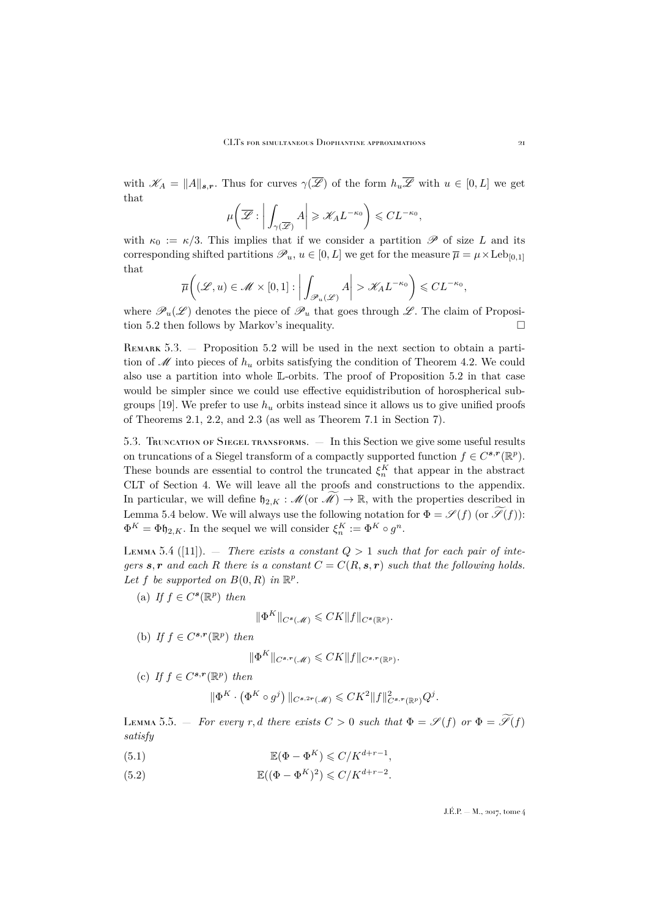with  $\mathscr{K}_A = ||A||_{s,r}$ . Thus for curves  $\gamma(\overline{\mathscr{L}})$  of the form  $h_u\overline{\mathscr{L}}$  with  $u \in [0,L]$  we get that

$$
\mu\bigg(\overline{\mathscr{L}}:\bigg|\int_{\gamma(\overline{\mathscr{L}})}A\bigg|\geqslant \mathscr{K}_{A}L^{-\kappa_{0}}\bigg)\leqslant CL^{-\kappa_{0}},
$$

with  $\kappa_0 := \kappa/3$ . This implies that if we consider a partition  $\mathscr P$  of size L and its corresponding shifted partitions  $\mathscr{P}_u, u \in [0, L]$  we get for the measure  $\overline{\mu} = \mu \times \text{Leb}_{[0,1]}$ that

$$
\overline{\mu}\bigg((\mathscr{L},u)\in \mathscr{M}\times[0,1]:\bigg|\int_{\mathscr{P}_u(\mathscr{L})}A\bigg|>\mathscr{K}_A L^{-\kappa_0}\bigg)\leqslant CL^{-\kappa_0},
$$

where  $\mathscr{P}_u(\mathscr{L})$  denotes the piece of  $\mathscr{P}_u$  that goes through  $\mathscr{L}$ . The claim of Proposition [5.2](#page-20-0) then follows by Markov's inequality.

Remark 5.3. — Proposition [5.2](#page-20-0) will be used in the next section to obtain a partition of  $\mathscr M$  into pieces of  $h_u$  orbits satisfying the condition of Theorem [4.2.](#page-11-0) We could also use a partition into whole L-orbits. The proof of Proposition [5.2](#page-20-0) in that case would be simpler since we could use effective equidistribution of horospherical sub-groups [\[19\]](#page-35-13). We prefer to use  $h_u$  orbits instead since it allows us to give unified proofs of Theorems [2.1,](#page-5-0) [2.2,](#page-6-0) and [2.3](#page-6-1) (as well as Theorem [7.1](#page-26-1) in Section [7\)](#page-26-0).

<span id="page-21-0"></span>5.3. Truncation of Siegel transforms. — In this Section we give some useful results on truncations of a Siegel transform of a compactly supported function  $f \in C^{s,r}(\mathbb{R}^p)$ . These bounds are essential to control the truncated  $\xi_n^K$  that appear in the abstract CLT of Section [4.](#page-9-0) We will leave all the proofs and constructions to the appendix. In particular, we will define  $\mathfrak{h}_{2,K} : \mathcal{M}(\text{or }\mathcal{M}) \to \mathbb{R}$ , with the properties described in Lemma [5.4](#page-21-1) below. We will always use the following notation for  $\Phi = \mathscr{S}(f)$  (or  $\widetilde{\mathscr{S}}(f)$ ):  $\Phi^K = \Phi \mathfrak{h}_{2,K}$ . In the sequel we will consider  $\xi_n^K := \Phi^K \circ g^n$ .

<span id="page-21-1"></span>LEMMA 5.4 ([\[11\]](#page-34-12)).  $-$  *There exists a constant*  $Q > 1$  *such that for each pair of integers* s, r and each R there is a constant  $C = C(R, s, r)$  such that the following holds. Let f be supported on  $B(0, R)$  in  $\mathbb{R}^p$ .

(a) *If*  $f \in C^{s}(\mathbb{R}^p)$  *then* 

$$
\|\Phi^K\|_{C^s(\mathcal{M})} \leqslant C K \|f\|_{C^s(\mathbb{R}^p)}.
$$

(b) *If*  $f \in C^{s,r}(\mathbb{R}^p)$  *then* 

$$
\|\Phi^K\|_{C^{s,r}(\mathcal{M})} \leqslant C K \|f\|_{C^{s,r}(\mathbb{R}^p)}.
$$

(c) If  $f \in C^{s,r}(\mathbb{R}^p)$  then

$$
\|\Phi^K\cdot\left(\Phi^K\circ g^j\right)\|_{C^{s,2r}(\mathcal{M})}\leqslant CK^2\|f\|^2_{C^{s,r}(\mathbb{R}^p)}Q^j.
$$

<span id="page-21-4"></span>LEMMA 5.5. — *For every* r, d there exists  $C > 0$  such that  $\Phi = \mathscr{S}(f)$  or  $\Phi = \widetilde{\mathscr{S}}(f)$ *satisfy*

- <span id="page-21-2"></span>(5.1)  $\mathbb{E}(\Phi - \Phi^K) \leqslant C/K^{d+r-1},$
- <span id="page-21-3"></span>(5.2)  $\mathbb{E}((\Phi - \Phi^{K})^{2}) \leq C/K^{d+r-2}.$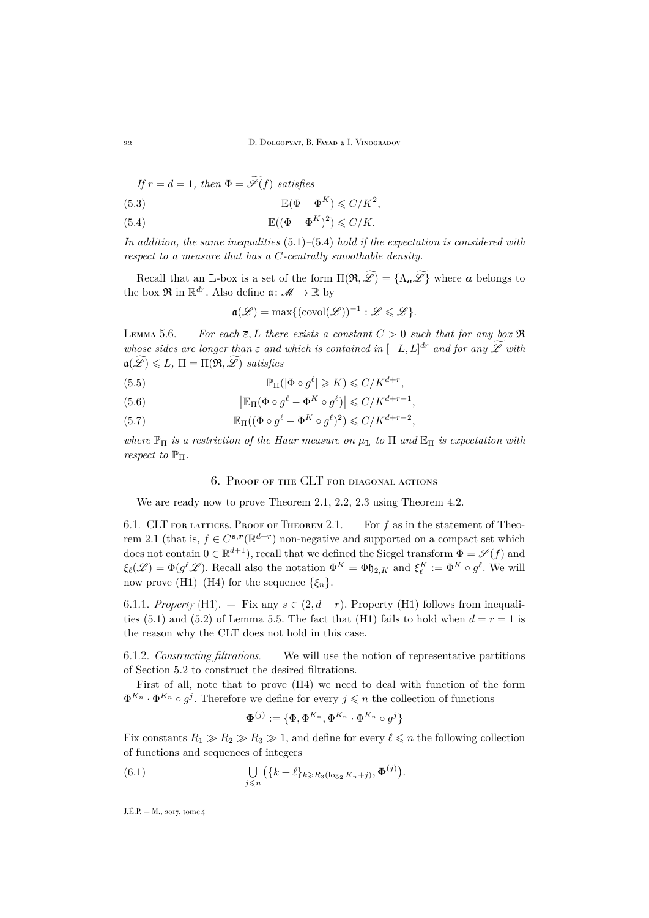*If*  $r = d = 1$ *, then*  $\Phi = \widetilde{\mathscr{S}}(f)$  *satisfies* 

<span id="page-22-3"></span>(5.3) 
$$
\mathbb{E}(\Phi - \Phi^{K}) \leqslant C/K^{2},
$$

<span id="page-22-1"></span>(5.4) 
$$
\mathbb{E}((\Phi - \Phi^{K})^{2}) \leqslant C/K.
$$

*In addition, the same inequalities* [\(5.1\)](#page-21-2)*–*[\(5.4\)](#page-22-1) *hold if the expectation is considered with respect to a measure that has a* C*-centrally smoothable density.*

Recall that an L-box is a set of the form  $\Pi(\mathfrak{R}, \widetilde{\mathscr{L}}) = {\Lambda_{\boldsymbol{a}} \widetilde{\mathscr{L}}}$  where  $\boldsymbol{a}$  belongs to the box  $\mathfrak{R}$  in  $\mathbb{R}^{dr}$ . Also define  $\mathfrak{a} \colon \mathscr{M} \to \mathbb{R}$  by

$$
\mathfrak{a}(\mathscr{L})=\max\{(\mathrm{covol}(\overline{\mathscr{L}}))^{-1}:\overline{\mathscr{L}}\leqslant\mathscr{L}\}.
$$

<span id="page-22-5"></span>LEMMA 5.6. – *For each*  $\overline{\epsilon}$ , L *there exists a constant*  $C > 0$  *such that for any box*  $\Re$ *whose sides are longer than*  $\overline{\epsilon}$  *and which is contained in*  $[-L, L]^{dr}$  *and for any*  $\mathscr L$  *with*  $a(\mathscr{L}) \leq L, \Pi = \Pi(\mathfrak{R}, \mathscr{L})$  *satisfies* 

- <span id="page-22-4"></span>(5.5)  $\mathbb{P}_{\Pi}(|\Phi \circ g^{\ell}| \geqslant K) \leqslant C/K^{d+r},$
- <span id="page-22-6"></span>(5.6)  $\left| \mathbb{E}_{\Pi}(\Phi \circ g^{\ell} - \Phi^{K} \circ g^{\ell}) \right| \leqslant C/K^{d+r-1},$
- <span id="page-22-7"></span>(5.7)  $\mathbb{E}_{\Pi}((\Phi \circ g^{\ell} - \Phi^{K} \circ g^{\ell})^{2}) \leqslant C/K^{d+r-2},$

*where*  $\mathbb{P}_{\Pi}$  *is a restriction of the Haar measure on*  $\mu_{\mathbb{L}}$  *to*  $\Pi$  *and*  $\mathbb{E}_{\Pi}$  *is expectation with respect to*  $\mathbb{P}_{\Pi}$ *.* 

#### 6. Proof of the CLT for diagonal actions

<span id="page-22-0"></span>We are ready now to prove Theorem [2.1,](#page-5-0) [2.2,](#page-6-0) [2.3](#page-6-1) using Theorem [4.2.](#page-11-0)

6.1. CLT FOR LATTICES. PROOF OF THEOREM [2.1.](#page-5-0)  $-$  For f as in the statement of Theo-rem [2.1](#page-5-0) (that is,  $f \in C^{s,r}(\mathbb{R}^{d+r})$  non-negative and supported on a compact set which does not contain  $0 \in \mathbb{R}^{d+1}$ , recall that we defined the Siegel transform  $\Phi = \mathscr{S}(f)$  and  $\xi_{\ell}(\mathscr{L}) = \Phi(g^{\ell}\mathscr{L})$ . Recall also the notation  $\Phi^K = \Phi \mathfrak{h}_{2,K}$  and  $\xi_{\ell}^K := \Phi^K \circ g^{\ell}$ . We will now prove (H1)–(H4) for the sequence  $\{\xi_n\}$ .

6.1.1. *Property* (H1). — Fix any  $s \in (2, d+r)$ . Property (H1) follows from inequali-ties [\(5.1\)](#page-21-2) and [\(5.2\)](#page-21-3) of Lemma [5.5.](#page-21-4) The fact that (H1) fails to hold when  $d = r = 1$  is the reason why the CLT does not hold in this case.

6.1.2. *Constructing filtrations. —* We will use the notion of representative partitions of Section [5.2](#page-19-3) to construct the desired filtrations.

First of all, note that to prove (H4) we need to deal with function of the form  $\Phi^{K_n} \cdot \Phi^{K_n} \circ g^j$ . Therefore we define for every  $j \leq n$  the collection of functions

<span id="page-22-2"></span>
$$
\boldsymbol{\Phi}^{(j)} := \{\Phi, \Phi^{K_n}, \Phi^{K_n} \cdot \Phi^{K_n} \circ g^j\}
$$

Fix constants  $R_1 \gg R_2 \gg R_3 \gg 1$ , and define for every  $\ell \leq n$  the following collection of functions and sequences of integers

(6.1) 
$$
\bigcup_{j\leq n}\big(\{k+\ell\}_{k\geq R_3(\log_2 K_n+j)},\boldsymbol{\Phi}^{(j)}\big).
$$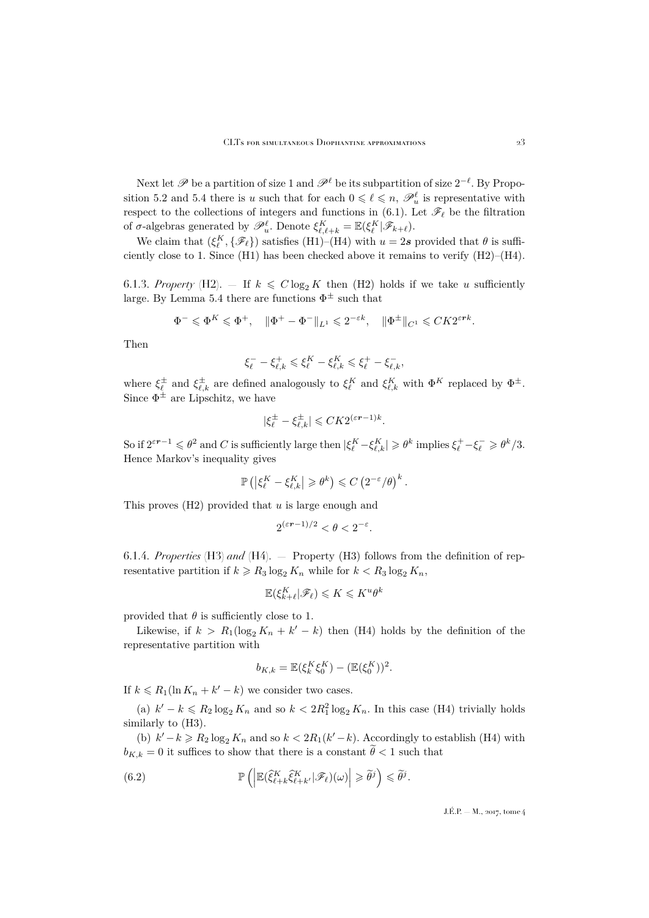Next let  $\mathscr P$  be a partition of size 1 and  $\mathscr P^\ell$  be its subpartition of size  $2^{-\ell}$ . By Propo-sition [5.2](#page-20-0) and [5.4](#page-21-1) there is u such that for each  $0 \leq \ell \leq n$ ,  $\mathscr{P}_u^{\ell}$  is representative with respect to the collections of integers and functions in [\(6.1\)](#page-22-2). Let  $\mathscr{F}_{\ell}$  be the filtration of  $\sigma$ -algebras generated by  $\mathscr{P}_u^{\ell}$ . Denote  $\xi_{\ell,\ell+k}^K = \mathbb{E}(\xi_{\ell}^K | \mathscr{F}_{k+\ell}).$ 

We claim that  $(\xi_{\ell}^{K}, \{\mathscr{F}_{\ell}\})$  satisfies (H1)–(H4) with  $u = 2s$  provided that  $\theta$  is sufficiently close to 1. Since (H1) has been checked above it remains to verify (H2)–(H4).

6.1.3. *Property* (H2).  $\overline{=}$  If  $k \leq C \log_2 K$  then (H2) holds if we take u sufficiently large. By Lemma [5.4](#page-21-1) there are functions  $\Phi^{\pm}$  such that

$$
\Phi^- \leqslant \Phi^K \leqslant \Phi^+, \quad \|\Phi^+ - \Phi^-\|_{L^1} \leqslant 2^{-\varepsilon k}, \quad \|\Phi^\pm\|_{C^1} \leqslant C K 2^{\varepsilon r k}.
$$

Then

$$
\xi_{\ell}^- - \xi_{\ell,k}^+ \leqslant \xi_{\ell}^K - \xi_{\ell,k}^K \leqslant \xi_{\ell}^+ - \xi_{\ell,k}^-,
$$

where  $\xi_{\ell}^{\pm}$  and  $\xi_{\ell,k}^{\pm}$  are defined analogously to  $\xi_{\ell}^{K}$  and  $\xi_{\ell,k}^{K}$  with  $\Phi^{K}$  replaced by  $\Phi^{\pm}$ . Since  $\Phi^{\pm}$  are Lipschitz, we have

$$
|\xi_{\ell}^{\pm}-\xi_{\ell,k}^{\pm}|\leqslant CK2^{(\varepsilon r-1)k}.
$$

So if  $2^{\varepsilon r-1} \leq \theta^2$  and C is sufficiently large then  $|\xi_{\ell}^K - \xi_{\ell,k}^K| \geq \theta^k$  implies  $\xi_{\ell}^+ - \xi_{\ell}^- \geq \theta^k/3$ . Hence Markov's inequality gives

$$
\mathbb{P}\left(\left|\xi_{\ell}^K - \xi_{\ell,k}^K\right| \geqslant \theta^k\right) \leqslant C \left(2^{-\varepsilon}/\theta\right)^k.
$$

This proves  $(H2)$  provided that u is large enough and

$$
2^{(\varepsilon r - 1)/2} < \theta < 2^{-\varepsilon}.
$$

6.1.4. *Properties* (H3) *and* (H4). — Property (H3) follows from the definition of representative partition if  $k \ge R_3 \log_2 K_n$  while for  $k < R_3 \log_2 K_n$ ,

$$
\mathbb{E}(\xi_{k+\ell}^K|\mathscr{F}_\ell) \leqslant K \leqslant K^u\theta^k
$$

provided that  $\theta$  is sufficiently close to 1.

Likewise, if  $k > R_1(\log_2 K_n + k' - k)$  then (H4) holds by the definition of the representative partition with

<span id="page-23-0"></span>
$$
b_{K,k} = \mathbb{E}(\xi_k^K \xi_0^K) - (\mathbb{E}(\xi_0^K))^2.
$$

If  $k \le R_1(\ln K_n + k' - k)$  we consider two cases.

(a)  $k' - k \le R_2 \log_2 K_n$  and so  $k < 2R_1^2 \log_2 K_n$ . In this case (H4) trivially holds similarly to (H3).

(b)  $k' - k \ge R_2 \log_2 K_n$  and so  $k < 2R_1(k' - k)$ . Accordingly to establish (H4) with  $b_{K,k} = 0$  it suffices to show that there is a constant  $\widetilde{\theta} < 1$  such that

(6.2) 
$$
\mathbb{P}\left(\left|\mathbb{E}(\widehat{\xi}_{\ell+k}^K\widehat{\xi}_{\ell+k'}^K|\mathscr{F}_{\ell})(\omega)\right|\geqslant \widetilde{\theta}^j\right)\leqslant \widetilde{\theta}^j.
$$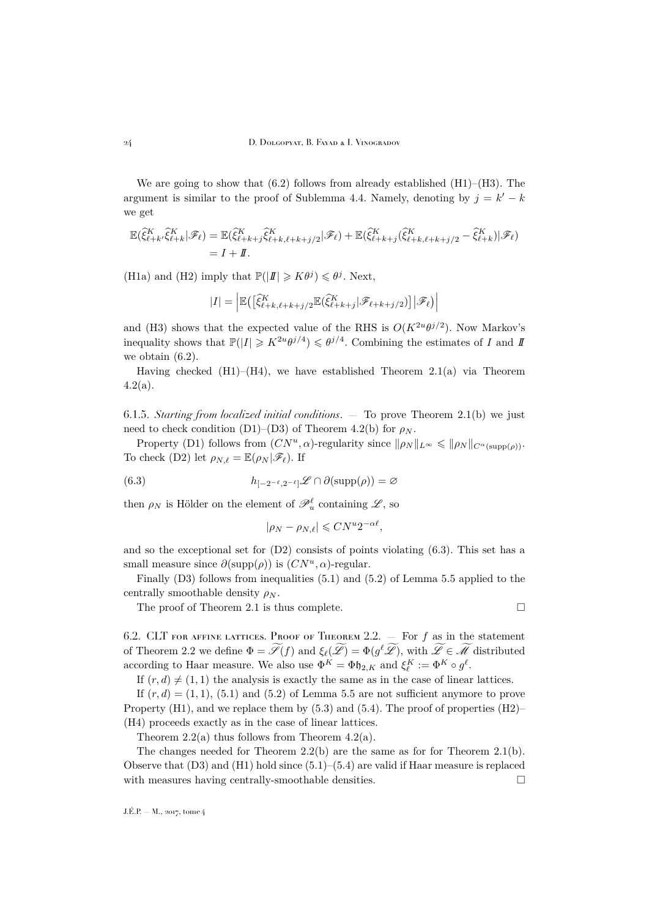24 D. Dolgopyat, B. Fayad & I. Vinogradov

We are going to show that  $(6.2)$  follows from already established  $(H1)–(H3)$ . The argument is similar to the proof of Sublemma [4.4.](#page-12-3) Namely, denoting by  $j = k' - k$ we get

$$
\mathbb{E}(\widehat{\xi}_{\ell+k}^K, \widehat{\xi}_{\ell+k}^K | \mathscr{F}_{\ell}) = \mathbb{E}(\widehat{\xi}_{\ell+k+j}^K \widehat{\xi}_{\ell+k,\ell+k+j/2}^K | \mathscr{F}_{\ell}) + \mathbb{E}(\widehat{\xi}_{\ell+k+j}^K (\widehat{\xi}_{\ell+k,\ell+k+j/2}^K - \widehat{\xi}_{\ell+k}^K) | \mathscr{F}_{\ell})
$$
  
=  $I + II$ .

(H1a) and (H2) imply that  $\mathbb{P}(|I| \geq K\theta^j) \leq \theta^j$ . Next,

$$
|I| = \left| \mathbb{E}\left( \left[ \widehat{\xi}_{\ell+k,\ell+k+j/2}^K \mathbb{E}(\widehat{\xi}_{\ell+k+j}^K | \mathscr{F}_{\ell+k+j/2}) \right] | \mathscr{F}_{\ell} \right) \right|
$$

and (H3) shows that the expected value of the RHS is  $O(K^{2u}\theta^{j/2})$ . Now Markov's inequality shows that  $\mathbb{P}(|I| \geq K^{2u} \theta^{j/4}) \leq \theta^{j/4}$ . Combining the estimates of I and II we obtain [\(6.2\)](#page-23-0).

Having checked  $(H1)$ – $(H4)$ , we have established Theorem [2.1\(](#page-5-0)a) via Theorem  $4.2(a)$  $4.2(a)$ .

6.1.5. *Starting from localized initial conditions*. — To prove Theorem [2.1\(](#page-5-0)b) we just need to check condition (D1)–(D3) of Theorem [4.2\(](#page-11-0)b) for  $\rho_N$ .

Property (D1) follows from  $(CN^u, \alpha)$ -regularity since  $\|\rho_N\|_{L^\infty} \leq \|\rho_N\|_{C^{\alpha}(\text{supp}(\rho))}$ . To check (D2) let  $\rho_{N,\ell} = \mathbb{E}(\rho_N | \mathscr{F}_{\ell}).$  If

(6.3) 
$$
h_{[-2^{-\ell},2^{-\ell}]} \mathscr{L} \cap \partial(\mathrm{supp}(\rho)) = \varnothing
$$

then  $\rho_N$  is Hölder on the element of  $\mathscr{P}_u^{\ell}$  containing  $\mathscr{L}$ , so

<span id="page-24-0"></span>
$$
|\rho_N - \rho_{N,\ell}| \leqslant C N^u 2^{-\alpha \ell},
$$

and so the exceptional set for  $(D2)$  consists of points violating  $(6.3)$ . This set has a small measure since  $\partial(\text{supp}(\rho))$  is  $(CN^u, \alpha)$ -regular.

Finally (D3) follows from inequalities [\(5.1\)](#page-21-2) and [\(5.2\)](#page-21-3) of Lemma [5.5](#page-21-4) applied to the centrally smoothable density  $\rho_N$ .

The proof of Theorem [2.1](#page-5-0) is thus complete.  $\Box$ 

6.2. CLT FOR AFFINE LATTICES. PROOF OF THEOREM [2.2.](#page-6-0)  $-$  For f as in the statement of Theorem [2.2](#page-6-0) we define  $\Phi = \mathscr{S}(f)$  and  $\xi_{\ell}(\mathscr{L}) = \Phi(g^{\ell}\mathscr{L}),$  with  $\mathscr{L} \in \mathscr{M}$  distributed according to Haar measure. We also use  $\Phi^K = \Phi \mathfrak{h}_{2,K}$  and  $\xi_{\ell}^K := \Phi^K \circ g^{\ell}$ .

If  $(r, d) \neq (1, 1)$  the analysis is exactly the same as in the case of linear lattices.

If  $(r, d) = (1, 1), (5.1)$  $(r, d) = (1, 1), (5.1)$  and  $(5.2)$  of Lemma [5.5](#page-21-4) are not sufficient anymore to prove Property  $(H1)$ , and we replace them by  $(5.3)$  and  $(5.4)$ . The proof of properties  $(H2)$ – (H4) proceeds exactly as in the case of linear lattices.

Theorem  $2.2(a)$  $2.2(a)$  thus follows from Theorem  $4.2(a)$  $4.2(a)$ .

The changes needed for Theorem  $2.2(b)$  $2.2(b)$  are the same as for for Theorem  $2.1(b)$  $2.1(b)$ . Observe that  $(D3)$  and  $(H1)$  hold since  $(5.1)$ – $(5.4)$  are valid if Haar measure is replaced with measures having centrally-smoothable densities.  $\Box$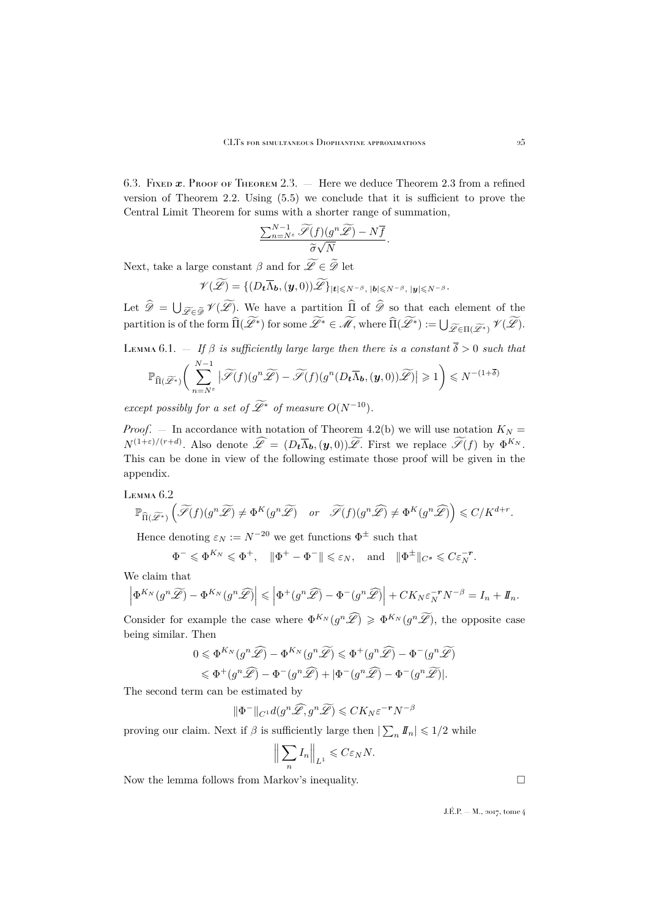<span id="page-25-0"></span>6.3. FIXED  $x$ . Proof of Theorem [2.3.](#page-6-1) — Here we deduce Theorem [2.3](#page-6-1) from a refined version of Theorem [2.2.](#page-6-0) Using [\(5.5\)](#page-22-4) we conclude that it is sufficient to prove the Central Limit Theorem for sums with a shorter range of summation,

$$
\frac{\sum_{n=N^{\varepsilon}}^{N-1}\widetilde{\mathscr{S}}(f)(g^{n}\widetilde{\mathscr{L}}) - N\overline{f}}{\widetilde{\sigma}\sqrt{N}}.
$$

Next, take a large constant  $\beta$  and for  $\mathscr{L} \in \mathscr{D}$  let

$$
\mathscr{V}(\widetilde{\mathscr{L}}) = \{ (D_t \overline{\Lambda}_b, (\boldsymbol{y}, 0)) \widetilde{\mathscr{L}} \}_{|t| \leq N^{-\beta}, |b| \leq N^{-\beta}, |y| \leq N^{-\beta}}.
$$

Let  $\mathscr{D} = \bigcup_{\mathscr{L}\in\widetilde{\mathscr{D}}} \mathscr{V}(\mathscr{L})$ . We have a partition  $\Pi$  of  $\mathscr{D}$  so that each element of the partition is of the form  $\widehat{\Pi}(\mathscr{L}^*)$  for some  $\mathscr{L}^* \in \mathscr{M}$ , where  $\widehat{\Pi}(\mathscr{L}^*) := \bigcup_{\mathscr{L} \in \Pi(\mathscr{L}^*)} \mathscr{V}(\mathscr{L})$ .

<span id="page-25-1"></span>Lemma 6.1.  $-$  *If*  $\beta$  *is sufficiently large large then there is a constant*  $\overline{\delta} > 0$  *such that* 

$$
\mathbb{P}_{\widehat{\Pi}(\widetilde{\mathscr{L}}^*)}\bigg(\sum_{n=N^{\varepsilon}}^{N-1}\big|\widetilde{\mathscr{S}}(f)(g^n\widetilde{\mathscr{L}})-\widetilde{\mathscr{S}}(f)(g^n(D_t\overline{\Lambda}_b,(\boldsymbol{y},0))\widetilde{\mathscr{L}})\big|\geqslant 1\bigg)\leqslant N^{-(1+\overline{\delta})}
$$

*except possibly for a set of*  $\widetilde{\mathscr{L}}^*$  *of measure*  $O(N^{-10})$ *.* 

*Proof.* – In accordance with notation of Theorem [4.2\(](#page-11-0)b) we will use notation  $K_N =$  $N^{(1+\varepsilon)/(r+d)}$ . Also denote  $\mathscr{L} = (D_t \overline{\Lambda}_b, (\boldsymbol{y}, 0))\mathscr{L}$ . First we replace  $\mathscr{S}(f)$  by  $\Phi^{K_N}$ . This can be done in view of the following estimate those proof will be given in the appendix.

<span id="page-25-2"></span>Lemma 6.2

$$
\mathbb{P}_{\widehat{\Pi}(\widetilde{\mathscr{L}}^*)}\left(\widetilde{\mathscr{S}}(f)(g^n\widetilde{\mathscr{L}})\neq \Phi^K(g^n\widetilde{\mathscr{L}})\quad or \quad \widetilde{\mathscr{S}}(f)(g^n\widehat{\mathscr{L}})\neq \Phi^K(g^n\widehat{\mathscr{L}})\right)\leqslant C/K^{d+r}.
$$

Hence denoting  $\varepsilon_N := N^{-20}$  we get functions  $\Phi^{\pm}$  such that

$$
\Phi^- \leqslant \Phi^{K_N} \leqslant \Phi^+, \quad \|\Phi^+ - \Phi^-\| \leqslant \varepsilon_N, \quad \text{and} \quad \|\Phi^\pm\|_{C^s} \leqslant C\varepsilon_N^{-r}.
$$

We claim that

$$
\left|\Phi^{K_N}(g^n\widetilde{\mathscr{L}}) - \Phi^{K_N}(g^n\widehat{\mathscr{L}})\right| \leqslant \left|\Phi^+(g^n\widehat{\mathscr{L}}) - \Phi^-(g^n\widehat{\mathscr{L}})\right| + CK_N \varepsilon_N^{-r} N^{-\beta} = I_n + I\!\!I_n.
$$

Consider for example the case where  $\Phi^{K_N}(g^n\widehat{\mathscr{L}}) \geq \Phi^{K_N}(g^n\widetilde{\mathscr{L}})$ , the opposite case being similar. Then

$$
0 \leqslant \Phi^{K_N}(g^n\widehat{\mathscr{L}}) - \Phi^{K_N}(g^n\widetilde{\mathscr{L}}) \leqslant \Phi^+(g^n\widehat{\mathscr{L}}) - \Phi^-(g^n\widetilde{\mathscr{L}})
$$
  

$$
\leqslant \Phi^+(g^n\widehat{\mathscr{L}}) - \Phi^-(g^n\widehat{\mathscr{L}}) + |\Phi^-(g^n\widehat{\mathscr{L}}) - \Phi^-(g^n\widetilde{\mathscr{L}})|.
$$

The second term can be estimated by

$$
\|\Phi^-\|_{C^1}d(g^n\widehat{\mathscr{L}},g^n\widetilde{\mathscr{L}})\leqslant CK_N\varepsilon^{-r}N^{-\beta}
$$

proving our claim. Next if  $\beta$  is sufficiently large then  $|\sum_n I_n| \leq 1/2$  while

$$
\left\| \sum_{n} I_n \right\|_{L^1} \leqslant C \varepsilon_N N.
$$

Now the lemma follows from Markov's inequality.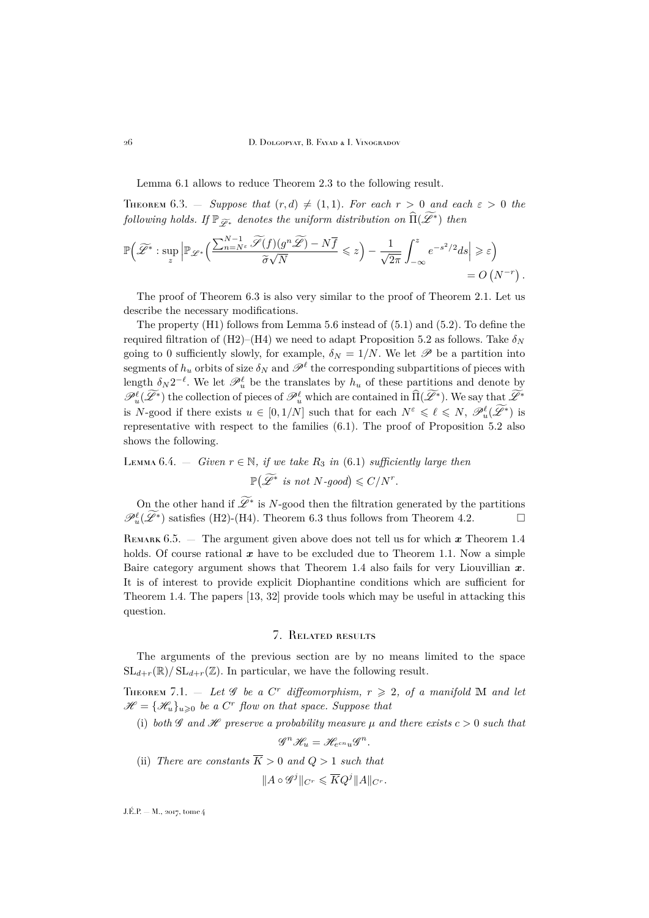26 D. Dolgopyat, B. Fayad & I. Vinogradov

Lemma [6.1](#page-25-1) allows to reduce Theorem [2.3](#page-6-1) to the following result.

<span id="page-26-2"></span>**THEOREM** 6.3.  $-$  *Suppose that*  $(r, d) \neq (1, 1)$ *. For each*  $r > 0$  *and each*  $\varepsilon > 0$  *the*  $f$ *ollowing holds. If*  $\mathbb{P}_{\widetilde{\mathscr{L}}^*}$  *denotes the uniform distribution on*  $\widehat{\Pi}(\widetilde{\mathscr{L}}^*)$  *then* 

$$
\mathbb{P}\left(\widetilde{\mathscr{L}}^* : \sup_z \left| \mathbb{P}_{\mathscr{L}^*}\left(\frac{\sum_{n=N^{\varepsilon}}^{N-1} \widetilde{\mathscr{S}}(f)(g^n \widetilde{\mathscr{L}}) - N\overline{f}}{\widetilde{\sigma}\sqrt{N}} \leq z\right) - \frac{1}{\sqrt{2\pi}} \int_{-\infty}^z e^{-s^2/2} ds \right| \geqslant \varepsilon \right) = O\left(N^{-r}\right).
$$

The proof of Theorem [6.3](#page-26-2) is also very similar to the proof of Theorem [2.1.](#page-5-0) Let us describe the necessary modifications.

The property (H1) follows from Lemma [5.6](#page-22-5) instead of [\(5.1\)](#page-21-2) and [\(5.2\)](#page-21-3). To define the required filtration of (H2)–(H4) we need to adapt Proposition [5.2](#page-20-0) as follows. Take  $\delta_N$ going to 0 sufficiently slowly, for example,  $\delta_N = 1/N$ . We let  $\mathscr P$  be a partition into segments of  $h_u$  orbits of size  $\delta_N$  and  $\mathscr{P}^{\ell}$  the corresponding subpartitions of pieces with length  $\delta_N 2^{-\ell}$ . We let  $\mathscr{P}_u^{\ell}$  be the translates by  $h_u$  of these partitions and denote by  $\mathscr{P}_u^{\ell}(\mathscr{L}^*)$  the collection of pieces of  $\mathscr{P}_u^{\ell}$  which are contained in  $\widehat{\Pi}(\mathscr{L}^*)$ . We say that  $\mathscr{L}^*$ is N-good if there exists  $u \in [0, 1/N]$  such that for each  $N^{\varepsilon} \leq \ell \leq N$ ,  $\mathscr{P}_u^{\ell}(\widetilde{\mathscr{L}}^*)$  is representative with respect to the families [\(6.1\)](#page-22-2). The proof of Proposition [5.2](#page-20-0) also shows the following.

## <span id="page-26-3"></span>LEMMA 6.4.  $-$  *Given*  $r \in \mathbb{N}$ *, if we take*  $R_3$  *in* [\(6.1\)](#page-22-2) *sufficiently large then*  $\mathbb{P}(\widetilde{\mathscr{L}}^* \text{ is not } N\text{-good}) \leqslant C/N^r.$

On the other hand if  $\mathscr{L}^*$  is N-good then the filtration generated by the partitions  $\mathscr{P}_u^{\ell}(\widetilde{\mathscr{L}}^*)$  satisfies (H2)-(H4). Theorem [6.3](#page-26-2) thus follows from Theorem [4.2.](#page-11-0)

REMARK  $6.5.$  — The argument given above does not tell us for which x Theorem [1.4](#page-3-3) holds. Of course rational  $x$  have to be excluded due to Theorem [1.1.](#page-3-1) Now a simple Baire category argument shows that Theorem [1.4](#page-3-3) also fails for very Liouvillian  $x$ . It is of interest to provide explicit Diophantine conditions which are sufficient for Theorem [1.4.](#page-3-3) The papers [\[13,](#page-34-14) [32\]](#page-35-14) provide tools which may be useful in attacking this question.

### 7. Related results

<span id="page-26-0"></span>The arguments of the previous section are by no means limited to the space  $SL_{d+r}(\mathbb{R})/SL_{d+r}(\mathbb{Z})$ . In particular, we have the following result.

<span id="page-26-1"></span>THEOREM 7.1.  $-$  Let  $\mathscr G$  be a C<sup>r</sup> diffeomorphism,  $r \geqslant 2$ , of a manifold M and let  $\mathscr{H} = {\mathscr{H}_u}_{u \geq 0}$  be a C<sup>r</sup> flow on that space. Suppose that

(i) *both* G and H *preserve* a probability measure  $\mu$  and there exists  $c > 0$  such that

$$
\mathscr{G}^n\mathscr{H}_u=\mathscr{H}_{e^{cn}u}\mathscr{G}^n.
$$

(ii) *There are constants*  $\overline{K} > 0$  *and*  $Q > 1$  *such that* 

$$
\|A\circ \mathscr G^j\|_{C^r}\leqslant \overline KQ^j\|A\|_{C^r}.
$$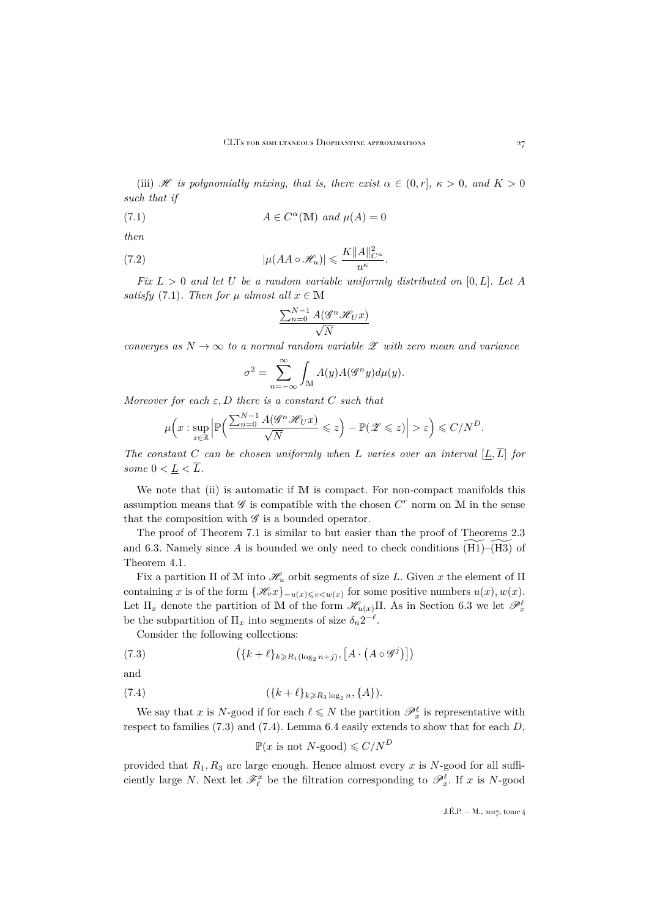(iii) H is polynomially mixing, that is, there exist  $\alpha \in (0, r]$ ,  $\kappa > 0$ , and  $K > 0$ *such that if*

(7.1) 
$$
A \in C^{\alpha}(\mathbb{M}) \text{ and } \mu(A) = 0
$$

*then*

(7.2) 
$$
|\mu(AA \circ \mathscr{H}_u)| \leqslant \frac{K \|A\|_{C^{\alpha}}^2}{u^{\kappa}}.
$$

*Fix* L > 0 *and let* U *be a random variable uniformly distributed on* [0, L]*. Let* A *satisfy* [\(7.1\)](#page-27-0)*. Then for*  $\mu$  *almost all*  $x \in M$ 

<span id="page-27-3"></span><span id="page-27-0"></span>
$$
\frac{\sum_{n=0}^{N-1} A(\mathscr{G}^n \mathscr{H}_U x)}{\sqrt{N}}
$$

*converges as*  $N \to \infty$  *to a normal random variable*  $\mathscr L$  *with zero mean and variance* 

$$
\sigma^2 = \sum_{n=-\infty}^{\infty} \int_{\mathbb{M}} A(y) A(\mathscr{G}^n y) d\mu(y).
$$

*Moreover for each* ε, D *there is a constant* C *such that*

$$
\mu\Big(x:\sup_{z\in\mathbb{R}}\Big|\mathbb{P}\Big(\frac{\sum_{n=0}^{N-1}A(\mathscr{G}^n\mathscr{H}_Ux)}{\sqrt{N}}\leqslant z\Big)-\mathbb{P}(\mathscr{Z}\leqslant z)\Big|>\varepsilon\Big)\leqslant C/N^D.
$$

*The constant* C *can be chosen uniformly when* L *varies over an interval*  $[\underline{L}, \overline{L}]$  *for some*  $0 < \underline{L} < \overline{L}$ .

We note that (ii) is automatic if M is compact. For non-compact manifolds this assumption means that  $\mathscr G$  is compatible with the chosen  $C^r$  norm on M in the sense that the composition with  $\mathscr G$  is a bounded operator.

The proof of Theorem [7.1](#page-26-1) is similar to but easier than the proof of Theorems [2.3](#page-6-1) and [6.3.](#page-26-2) Namely since A is bounded we only need to check conditions  $(H1)$ – $(H3)$  of Theorem [4.1.](#page-10-0)

Fix a partition  $\Pi$  of M into  $\mathcal{H}_u$  orbit segments of size L. Given x the element of  $\Pi$ containing x is of the form  $\{\mathcal{H}_v x\}_{-u(x)\leqslant v\leqslant w(x)}$  for some positive numbers  $u(x), w(x)$ . Let  $\Pi_x$  denote the partition of M of the form  $\mathscr{H}_{u(x)}\Pi$ . As in Section [6.3](#page-25-0) we let  $\mathscr{P}_x^{\ell}$ be the subpartition of  $\Pi_x$  into segments of size  $\delta_n 2^{-\ell}$ .

Consider the following collections:

(7.3) 
$$
(\lbrace k+\ell \rbrace_{k \geq R_1(\log_2 n+j)}, [A \cdot (A \circ \mathcal{G}^j)])
$$

and

(7.4) 
$$
(\{k+\ell\}_{k\geq R_3 \log_2 n}, \{A\}).
$$

We say that x is N-good if for each  $\ell \leqslant N$  the partition  $\mathscr{P}_x^{\ell}$  is representative with respect to families  $(7.3)$  and  $(7.4)$ . Lemma [6.4](#page-26-3) easily extends to show that for each D,

<span id="page-27-2"></span><span id="page-27-1"></span>
$$
\mathbb{P}(x \text{ is not } N\text{-good}) \leqslant C/N^D
$$

provided that  $R_1, R_3$  are large enough. Hence almost every x is N-good for all sufficiently large N. Next let  $\mathscr{F}_{\ell}^x$  be the filtration corresponding to  $\mathscr{P}_{x}^{\ell}$ . If x is N-good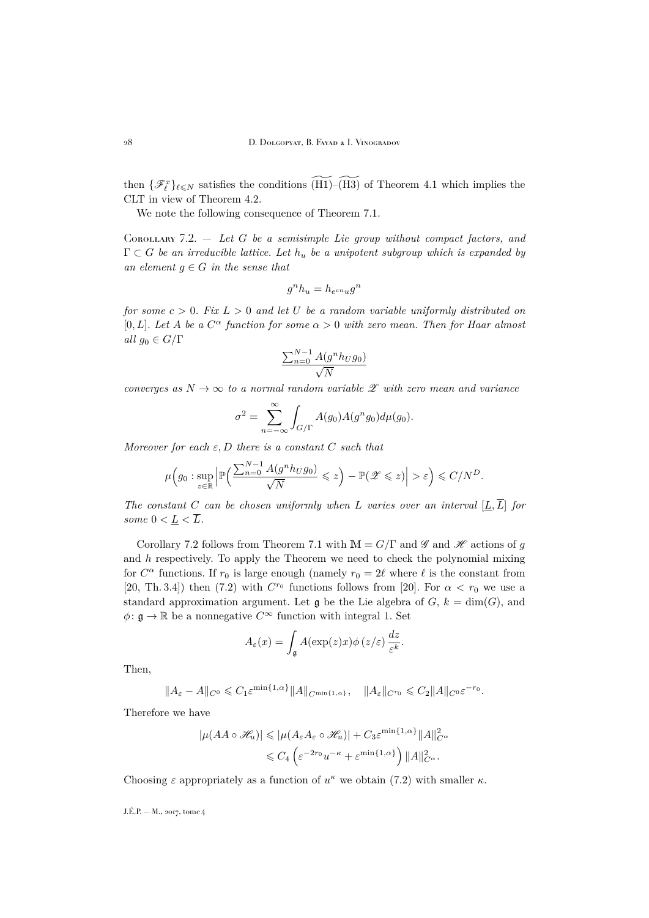then  $\{\mathscr{F}_{\ell}^x\}_{\ell \leq N}$  satisfies the conditions  $\widetilde{\text{ (H1)}}$ – $\widetilde{\text{ (H3)}}$  of Theorem [4.1](#page-10-0) which implies the CLT in view of Theorem [4.2.](#page-11-0)

We note the following consequence of Theorem [7.1.](#page-26-1)

<span id="page-28-0"></span>Corollary 7.2. — *Let* G *be a semisimple Lie group without compact factors, and*  $\Gamma \subset G$  *be an irreducible lattice. Let*  $h_u$  *be a unipotent subgroup which is expanded by an element*  $g \in G$  *in the sense that* 

$$
g^n h_u = h_{e^{cn} u} g^n
$$

*for some*  $c > 0$ *. Fix*  $L > 0$  *and let* U *be a random variable uniformly distributed on* [0, L]. Let A be a  $C^{\alpha}$  function for some  $\alpha > 0$  with zero mean. Then for Haar almost *all*  $g_0 \in G/\Gamma$ 

$$
\frac{\sum_{n=0}^{N-1} A(g^n h_U g_0)}{\sqrt{N}}
$$

*converges as*  $N \to \infty$  *to a normal random variable*  $\mathscr X$  *with zero mean and variance* 

$$
\sigma^2 = \sum_{n=-\infty}^{\infty} \int_{G/\Gamma} A(g_0) A(g^n g_0) d\mu(g_0).
$$

*Moreover for each* ε, D *there is a constant* C *such that*

$$
\mu\Big(g_0: \sup_{z\in\mathbb{R}}\Big|\mathbb{P}\Big(\frac{\sum_{n=0}^{N-1}A(g^nh_Ug_0)}{\sqrt{N}}\leqslant z\Big)-\mathbb{P}(\mathscr{Z}\leqslant z)\Big|>\varepsilon\Big)\leqslant C/N^D.
$$

*The constant* C *can be chosen uniformly when* L *varies over an interval*  $[L, \overline{L}]$  *for some*  $0 < L < \overline{L}$ *.* 

Corollary [7.2](#page-28-0) follows from Theorem [7.1](#page-26-1) with  $\mathbb{M} = G/\Gamma$  and  $\mathscr{H}$  and  $\mathscr{H}$  actions of g and  $h$  respectively. To apply the Theorem we need to check the polynomial mixing for  $C^{\alpha}$  functions. If  $r_0$  is large enough (namely  $r_0 = 2\ell$  where  $\ell$  is the constant from [\[20,](#page-35-15) Th. 3.4]) then [\(7.2\)](#page-27-3) with  $C^{r_0}$  functions follows from [\[20\]](#page-35-15). For  $\alpha < r_0$  we use a standard approximation argument. Let  $\mathfrak g$  be the Lie algebra of  $G, k = \dim(G)$ , and  $\phi: \mathfrak{g} \to \mathbb{R}$  be a nonnegative  $C^{\infty}$  function with integral 1. Set

$$
A_{\varepsilon}(x) = \int_{\mathfrak{g}} A(\exp(z)x) \phi(z/\varepsilon) \frac{dz}{\varepsilon^k}
$$

.

Then,

$$
||A_{\varepsilon}-A||_{C^0}\leqslant C_1\varepsilon^{\min\{1,\alpha\}}||A||_{C^{\min\{1,\alpha\}}},\quad ||A_{\varepsilon}||_{C^{r_0}}\leqslant C_2||A||_{C^0}\varepsilon^{-r_0}.
$$

Therefore we have

$$
|\mu(AA \circ \mathcal{H}_u)| \le |\mu(A_\varepsilon A_\varepsilon \circ \mathcal{H}_u)| + C_3 \varepsilon^{\min\{1,\alpha\}} \|A\|_{C^\alpha}^2
$$
  

$$
\le C_4 \left( \varepsilon^{-2r_0} u^{-\kappa} + \varepsilon^{\min\{1,\alpha\}} \right) \|A\|_{C^\alpha}^2.
$$

Choosing  $\varepsilon$  appropriately as a function of  $u^{\kappa}$  we obtain [\(7.2\)](#page-27-3) with smaller  $\kappa$ .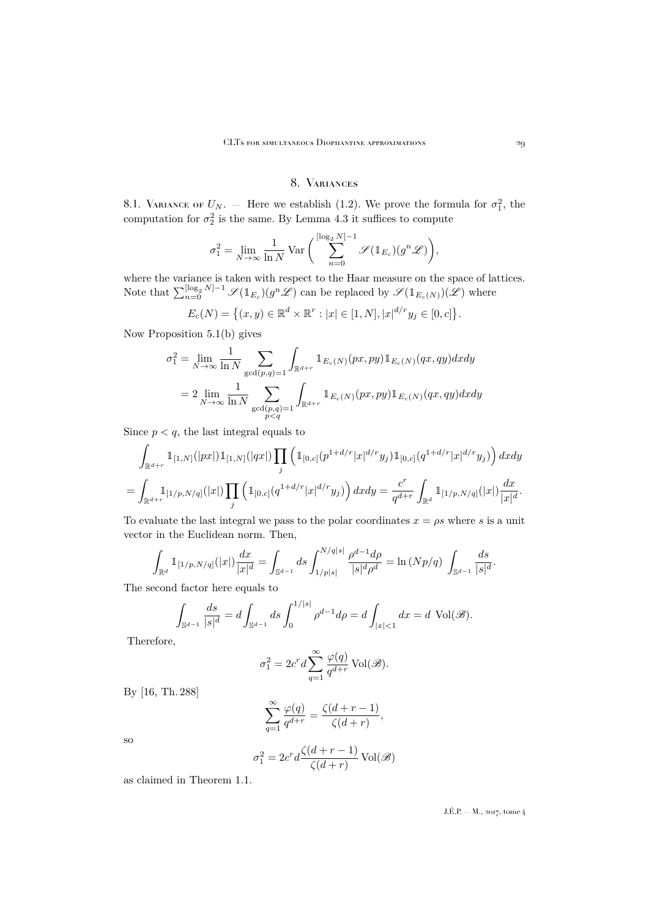## 8. Variances

<span id="page-29-1"></span><span id="page-29-0"></span>8.1. VARIANCE OF  $U_N$ . – Here we establish [\(1.2\)](#page-3-0). We prove the formula for  $\sigma_1^2$ , the computation for  $\sigma_2^2$  is the same. By Lemma [4.3](#page-12-2) it suffices to compute

$$
\sigma_1^2 = \lim_{N \to \infty} \frac{1}{\ln N} \operatorname{Var}\bigg(\sum_{n=0}^{\lfloor \log_2 N \rfloor - 1} \mathscr{S}(\mathbb{1}_{E_c})(g^n \mathscr{L})\bigg),\,
$$

where the variance is taken with respect to the Haar measure on the space of lattices. Note that  $\sum_{n=0}^{\lfloor \log_2 N \rfloor - 1} \mathscr{S}(\mathbb{1}_{E_c})(g^n \mathscr{L})$  can be replaced by  $\mathscr{S}(\mathbb{1}_{E_c(N)})(\mathscr{L})$  where

$$
E_c(N) = \{(x, y) \in \mathbb{R}^d \times \mathbb{R}^r : |x| \in [1, N], |x|^{d/r} y_j \in [0, c] \}.
$$

Now Proposition [5.1\(](#page-19-1)b) gives

$$
\sigma_1^2 = \lim_{N \to \infty} \frac{1}{\ln N} \sum_{\substack{\gcd(p,q)=1}} \int_{\mathbb{R}^{d+r}} \mathbb{1}_{E_c(N)}(px, py) \mathbb{1}_{E_c(N)}(qx, qy) dx dy
$$

$$
= 2 \lim_{N \to \infty} \frac{1}{\ln N} \sum_{\substack{\gcd(p,q)=1 \\ p < q}} \int_{\mathbb{R}^{d+r}} \mathbb{1}_{E_c(N)}(px, py) \mathbb{1}_{E_c(N)}(qx, qy) dx dy
$$

Since  $p < q$ , the last integral equals to

$$
\int_{\mathbb{R}^{d+r}} 1_{[1,N]}(|px|) 1_{[1,N]}(|qx|) \prod_{j} \left( 1_{[0,c]}(p^{1+d/r} |x|^{d/r} y_j) 1_{[0,c]}(q^{1+d/r} |x|^{d/r} y_j) \right) dx dy
$$
\n
$$
= \int_{\mathbb{R}^{d+r}} 1_{[1/p,N/q]}(|x|) \prod_{j} \left( 1_{[0,c]}(q^{1+d/r} |x|^{d/r} y_j) \right) dx dy = \frac{c^r}{q^{d+r}} \int_{\mathbb{R}^d} 1_{[1/p,N/q]}(|x|) \frac{dx}{|x|^d}.
$$

To evaluate the last integral we pass to the polar coordinates  $x = \rho s$  where s is a unit vector in the Euclidean norm. Then,

$$
\int_{\mathbb{R}^d} \mathbb{1}_{[1/p, N/q]}(|x|) \frac{dx}{|x|^d} = \int_{\mathbb{S}^{d-1}} ds \int_{1/p|s|}^{N/q|s|} \frac{\rho^{d-1} d\rho}{|s|^d \rho^d} = \ln (Np/q) \int_{\mathbb{S}^{d-1}} \frac{ds}{|s|^d}.
$$

The second factor here equals to

$$
\int_{\mathbb{S}^{d-1}} \frac{ds}{|s|^d} = d \int_{\mathbb{S}^{d-1}} ds \int_0^{1/|s|} \rho^{d-1} d\rho = d \int_{|x| < 1} dx = d \text{ Vol}(\mathcal{B}).
$$

Therefore,

$$
\sigma_1^2 = 2c^r d \sum_{q=1}^{\infty} \frac{\varphi(q)}{q^{d+r}} \operatorname{Vol}(\mathscr{B}).
$$

By [\[16,](#page-35-16) Th. 288]

$$
\sum_{q=1}^{\infty}\frac{\varphi(q)}{q^{d+r}}=\frac{\zeta(d+r-1)}{\zeta(d+r)},
$$

so

$$
\sigma_1^2 = 2c^rd\frac{\zeta(d+r-1)}{\zeta(d+r)}\operatorname{Vol}(\mathscr{B})
$$

as claimed in Theorem [1.1.](#page-3-1)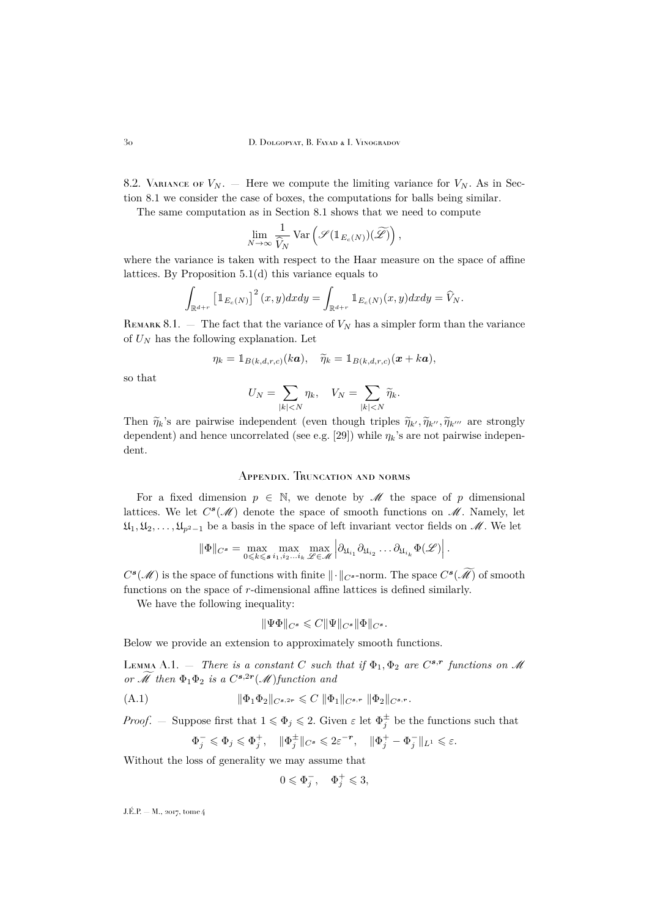8.2. VARIANCE OF  $V_N$ . — Here we compute the limiting variance for  $V_N$ . As in Section [8.1](#page-29-1) we consider the case of boxes, the computations for balls being similar.

The same computation as in Section [8.1](#page-29-1) shows that we need to compute

$$
\lim_{N \to \infty} \frac{1}{\widehat{V}_N} \text{Var}\left(\mathcal{S}(\mathbb{1}_{E_c(N)})(\widetilde{\mathcal{L}})\right),\,
$$

where the variance is taken with respect to the Haar measure on the space of affine lattices. By Proposition [5.1\(](#page-19-1)d) this variance equals to

$$
\int_{\mathbb{R}^{d+r}} \left[\mathbb{1}_{E_c(N)}\right]^2(x,y)dxdy = \int_{\mathbb{R}^{d+r}} \mathbb{1}_{E_c(N)}(x,y)dxdy = \widehat{V}_N.
$$

REMARK 8.1.  $-$  The fact that the variance of  $V_N$  has a simpler form than the variance of  $U_N$  has the following explanation. Let

$$
\eta_k = \mathbb{1}_{B(k,d,r,c)}(k\boldsymbol{a}), \quad \widetilde{\eta}_k = \mathbb{1}_{B(k,d,r,c)}(\boldsymbol{x} + k\boldsymbol{a}),
$$

so that

$$
U_N = \sum_{|k| < N} \eta_k, \quad V_N = \sum_{|k| < N} \widetilde{\eta}_k.
$$

Then  $\tilde{\eta}_k$ 's are pairwise independent (even though triples  $\tilde{\eta}_{k'}, \tilde{\eta}_{k''}, \tilde{\eta}_{k'''}$  are strongly dependent) and hence uncorrelated (see e.g. [\[29\]](#page-35-17)) while  $\eta_k$ 's are not pairwise independent.

## <span id="page-30-0"></span>Appendix. Truncation and norms

For a fixed dimension  $p \in \mathbb{N}$ , we denote by M the space of p dimensional lattices. We let  $C^{s}(\mathcal{M})$  denote the space of smooth functions on  $\mathcal{M}$ . Namely, let  $\mathfrak{U}_1, \mathfrak{U}_2, \ldots, \mathfrak{U}_{p^2-1}$  be a basis in the space of left invariant vector fields on  $\mathcal{M}$ . We let

$$
\|\Phi\|_{C^{\mathbf{s}}} = \max_{0 \leq k \leq \mathbf{s}} \max_{i_1, i_2, \dots, i_k} \max_{\mathscr{L} \in \mathscr{M}} \left| \partial_{\mathfrak{U}_{i_1}} \partial_{\mathfrak{U}_{i_2}} \dots \partial_{\mathfrak{U}_{i_k}} \Phi(\mathscr{L}) \right|.
$$

 $C^{s}(\mathcal{M})$  is the space of functions with finite  $\|\cdot\|_{C^{s}}$ -norm. The space  $C^{s}(\mathcal{M})$  of smooth functions on the space of r-dimensional affine lattices is defined similarly.

We have the following inequality:

$$
\|\Psi\Phi\|_{C^s}\leqslant C\|\Psi\|_{C^s}\|\Phi\|_{C^s}.
$$

Below we provide an extension to approximately smooth functions.

<span id="page-30-2"></span>LEMMA A.1.  $-$  *There is a constant* C such that if  $\Phi_1, \Phi_2$  are  $C^{s,r}$  functions on  $\mathcal M$ *or*  $\hat{\mathcal{M}}$  then  $\Phi_1 \Phi_2$  *is a*  $C^{s,2r}(\mathcal{M})$  *function and* 

(A.1) 
$$
\|\Phi_1 \Phi_2\|_{C^{s,2r}} \leqslant C \|\Phi_1\|_{C^{s,r}} \|\Phi_2\|_{C^{s,r}}.
$$

*Proof.* – Suppose first that  $1 \leqslant \Phi_j \leqslant 2$ . Given  $\varepsilon$  let  $\Phi_j^{\pm}$  be the functions such that

<span id="page-30-1"></span>
$$
\Phi_j^-\leqslant \Phi_j\leqslant \Phi_j^+, \quad \|\Phi_j^\pm\|_{C^s}\leqslant 2\varepsilon^{-r}, \quad \|\Phi_j^+-\Phi_j^-\|_{L^1}\leqslant \varepsilon.
$$

Without the loss of generality we may assume that

$$
0\leqslant \Phi_j^-, \quad \Phi_j^+\leqslant 3,
$$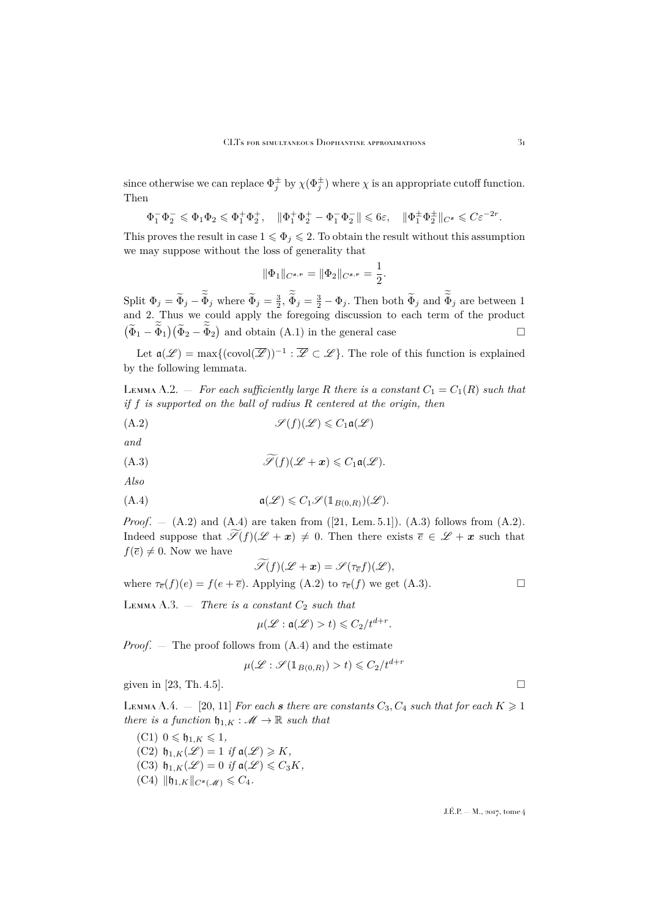since otherwise we can replace  $\Phi_j^{\pm}$  by  $\chi(\Phi_j^{\pm})$  where  $\chi$  is an appropriate cutoff function. Then

$$
\Phi_1^- \Phi_2^- \leqslant \Phi_1 \Phi_2 \leqslant \Phi_1^+ \Phi_2^+, \quad \|\Phi_1^+ \Phi_2^+ - \Phi_1^- \Phi_2^- \| \leqslant 6\varepsilon, \quad \|\Phi_1^{\pm} \Phi_2^{\pm}\|_{C^s} \leqslant C \varepsilon^{-2r}.
$$

This proves the result in case  $1 \leq \Phi_j \leq 2$ . To obtain the result without this assumption we may suppose without the loss of generality that

<span id="page-31-0"></span>
$$
\|\Phi_1\|_{C^{s,r}} = \|\Phi_2\|_{C^{s,r}} = \frac{1}{2}.
$$

Split  $\Phi_j = \tilde{\Phi}_j - \tilde{\Phi}_j$  where  $\tilde{\Phi}_j = \frac{3}{2}, \tilde{\Phi}_j = \frac{3}{2} - \Phi_j$ . Then both  $\tilde{\Phi}_j$  and  $\tilde{\Phi}_j$  are between 1 and 2. Thus we could apply the foregoing discussion to each term of the product  $(\widetilde{\Phi}_1 - \widetilde{\Phi}_1)(\widetilde{\Phi}_2 - \widetilde{\Phi}_2)$  and obtain  $(A.1)$  in the general case

Let  $\mathfrak{a}(\mathscr{L}) = \max\{(\mathrm{covol}(\overline{\mathscr{L}}))^{-1} : \overline{\mathscr{L}} \subset \mathscr{L}\}.$  The role of this function is explained by the following lemmata.

<span id="page-31-3"></span>Lemma A.2.  $-$  *For each sufficiently large* R there is a constant  $C_1 = C_1(R)$  such that *if* f *is supported on the ball of radius* R *centered at the origin, then*

$$
(A.2) \t\t \mathscr{S}(f)(\mathscr{L}) \leqslant C_1 \mathfrak{a}(\mathscr{L})
$$

*and*

(A.3) 
$$
\widetilde{\mathscr{S}}(f)(\mathscr{L}+x) \leqslant C_1 \mathfrak{a}(\mathscr{L}).
$$

*Also*

(A.4) 
$$
\mathfrak{a}(\mathscr{L}) \leqslant C_1 \mathscr{I}(\mathbb{1}_{B(0,R)})(\mathscr{L}).
$$

*Proof.* – [\(A.2\)](#page-31-0) and [\(A.4\)](#page-31-1) are taken from ([\[21,](#page-35-9) Lem. 5.1]). [\(A.3\)](#page-31-2) follows from (A.2). Indeed suppose that  $\widetilde{\mathscr{S}}(f)(\mathscr{L} + x) \neq 0$ . Then there exists  $\overline{e} \in \mathscr{L} + x$  such that  $f(\overline{e})\neq 0$ . Now we have

<span id="page-31-2"></span><span id="page-31-1"></span>
$$
\widetilde{\mathscr{S}}(f)(\mathscr{L}+\boldsymbol{x})=\mathscr{S}(\tau_{\overline{e}}f)(\mathscr{L}),
$$

where  $\tau_{\overline{e}}(f)(e) = f(e + \overline{e})$ . Applying [\(A.2\)](#page-31-0) to  $\tau_{\overline{e}}(f)$  we get [\(A.3\)](#page-31-2).

<span id="page-31-5"></span> $LEMMA A.3.$  — *There is a constant*  $C_2$  *such that* 

$$
\mu(\mathscr{L}:\mathfrak{a}(\mathscr{L})>t)\leqslant C_2/t^{d+r}.
$$

*Proof.* — The proof follows from  $(A.4)$  and the estimate

$$
\mu(\mathcal{L} : \mathcal{S}(\mathbb{1}_{B(0,R)}) > t) \leqslant C_2 / t^{d+r}
$$

given in [\[23,](#page-35-7) Th. 4.5].

<span id="page-31-4"></span>LEMMA A.4.  $-$  [\[20,](#page-35-15) [11\]](#page-34-12) *For each s there are constants*  $C_3$ ,  $C_4$  *such that for each*  $K \geq 1$ *there is a function*  $\mathfrak{h}_{1,K} : \mathcal{M} \to \mathbb{R}$  *such that* 

- $(C1)$   $0 \leqslant \mathfrak{h}_{1,K} \leqslant 1$ ,  $(C2)$   $\mathfrak{h}_{1,K}(\mathscr{L}) = 1$  *if*  $\mathfrak{a}(\mathscr{L}) \geq K$ ,  $(C3)$   $\mathfrak{h}_{1,K}(\mathscr{L}) = 0$  *if*  $\mathfrak{a}(\mathscr{L}) \leq C_3K$ ,
- $(C4)$   $\|\mathfrak{h}_{1,K}\|_{C^{s}(\mathcal{M})} \leq C_4.$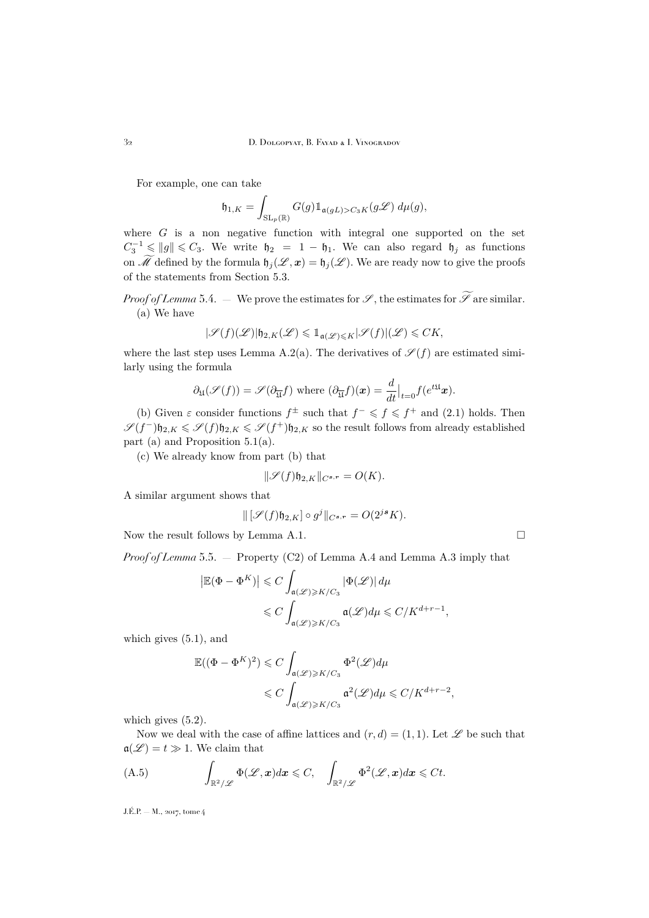For example, one can take

$$
\mathfrak{h}_{1,K} = \int_{\mathrm{SL}_p(\mathbb{R})} G(g) \mathbb{1}_{\mathfrak{a}(gL) > C_3 K}(g\mathscr{L}) \, d\mu(g),
$$

where  $G$  is a non-negative function with integral one supported on the set  $C_3^{-1} \leqslant ||g|| \leqslant C_3$ . We write  $\mathfrak{h}_2 = 1 - \mathfrak{h}_1$ . We can also regard  $\mathfrak{h}_j$  as functions on  $\widetilde{\mathscr{M}}$  defined by the formula  $\mathfrak{h}_j (\mathscr{L}, \mathbf{x}) = \mathfrak{h}_j (\mathscr{L}).$  We are ready now to give the proofs of the statements from Section [5.3.](#page-21-0)

*Proof of Lemma* [5.4.](#page-21-1) — We prove the estimates for  $\mathscr{S}$ , the estimates for  $\widetilde{\mathscr{S}}$  are similar. (a) We have

$$
|\mathscr{S}(f)(\mathscr{L})|\mathfrak{h}_{2,K}(\mathscr{L})\leqslant\mathbbm{1}_{\mathfrak{a}(\mathscr{L})\leqslant K}|\mathscr{S}(f)|( \mathscr{L})\leqslant CK,
$$

where the last step uses Lemma [A.2\(](#page-31-3)a). The derivatives of  $\mathscr{S}(f)$  are estimated similarly using the formula

$$
\partial_{\mathfrak{U}}(\mathscr{S}(f)) = \mathscr{S}(\partial_{\overline{\mathfrak{U}}}f) \text{ where } (\partial_{\overline{\mathfrak{U}}}f)(x) = \frac{d}{dt}\big|_{t=0} f(e^{t\mathfrak{U}}x).
$$

(b) Given  $\varepsilon$  consider functions  $f^{\pm}$  such that  $f^{-} \leqslant f \leqslant f^{+}$  and [\(2.1\)](#page-4-2) holds. Then  $\mathscr{S}(f^-)\mathfrak{h}_{2,K} \leqslant \mathscr{S}(f)\mathfrak{h}_{2,K} \leqslant \mathscr{S}(f^+) \mathfrak{h}_{2,K}$  so the result follows from already established part (a) and Proposition [5.1\(](#page-19-1)a).

(c) We already know from part (b) that

$$
\|\mathscr{S}(f)\mathfrak{h}_{2,K}\|_{C^{s,r}} = O(K).
$$

A similar argument shows that

$$
\| \left[ \mathscr{S}(f) \mathfrak{h}_{2,K} \right] \circ g^j \|_{C^{s,r}} = O(2^{js} K).
$$

Now the result follows by Lemma [A.1.](#page-30-2)

*Proof of Lemma* [5.5.](#page-21-4) — Property (C2) of Lemma [A.4](#page-31-4) and Lemma [A.3](#page-31-5) imply that

$$
\left| \mathbb{E}(\Phi - \Phi^{K}) \right| \leqslant C \int_{\mathfrak{a}(\mathscr{L}) \geqslant K/C_{3}} |\Phi(\mathscr{L})| \, d\mu
$$
  

$$
\leqslant C \int_{\mathfrak{a}(\mathscr{L}) \geqslant K/C_{3}} \mathfrak{a}(\mathscr{L}) d\mu \leqslant C/K^{d+r-1},
$$

which gives [\(5.1\)](#page-21-2), and

$$
\mathbb{E}((\Phi - \Phi^{K})^{2}) \leq C \int_{\mathfrak{a}(\mathscr{L}) \geq K/C_{3}} \Phi^{2}(\mathscr{L}) d\mu
$$
  
\$\leq C \int\_{\mathfrak{a}(\mathscr{L}) \geq K/C\_{3}} \mathfrak{a}^{2}(\mathscr{L}) d\mu \leq C/K^{d+r-2},\$

which gives  $(5.2)$ .

Now we deal with the case of affine lattices and  $(r, d) = (1, 1)$ . Let  $\mathscr L$  be such that  $a(\mathscr{L}) = t \gg 1$ . We claim that

<span id="page-32-0"></span>(A.5) 
$$
\int_{\mathbb{R}^2/\mathscr{L}} \Phi(\mathscr{L},x) dx \leq C, \quad \int_{\mathbb{R}^2/\mathscr{L}} \Phi^2(\mathscr{L},x) dx \leq Ct.
$$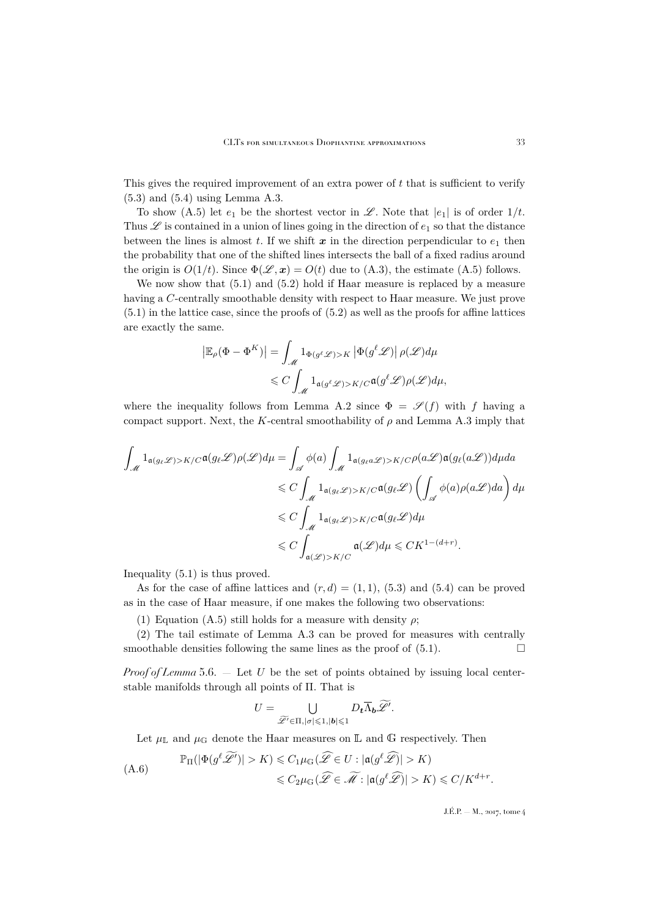This gives the required improvement of an extra power of  $t$  that is sufficient to verify [\(5.3\)](#page-22-3) and [\(5.4\)](#page-22-1) using Lemma [A.3.](#page-31-5)

To show [\(A.5\)](#page-32-0) let  $e_1$  be the shortest vector in  $\mathscr{L}$ . Note that  $|e_1|$  is of order  $1/t$ . Thus  $\mathscr L$  is contained in a union of lines going in the direction of  $e_1$  so that the distance between the lines is almost t. If we shift  $x$  in the direction perpendicular to  $e_1$  then the probability that one of the shifted lines intersects the ball of a fixed radius around the origin is  $O(1/t)$ . Since  $\Phi(\mathscr{L}, \mathbf{x}) = O(t)$  due to [\(A.3\)](#page-31-2), the estimate [\(A.5\)](#page-32-0) follows.

We now show that [\(5.1\)](#page-21-2) and [\(5.2\)](#page-21-3) hold if Haar measure is replaced by a measure having a C-centrally smoothable density with respect to Haar measure. We just prove [\(5.1\)](#page-21-2) in the lattice case, since the proofs of [\(5.2\)](#page-21-3) as well as the proofs for affine lattices are exactly the same.

$$
\left| \mathbb{E}_{\rho}(\Phi - \Phi^{K}) \right| = \int_{\mathscr{M}} 1_{\Phi(g^{\ell} \mathscr{L}) > K} \left| \Phi(g^{\ell} \mathscr{L}) \right| \rho(\mathscr{L}) d\mu
$$
  

$$
\leqslant C \int_{\mathscr{M}} 1_{\mathfrak{a}(g^{\ell} \mathscr{L}) > K/C} \mathfrak{a}(g^{\ell} \mathscr{L}) \rho(\mathscr{L}) d\mu,
$$

where the inequality follows from Lemma [A.2](#page-31-3) since  $\Phi = \mathscr{S}(f)$  with f having a compact support. Next, the K-central smoothability of  $\rho$  and Lemma [A.3](#page-31-5) imply that

$$
\int_{\mathcal{M}} 1_{\mathfrak{a}(g_{\ell}\mathscr{L}) > K/C} \mathfrak{a}(g_{\ell}\mathscr{L}) \rho(\mathscr{L}) d\mu = \int_{\mathscr{A}} \phi(a) \int_{\mathcal{M}} 1_{\mathfrak{a}(g_{\ell}a\mathscr{L}) > K/C} \rho(a\mathscr{L}) \mathfrak{a}(g_{\ell}(a\mathscr{L})) d\mu da
$$
  

$$
\leq C \int_{\mathcal{M}} 1_{\mathfrak{a}(g_{\ell}\mathscr{L}) > K/C} \mathfrak{a}(g_{\ell}\mathscr{L}) \left( \int_{\mathscr{A}} \phi(a) \rho(a\mathscr{L}) da \right) d\mu
$$
  

$$
\leq C \int_{\mathcal{M}} 1_{\mathfrak{a}(g_{\ell}\mathscr{L}) > K/C} \mathfrak{a}(g_{\ell}\mathscr{L}) d\mu
$$
  

$$
\leq C \int_{\mathfrak{a}(\mathscr{L}) > K/C} \mathfrak{a}(\mathscr{L}) d\mu \leq C K^{1-(d+r)}.
$$

Inequality [\(5.1\)](#page-21-2) is thus proved.

As for the case of affine lattices and  $(r, d) = (1, 1), (5.3)$  $(r, d) = (1, 1), (5.3)$  and  $(5.4)$  can be proved as in the case of Haar measure, if one makes the following two observations:

(1) Equation [\(A.5\)](#page-32-0) still holds for a measure with density  $\rho$ ;

(2) The tail estimate of Lemma [A.3](#page-31-5) can be proved for measures with centrally smoothable densities following the same lines as the proof of  $(5.1)$ .

*Proof of Lemma* [5.6.](#page-22-5) — Let U be the set of points obtained by issuing local centerstable manifolds through all points of Π. That is

$$
U = \bigcup_{\widetilde{\mathscr{L}}' \in \Pi, |\sigma| \leqslant 1, |\boldsymbol{b}| \leqslant 1} D_{\boldsymbol{t}} \overline{\Lambda}_{\boldsymbol{b}} \widetilde{\mathscr{L}}'.
$$

Let  $\mu_{\mathbb L}$  and  $\mu_{\mathbb G}$  denote the Haar measures on  $\mathbb L$  and  $\mathbb G$  respectively. Then

<span id="page-33-0"></span>
$$
\mathbb{P}_{\Pi}(|\Phi(g^{\ell}\widetilde{\mathscr{L}'})| > K) \leq C_1\mu_{\mathbb{G}}(\widehat{\mathscr{L}} \in U : |\mathfrak{a}(g^{\ell}\widehat{\mathscr{L}})| > K)
$$
  

$$
\leq C_2\mu_{\mathbb{G}}(\widehat{\mathscr{L}} \in \widetilde{\mathscr{M}} : |\mathfrak{a}(g^{\ell}\widehat{\mathscr{L}})| > K) \leq C/K^{d+r}.
$$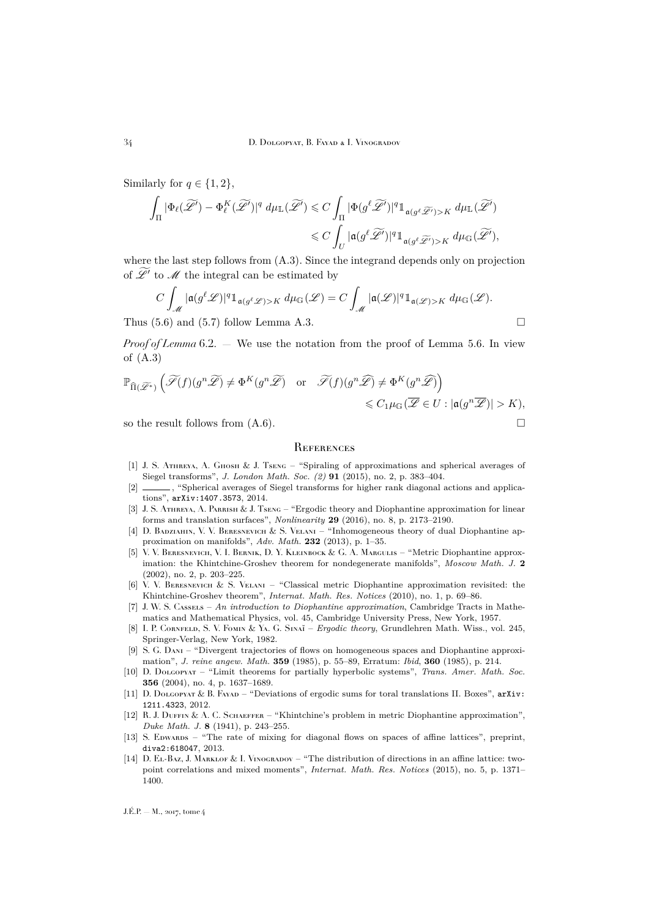Similarly for  $q \in \{1, 2\}$ ,

$$
\begin{aligned}\int_{\Pi}|\Phi_{\ell}(\widetilde{\mathscr{L}'})-\Phi_{\ell}^{K}(\widetilde{\mathscr{L}'})|^{q}\ d\mu_{\mathbb{L}}(\widetilde{\mathscr{L}'}) &\leqslant C\int_{\Pi}|\Phi(g^{\ell}\widetilde{\mathscr{L}'})|^{q}\mathbbm{1}_{\mathfrak{a}(g^{\ell}\widetilde{\mathscr{L}'})>K} \ d\mu_{\mathbb{L}}(\widetilde{\mathscr{L}'})\\ &\leqslant C\int_{U}|\mathfrak{a}(g^{\ell}\widetilde{\mathscr{L}'})|^{q}\mathbbm{1}_{\mathfrak{a}(g^{\ell}\widetilde{\mathscr{L}'})>K} \ d\mu_{\mathbb{G}}(\widetilde{\mathscr{L}}'),\end{aligned}
$$

where the last step follows from [\(A.3\)](#page-31-2). Since the integrand depends only on projection of  $\mathscr{L}'$  to  $\mathscr{M}$  the integral can be estimated by

$$
C\int_{\mathscr{M}} |\mathfrak{a}(g^{\ell}\mathscr{L})|^q 1_{\mathfrak{a}(g^{\ell}\mathscr{L}) > K} d\mu_{\mathbb{G}}(\mathscr{L}) = C\int_{\mathscr{M}} |\mathfrak{a}(\mathscr{L})|^q 1_{\mathfrak{a}(\mathscr{L}) > K} d\mu_{\mathbb{G}}(\mathscr{L}).
$$

Thus  $(5.6)$  and  $(5.7)$  follow Lemma [A.3.](#page-31-5)

*Proof of Lemma* [6.2.](#page-25-2) — We use the notation from the proof of Lemma [5.6.](#page-22-5) In view of [\(A.3\)](#page-31-2)

$$
\mathbb{P}_{\widehat{\Pi}(\widetilde{\mathscr{L}}^*)}\left(\widetilde{\mathscr{S}}(f)(g^n\widetilde{\mathscr{L}})\neq \Phi^K(g^n\widetilde{\mathscr{L}})\quad \text{or}\quad \widetilde{\mathscr{S}}(f)(g^n\widehat{\mathscr{L}})\neq \Phi^K(g^n\widehat{\mathscr{L}})\right)\\ \leqslant C_1\mu_{\mathbb{G}}(\overline{\mathscr{L}}\in U: |\mathfrak{a}(g^n\overline{\mathscr{L}})|>K),
$$

so the result follows from  $(A.6)$ .

#### <span id="page-34-0"></span>**REFERENCES**

- <span id="page-34-7"></span>[1] J. S. ATHREYA, A. GHOSH & J. TSENG – "Spiraling of approximations and spherical averages of Siegel transforms", *J. London Math. Soc. (2)* **91** (2015), no. 2, p. 383–404.
- <span id="page-34-8"></span>[2] \_\_\_\_\_\_, "Spherical averages of Siegel transforms for higher rank diagonal actions and applications", [arXiv:1407.3573](http://arxiv.org/abs/1407.3573), 2014.
- <span id="page-34-9"></span>[3] J. S. ATHREYA, A. PARRISH & J. TSENG – "Ergodic theory and Diophantine approximation for linear forms and translation surfaces", *Nonlinearity* **29** (2016), no. 8, p. 2173–2190.
- <span id="page-34-5"></span>[4] D. BADZIAHIN, V. V. BERESNEVICH & S. VELANI – "Inhomogeneous theory of dual Diophantine approximation on manifolds", *Adv. Math.* **232** (2013), p. 1–35.
- <span id="page-34-1"></span>[5] V. V. BERESNEVICH, V. I. BERNIK, D. Y. KLEINBOCK & G. A. MARGULIS – "Metric Diophantine approximation: the Khintchine-Groshev theorem for nondegenerate manifolds", *Moscow Math. J.* **2** (2002), no. 2, p. 203–225.
- <span id="page-34-4"></span>[6] V. V. Beresnevich & S. Velani – "Classical metric Diophantine approximation revisited: the Khintchine-Groshev theorem", *Internat. Math. Res. Notices* (2010), no. 1, p. 69–86.
- <span id="page-34-2"></span>[7] J. W. S. Cassels – *An introduction to Diophantine approximation*, Cambridge Tracts in Mathematics and Mathematical Physics, vol. 45, Cambridge University Press, New York, 1957.
- <span id="page-34-13"></span>[8] I. P. Cornfeld, S. V. Fomin & Ya. G. Sinaı˘ – *Ergodic theory*, Grundlehren Math. Wiss., vol. 245, Springer-Verlag, New York, 1982.
- <span id="page-34-6"></span>[9] S. G. Dani – "Divergent trajectories of flows on homogeneous spaces and Diophantine approximation", *J. reine angew. Math.* **359** (1985), p. 55–89, Erratum: *Ibid*, **360** (1985), p. 214.
- <span id="page-34-10"></span>[10] D. Dolgopyat – "Limit theorems for partially hyperbolic systems", *Trans. Amer. Math. Soc.* **356** (2004), no. 4, p. 1637–1689.
- <span id="page-34-12"></span>[11] D. Dolgopyat & B. Fayad – "Deviations of ergodic sums for toral translations II. Boxes",  $arXiv$ : [1211.4323](http://arxiv.org/abs/1211.4323), 2012.
- <span id="page-34-3"></span>[12] R. J. DUFFIN & A. C. SCHAEFFER – "Khintchine's problem in metric Diophantine approximation", *Duke Math. J.* **8** (1941), p. 243–255.
- <span id="page-34-14"></span>[13] S. EDWARDS – "The rate of mixing for diagonal flows on spaces of affine lattices", preprint, [diva2:618047](http://uu.diva-portal.org/smash/get/diva2:618047/FULLTEXT01.pdf), 2013.
- <span id="page-34-11"></span>[14] D. EL-Baz, J. MARKLOF & I. VINOGRADOV – "The distribution of directions in an affine lattice: twopoint correlations and mixed moments", *Internat. Math. Res. Notices* (2015), no. 5, p. 1371– 1400.